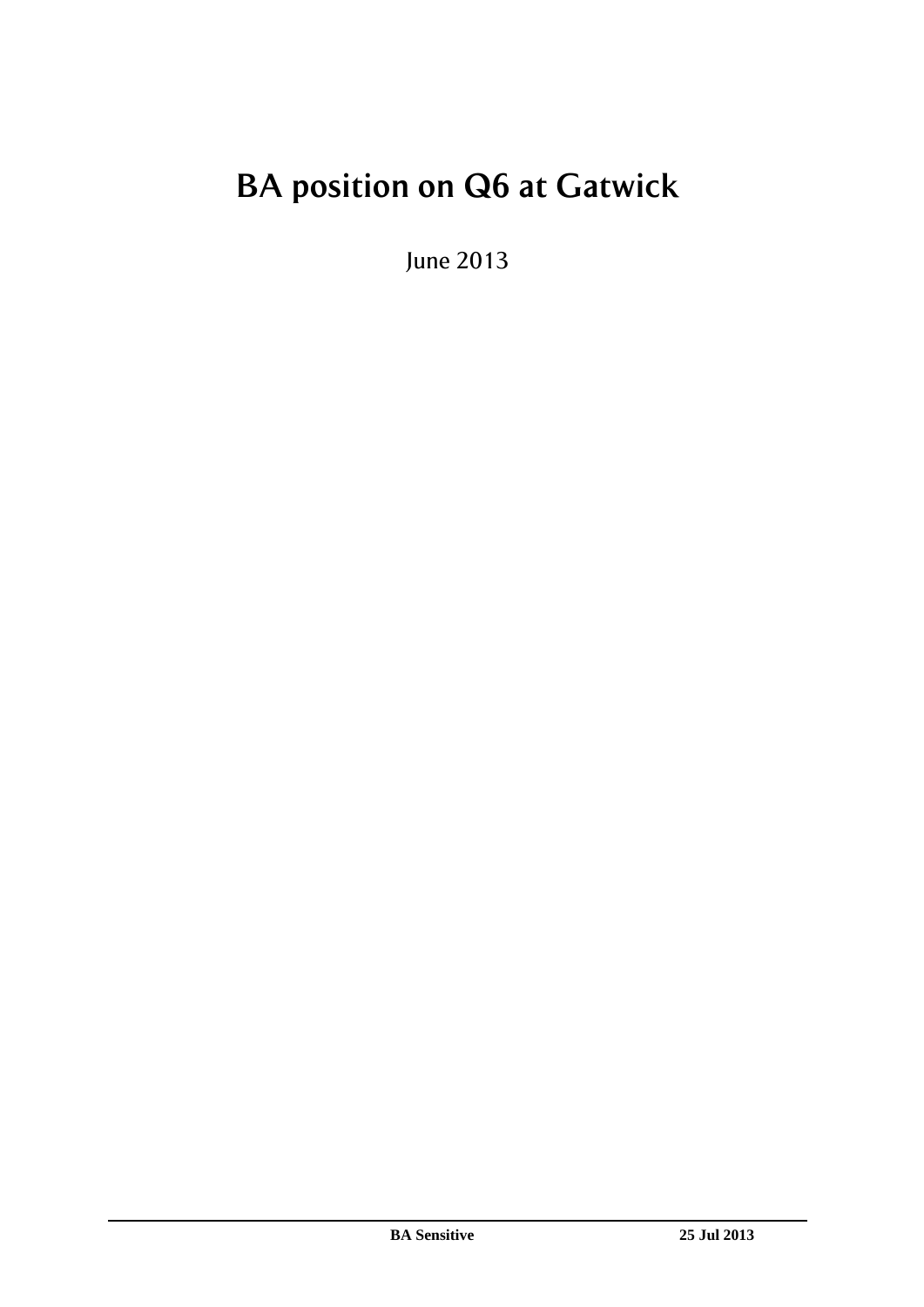# **BA position on Q6 at Gatwick**

June 2013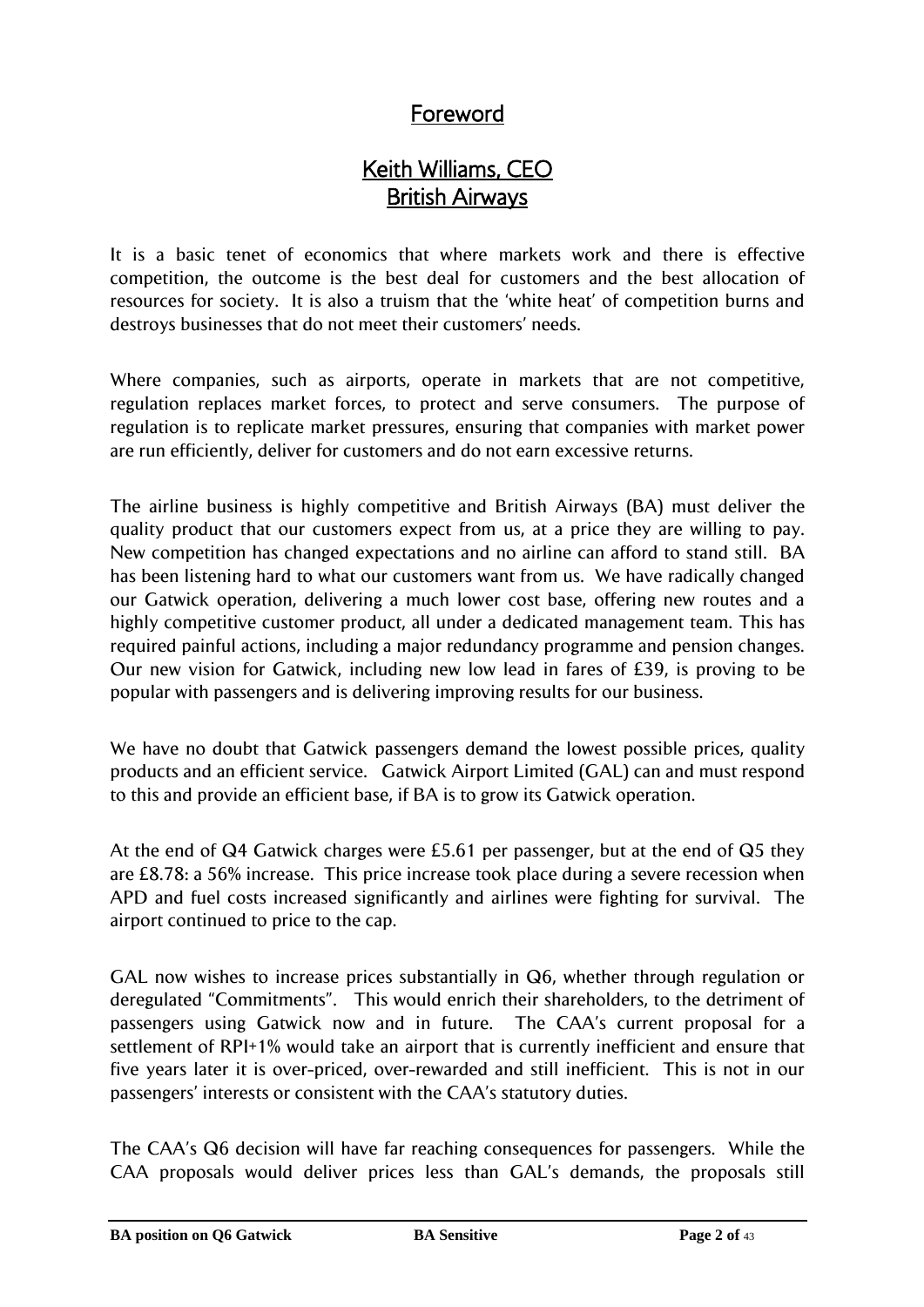# Foreword

# Keith Williams, CEO British Airways

It is a basic tenet of economics that where markets work and there is effective competition, the outcome is the best deal for customers and the best allocation of resources for society. It is also a truism that the "white heat" of competition burns and destroys businesses that do not meet their customers' needs.

Where companies, such as airports, operate in markets that are not competitive, regulation replaces market forces, to protect and serve consumers. The purpose of regulation is to replicate market pressures, ensuring that companies with market power are run efficiently, deliver for customers and do not earn excessive returns.

The airline business is highly competitive and British Airways (BA) must deliver the quality product that our customers expect from us, at a price they are willing to pay. New competition has changed expectations and no airline can afford to stand still. BA has been listening hard to what our customers want from us. We have radically changed our Gatwick operation, delivering a much lower cost base, offering new routes and a highly competitive customer product, all under a dedicated management team. This has required painful actions, including a major redundancy programme and pension changes. Our new vision for Gatwick, including new low lead in fares of £39, is proving to be popular with passengers and is delivering improving results for our business.

We have no doubt that Gatwick passengers demand the lowest possible prices, quality products and an efficient service. Gatwick Airport Limited (GAL) can and must respond to this and provide an efficient base, if BA is to grow its Gatwick operation.

At the end of Q4 Gatwick charges were £5.61 per passenger, but at the end of Q5 they are £8.78: a 56% increase. This price increase took place during a severe recession when APD and fuel costs increased significantly and airlines were fighting for survival. The airport continued to price to the cap.

GAL now wishes to increase prices substantially in Q6, whether through regulation or deregulated "Commitments". This would enrich their shareholders, to the detriment of passengers using Gatwick now and in future. The CAA"s current proposal for a settlement of RPI+1% would take an airport that is currently inefficient and ensure that five years later it is over-priced, over-rewarded and still inefficient. This is not in our passengers' interests or consistent with the CAA's statutory duties.

The CAA"s Q6 decision will have far reaching consequences for passengers. While the CAA proposals would deliver prices less than GAL"s demands, the proposals still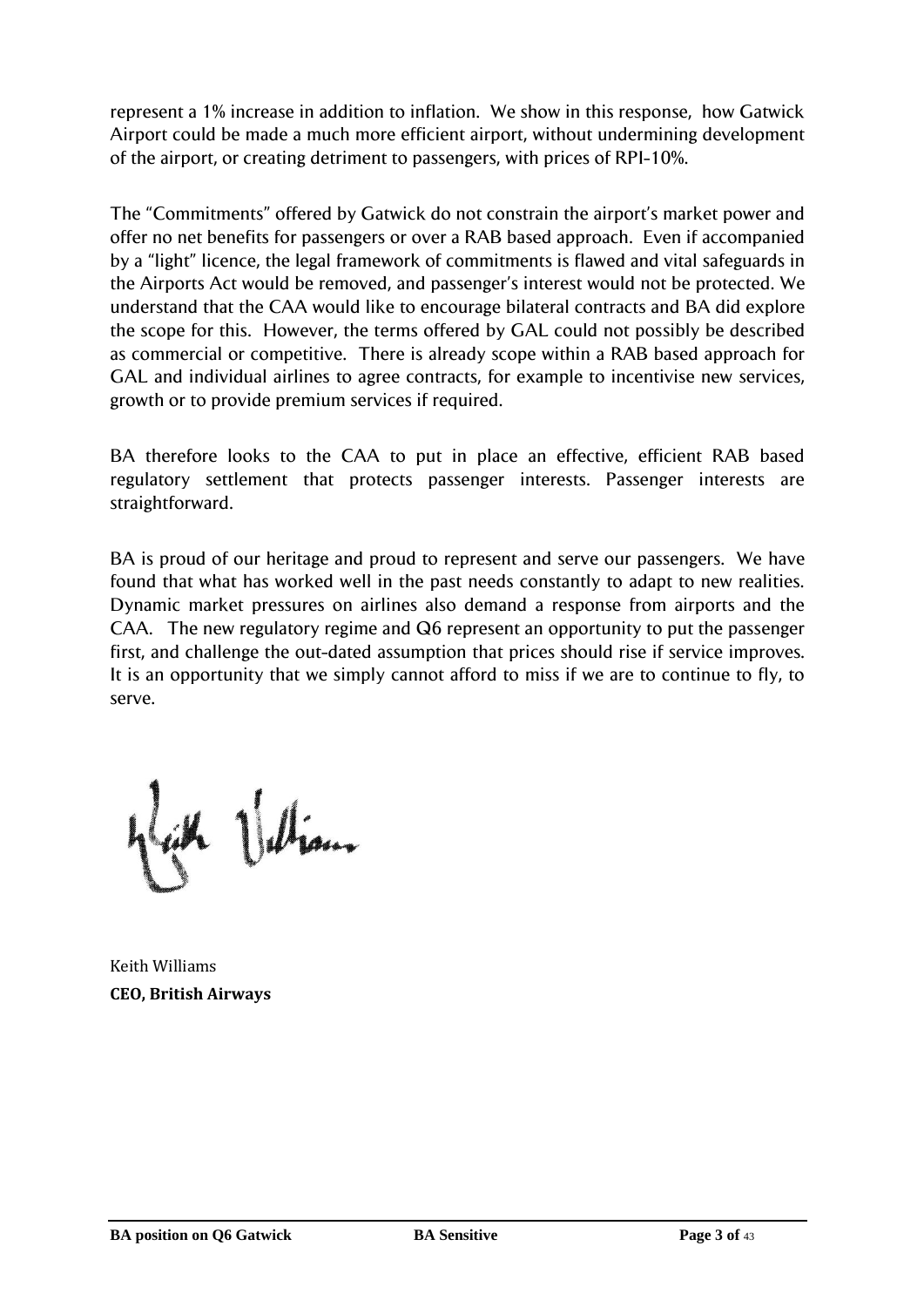represent a 1% increase in addition to inflation. We show in this response, how Gatwick Airport could be made a much more efficient airport, without undermining development of the airport, or creating detriment to passengers, with prices of RPI-10%.

The "Commitments" offered by Gatwick do not constrain the airport"s market power and offer no net benefits for passengers or over a RAB based approach. Even if accompanied by a "light" licence, the legal framework of commitments is flawed and vital safeguards in the Airports Act would be removed, and passenger"s interest would not be protected. We understand that the CAA would like to encourage bilateral contracts and BA did explore the scope for this. However, the terms offered by GAL could not possibly be described as commercial or competitive. There is already scope within a RAB based approach for GAL and individual airlines to agree contracts, for example to incentivise new services, growth or to provide premium services if required.

BA therefore looks to the CAA to put in place an effective, efficient RAB based regulatory settlement that protects passenger interests. Passenger interests are straightforward.

BA is proud of our heritage and proud to represent and serve our passengers. We have found that what has worked well in the past needs constantly to adapt to new realities. Dynamic market pressures on airlines also demand a response from airports and the CAA. The new regulatory regime and Q6 represent an opportunity to put the passenger first, and challenge the out-dated assumption that prices should rise if service improves. It is an opportunity that we simply cannot afford to miss if we are to continue to fly, to serve.

lah Ulian

Keith Williams **CEO, British Airways**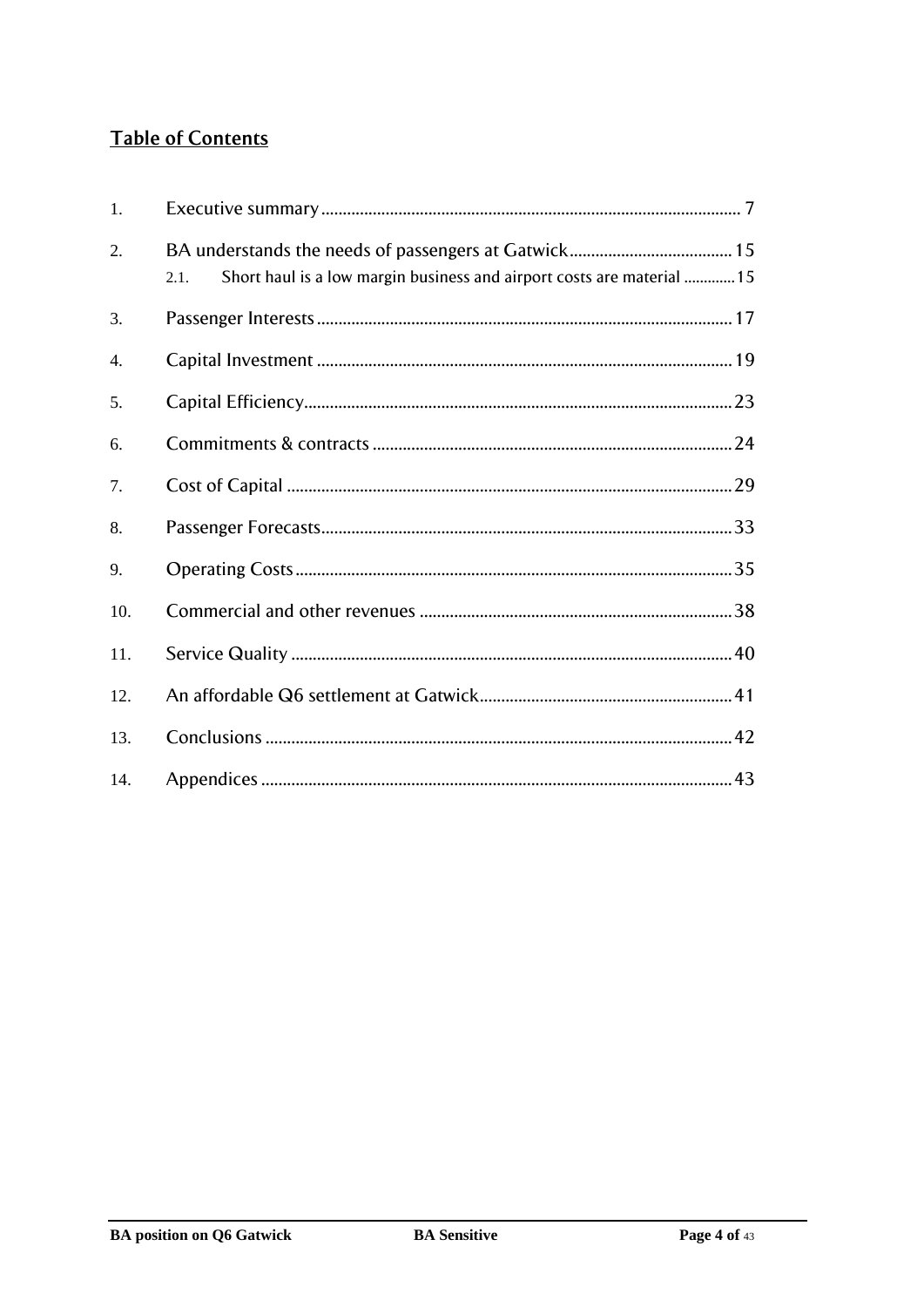# **Table of Contents**

| 1.  |                                                                                |
|-----|--------------------------------------------------------------------------------|
| 2.  | Short haul is a low margin business and airport costs are material  15<br>2.1. |
| 3.  |                                                                                |
| 4.  |                                                                                |
| 5.  |                                                                                |
| 6.  |                                                                                |
| 7.  |                                                                                |
| 8.  |                                                                                |
| 9.  |                                                                                |
| 10. |                                                                                |
| 11. |                                                                                |
| 12. |                                                                                |
| 13. |                                                                                |
| 14. |                                                                                |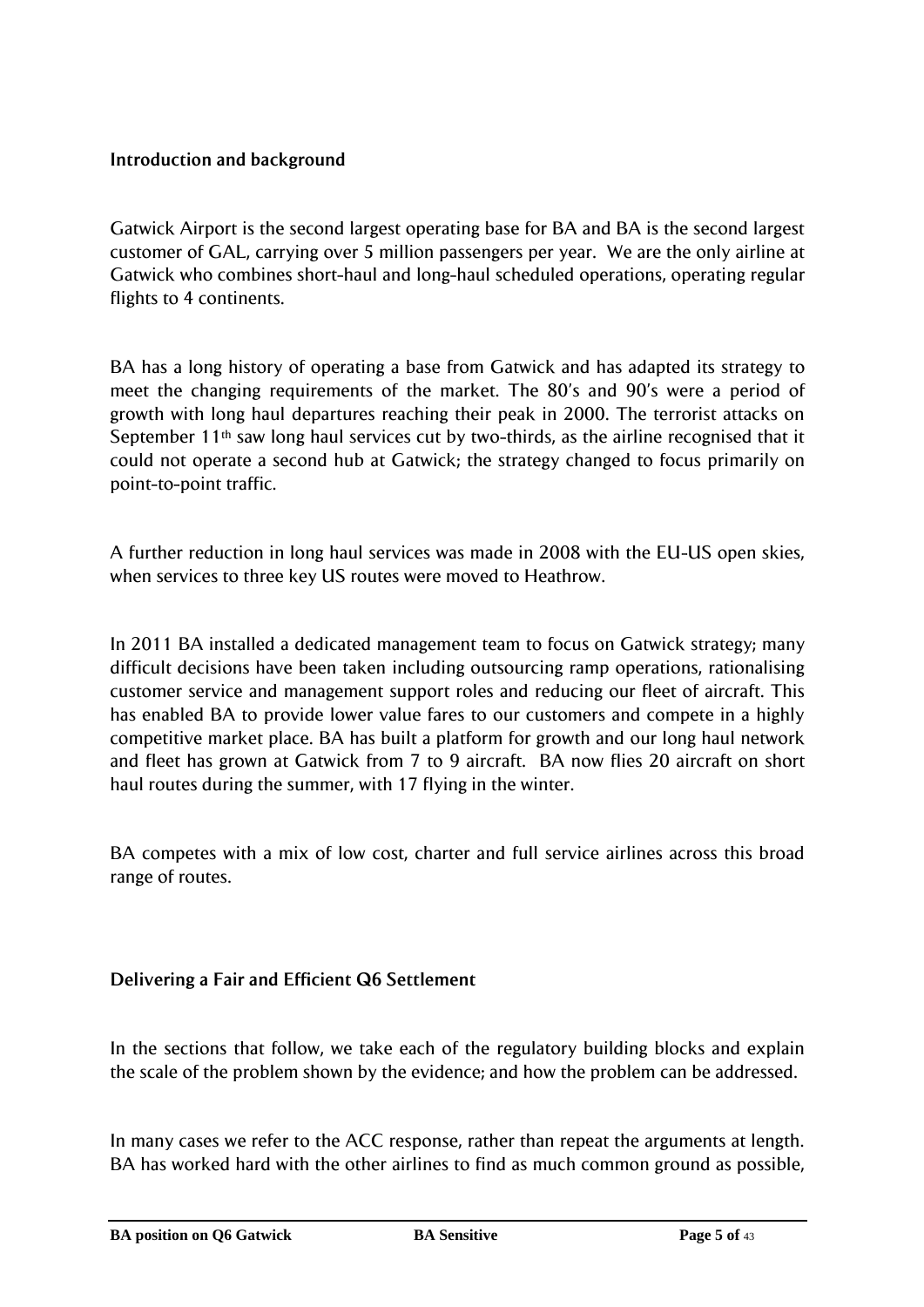# **Introduction and background**

Gatwick Airport is the second largest operating base for BA and BA is the second largest customer of GAL, carrying over 5 million passengers per year. We are the only airline at Gatwick who combines short-haul and long-haul scheduled operations, operating regular flights to 4 continents.

BA has a long history of operating a base from Gatwick and has adapted its strategy to meet the changing requirements of the market. The 80"s and 90"s were a period of growth with long haul departures reaching their peak in 2000. The terrorist attacks on September 11<sup>th</sup> saw long haul services cut by two-thirds, as the airline recognised that it could not operate a second hub at Gatwick; the strategy changed to focus primarily on point-to-point traffic.

A further reduction in long haul services was made in 2008 with the EU-US open skies, when services to three key US routes were moved to Heathrow.

In 2011 BA installed a dedicated management team to focus on Gatwick strategy; many difficult decisions have been taken including outsourcing ramp operations, rationalising customer service and management support roles and reducing our fleet of aircraft. This has enabled BA to provide lower value fares to our customers and compete in a highly competitive market place. BA has built a platform for growth and our long haul network and fleet has grown at Gatwick from 7 to 9 aircraft. BA now flies 20 aircraft on short haul routes during the summer, with 17 flying in the winter.

BA competes with a mix of low cost, charter and full service airlines across this broad range of routes.

# **Delivering a Fair and Efficient Q6 Settlement**

In the sections that follow, we take each of the regulatory building blocks and explain the scale of the problem shown by the evidence; and how the problem can be addressed.

In many cases we refer to the ACC response, rather than repeat the arguments at length. BA has worked hard with the other airlines to find as much common ground as possible,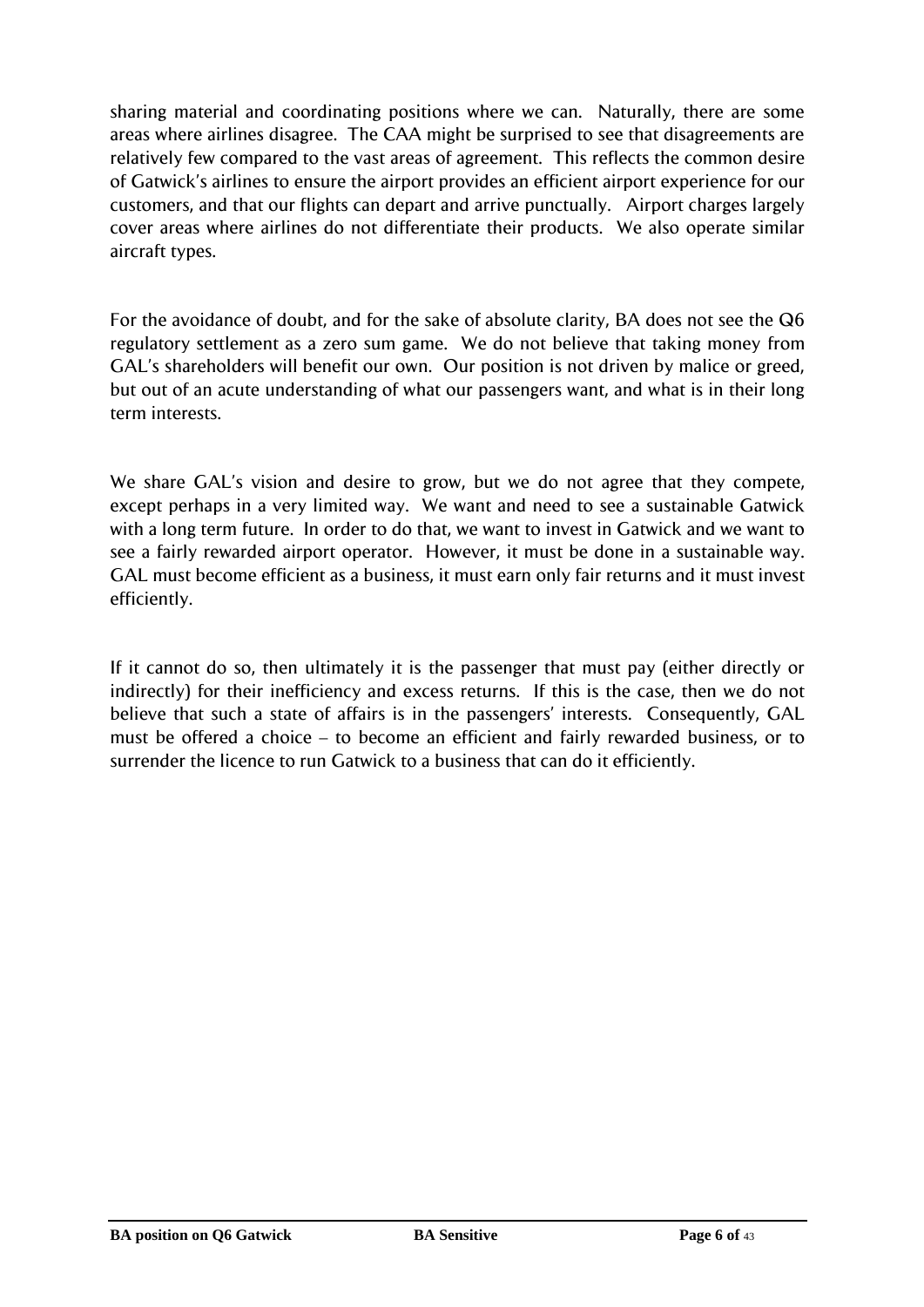sharing material and coordinating positions where we can. Naturally, there are some areas where airlines disagree. The CAA might be surprised to see that disagreements are relatively few compared to the vast areas of agreement. This reflects the common desire of Gatwick"s airlines to ensure the airport provides an efficient airport experience for our customers, and that our flights can depart and arrive punctually. Airport charges largely cover areas where airlines do not differentiate their products. We also operate similar aircraft types.

For the avoidance of doubt, and for the sake of absolute clarity, BA does not see the Q6 regulatory settlement as a zero sum game. We do not believe that taking money from GAL"s shareholders will benefit our own. Our position is not driven by malice or greed, but out of an acute understanding of what our passengers want, and what is in their long term interests.

We share GAL's vision and desire to grow, but we do not agree that they compete, except perhaps in a very limited way. We want and need to see a sustainable Gatwick with a long term future. In order to do that, we want to invest in Gatwick and we want to see a fairly rewarded airport operator. However, it must be done in a sustainable way. GAL must become efficient as a business, it must earn only fair returns and it must invest efficiently.

If it cannot do so, then ultimately it is the passenger that must pay (either directly or indirectly) for their inefficiency and excess returns. If this is the case, then we do not believe that such a state of affairs is in the passengers' interests. Consequently, GAL must be offered a choice – to become an efficient and fairly rewarded business, or to surrender the licence to run Gatwick to a business that can do it efficiently.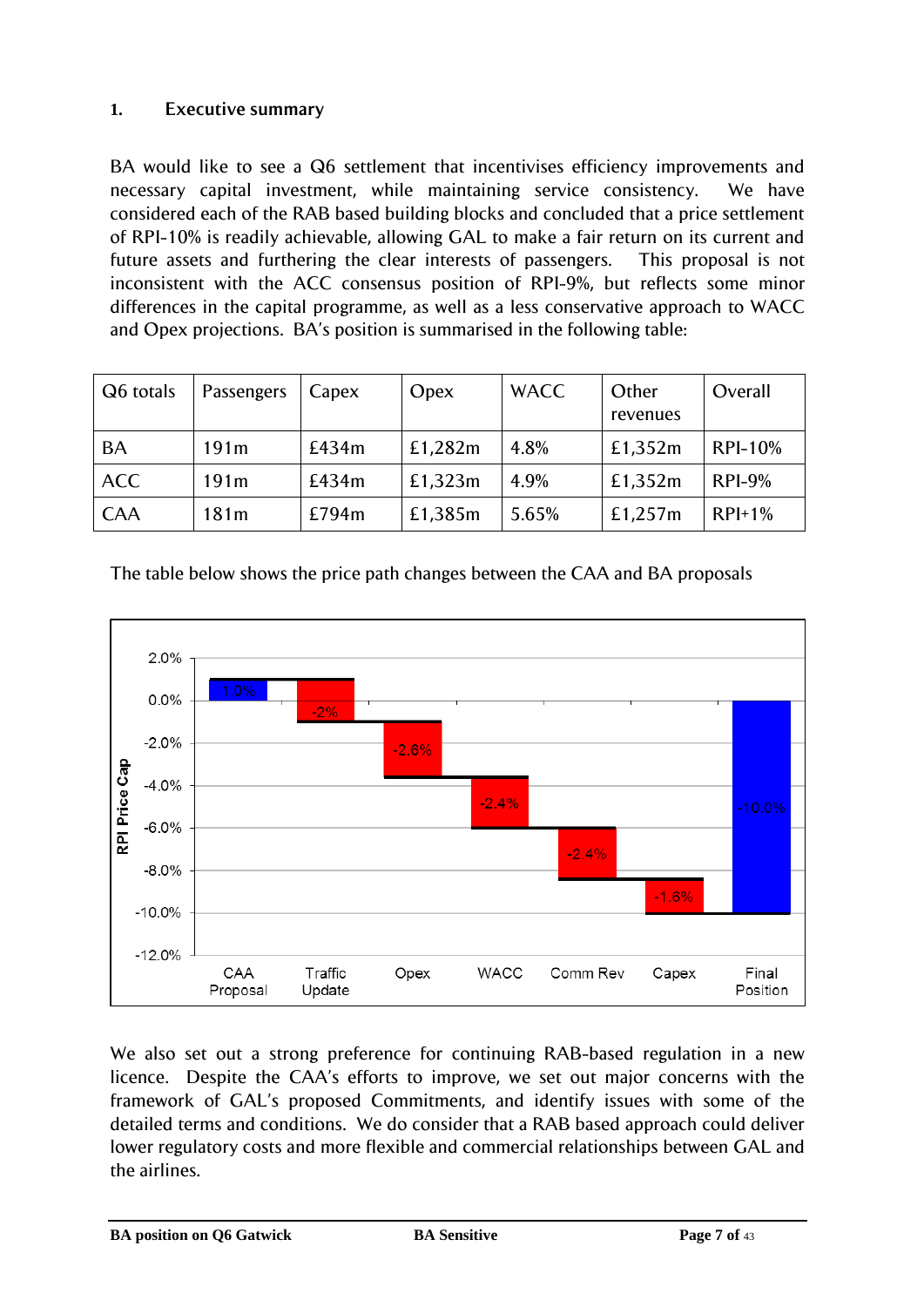# <span id="page-6-0"></span>**1. Executive summary**

BA would like to see a Q6 settlement that incentivises efficiency improvements and necessary capital investment, while maintaining service consistency. We have considered each of the RAB based building blocks and concluded that a price settlement of RPI-10% is readily achievable, allowing GAL to make a fair return on its current and future assets and furthering the clear interests of passengers. This proposal is not inconsistent with the ACC consensus position of RPI-9%, but reflects some minor differences in the capital programme, as well as a less conservative approach to WACC and Opex projections. BA"s position is summarised in the following table:

| Q6 totals  | Passengers       | Capex | Opex    | <b>WACC</b> | Other<br>revenues | Overall        |
|------------|------------------|-------|---------|-------------|-------------------|----------------|
| <b>BA</b>  | 191m             | £434m | £1,282m | 4.8%        | £1,352m           | <b>RPI-10%</b> |
| <b>ACC</b> | 191m             | £434m | £1,323m | 4.9%        | £1,352m           | $RPI-9%$       |
| <b>CAA</b> | 181 <sub>m</sub> | £794m | £1,385m | 5.65%       | £1,257m           | $RPI+1%$       |

The table below shows the price path changes between the CAA and BA proposals



We also set out a strong preference for continuing RAB-based regulation in a new licence. Despite the CAA"s efforts to improve, we set out major concerns with the framework of GAL"s proposed Commitments, and identify issues with some of the detailed terms and conditions. We do consider that a RAB based approach could deliver lower regulatory costs and more flexible and commercial relationships between GAL and the airlines.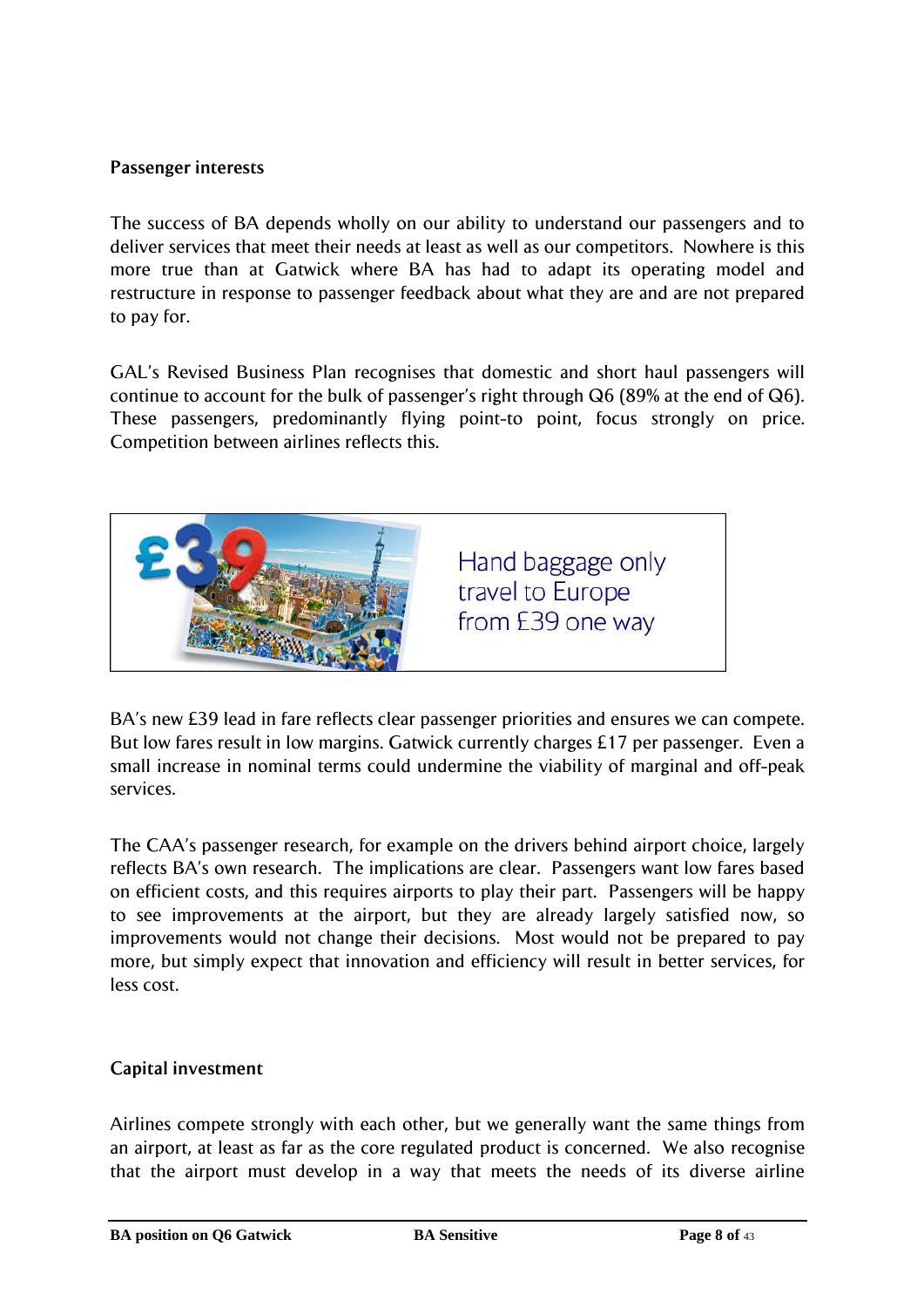# **Passenger interests**

The success of BA depends wholly on our ability to understand our passengers and to deliver services that meet their needs at least as well as our competitors. Nowhere is this more true than at Gatwick where BA has had to adapt its operating model and restructure in response to passenger feedback about what they are and are not prepared to pay for.

GAL"s Revised Business Plan recognises that domestic and short haul passengers will continue to account for the bulk of passenger's right through  $Q6$  (89% at the end of  $Q6$ ). These passengers, predominantly flying point-to point, focus strongly on price. Competition between airlines reflects this.



BA"s new £39 lead in fare reflects clear passenger priorities and ensures we can compete. But low fares result in low margins. Gatwick currently charges £17 per passenger. Even a small increase in nominal terms could undermine the viability of marginal and off-peak services.

The CAA"s passenger research, for example on the drivers behind airport choice, largely reflects BA's own research. The implications are clear. Passengers want low fares based on efficient costs, and this requires airports to play their part. Passengers will be happy to see improvements at the airport, but they are already largely satisfied now, so improvements would not change their decisions. Most would not be prepared to pay more, but simply expect that innovation and efficiency will result in better services, for less cost.

# **Capital investment**

Airlines compete strongly with each other, but we generally want the same things from an airport, at least as far as the core regulated product is concerned. We also recognise that the airport must develop in a way that meets the needs of its diverse airline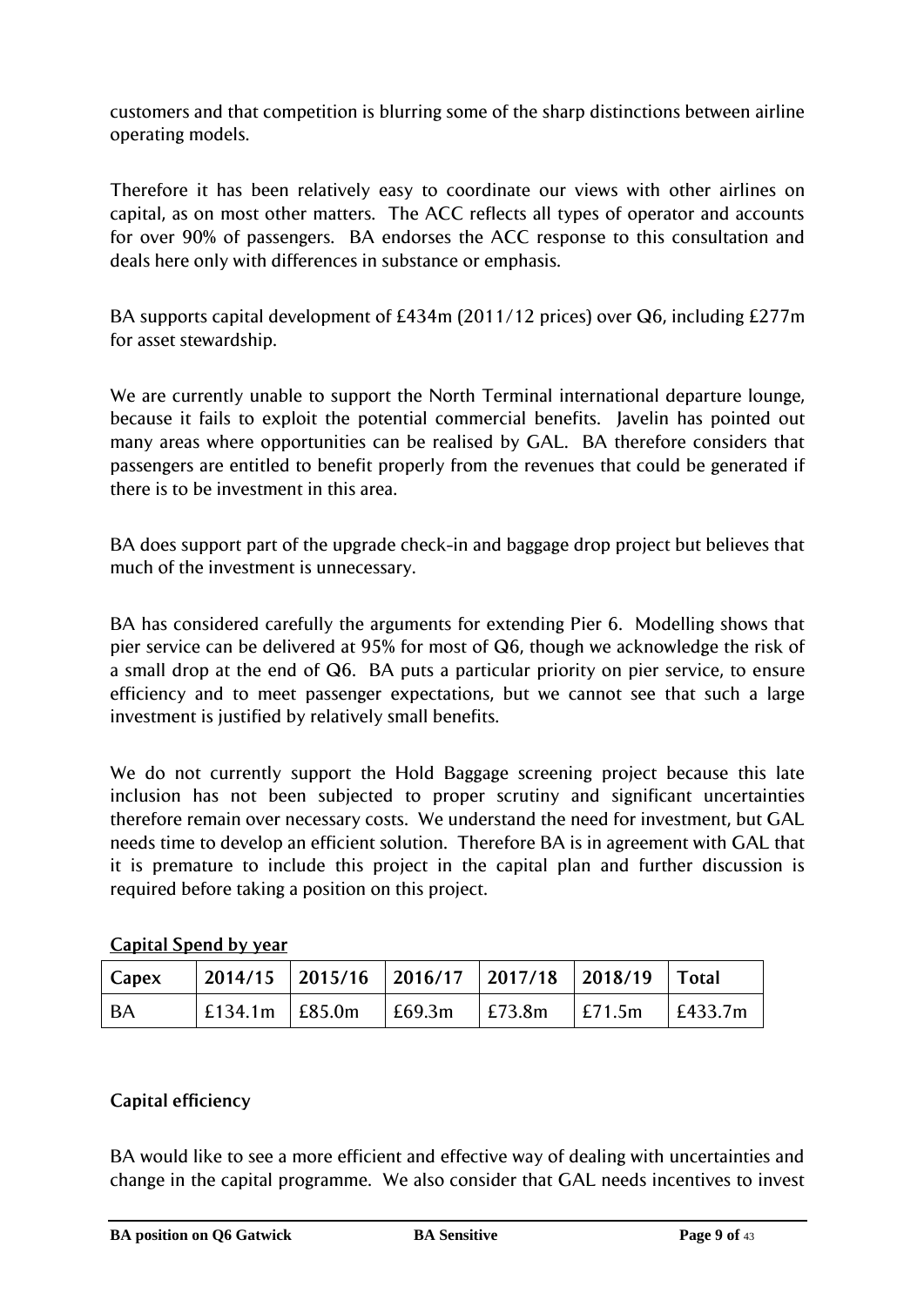customers and that competition is blurring some of the sharp distinctions between airline operating models.

Therefore it has been relatively easy to coordinate our views with other airlines on capital, as on most other matters. The ACC reflects all types of operator and accounts for over 90% of passengers. BA endorses the ACC response to this consultation and deals here only with differences in substance or emphasis.

BA supports capital development of £434m (2011/12 prices) over Q6, including £277m for asset stewardship.

We are currently unable to support the North Terminal international departure lounge, because it fails to exploit the potential commercial benefits. Javelin has pointed out many areas where opportunities can be realised by GAL. BA therefore considers that passengers are entitled to benefit properly from the revenues that could be generated if there is to be investment in this area.

BA does support part of the upgrade check-in and baggage drop project but believes that much of the investment is unnecessary.

BA has considered carefully the arguments for extending Pier 6. Modelling shows that pier service can be delivered at 95% for most of Q6, though we acknowledge the risk of a small drop at the end of Q6. BA puts a particular priority on pier service, to ensure efficiency and to meet passenger expectations, but we cannot see that such a large investment is justified by relatively small benefits.

We do not currently support the Hold Baggage screening project because this late inclusion has not been subjected to proper scrutiny and significant uncertainties therefore remain over necessary costs. We understand the need for investment, but GAL needs time to develop an efficient solution. Therefore BA is in agreement with GAL that it is premature to include this project in the capital plan and further discussion is required before taking a position on this project.

| Capex | 2014/15   2015/16   2016/17   2017/18   2018/19   Total                                     |  |  |
|-------|---------------------------------------------------------------------------------------------|--|--|
| l BA  | $\vert$ £134.1m $\vert$ £85.0m $\vert$ £69.3m $\vert$ £73.8m $\vert$ £71.5m $\vert$ £433.7m |  |  |

# **Capital Spend by year**

# **Capital efficiency**

BA would like to see a more efficient and effective way of dealing with uncertainties and change in the capital programme. We also consider that GAL needs incentives to invest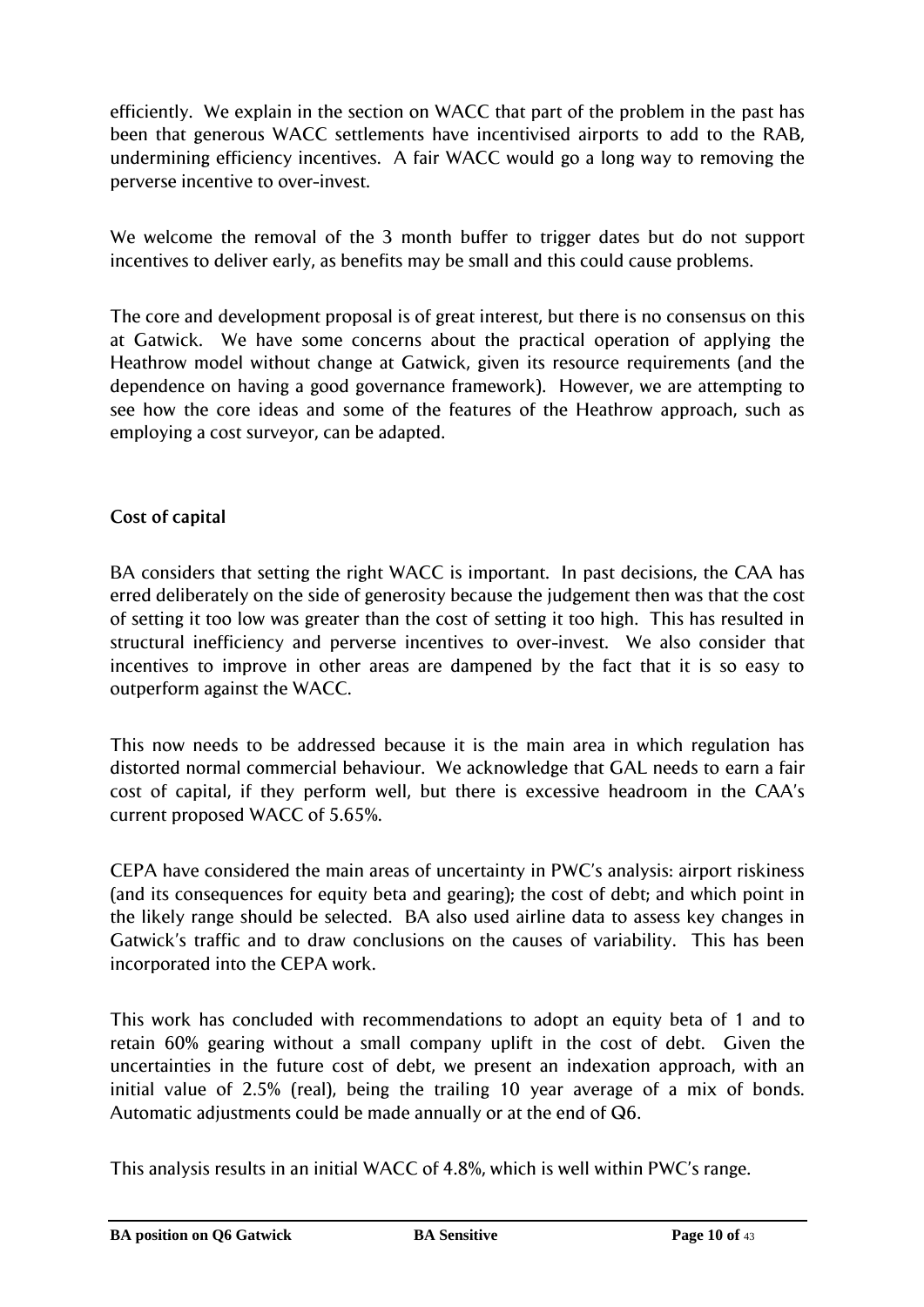efficiently. We explain in the section on WACC that part of the problem in the past has been that generous WACC settlements have incentivised airports to add to the RAB, undermining efficiency incentives. A fair WACC would go a long way to removing the perverse incentive to over-invest.

We welcome the removal of the 3 month buffer to trigger dates but do not support incentives to deliver early, as benefits may be small and this could cause problems.

The core and development proposal is of great interest, but there is no consensus on this at Gatwick. We have some concerns about the practical operation of applying the Heathrow model without change at Gatwick, given its resource requirements (and the dependence on having a good governance framework). However, we are attempting to see how the core ideas and some of the features of the Heathrow approach, such as employing a cost surveyor, can be adapted.

# **Cost of capital**

BA considers that setting the right WACC is important. In past decisions, the CAA has erred deliberately on the side of generosity because the judgement then was that the cost of setting it too low was greater than the cost of setting it too high. This has resulted in structural inefficiency and perverse incentives to over-invest. We also consider that incentives to improve in other areas are dampened by the fact that it is so easy to outperform against the WACC.

This now needs to be addressed because it is the main area in which regulation has distorted normal commercial behaviour. We acknowledge that GAL needs to earn a fair cost of capital, if they perform well, but there is excessive headroom in the CAA"s current proposed WACC of 5.65%.

CEPA have considered the main areas of uncertainty in PWC"s analysis: airport riskiness (and its consequences for equity beta and gearing); the cost of debt; and which point in the likely range should be selected. BA also used airline data to assess key changes in Gatwick"s traffic and to draw conclusions on the causes of variability. This has been incorporated into the CEPA work.

This work has concluded with recommendations to adopt an equity beta of 1 and to retain 60% gearing without a small company uplift in the cost of debt. Given the uncertainties in the future cost of debt, we present an indexation approach, with an initial value of 2.5% (real), being the trailing 10 year average of a mix of bonds. Automatic adjustments could be made annually or at the end of Q6.

This analysis results in an initial WACC of 4.8%, which is well within PWC"s range.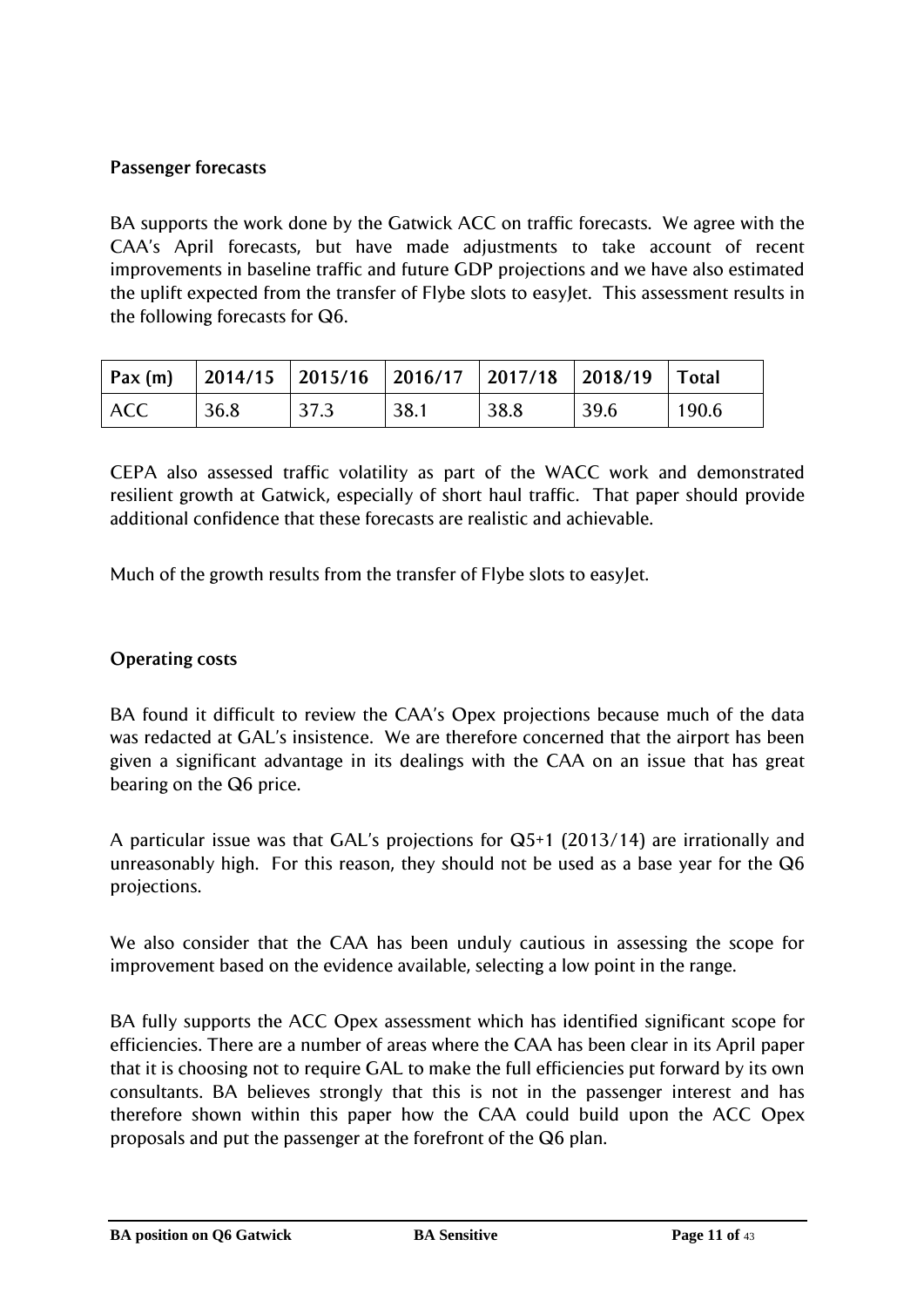# **Passenger forecasts**

BA supports the work done by the Gatwick ACC on traffic forecasts. We agree with the CAA"s April forecasts, but have made adjustments to take account of recent improvements in baseline traffic and future GDP projections and we have also estimated the uplift expected from the transfer of Flybe slots to easyJet. This assessment results in the following forecasts for Q6.

|            | $\vert$ Pax (m) $\vert$ 2014/15 $\vert$ 2015/16 $\vert$ 2016/17 $\vert$ 2017/18 $\vert$ 2018/19 $\vert$ Total |      |      |      |              |       |
|------------|---------------------------------------------------------------------------------------------------------------|------|------|------|--------------|-------|
| <b>ACC</b> | 36.8                                                                                                          | 37.3 | 38.1 | 38.8 | $\vert$ 39.6 | 190.6 |

CEPA also assessed traffic volatility as part of the WACC work and demonstrated resilient growth at Gatwick, especially of short haul traffic. That paper should provide additional confidence that these forecasts are realistic and achievable.

Much of the growth results from the transfer of Flybe slots to easyJet.

# **Operating costs**

BA found it difficult to review the CAA's Opex projections because much of the data was redacted at GAL"s insistence. We are therefore concerned that the airport has been given a significant advantage in its dealings with the CAA on an issue that has great bearing on the Q6 price.

A particular issue was that GAL"s projections for Q5+1 (2013/14) are irrationally and unreasonably high. For this reason, they should not be used as a base year for the Q6 projections.

We also consider that the CAA has been unduly cautious in assessing the scope for improvement based on the evidence available, selecting a low point in the range.

BA fully supports the ACC Opex assessment which has identified significant scope for efficiencies. There are a number of areas where the CAA has been clear in its April paper that it is choosing not to require GAL to make the full efficiencies put forward by its own consultants. BA believes strongly that this is not in the passenger interest and has therefore shown within this paper how the CAA could build upon the ACC Opex proposals and put the passenger at the forefront of the Q6 plan.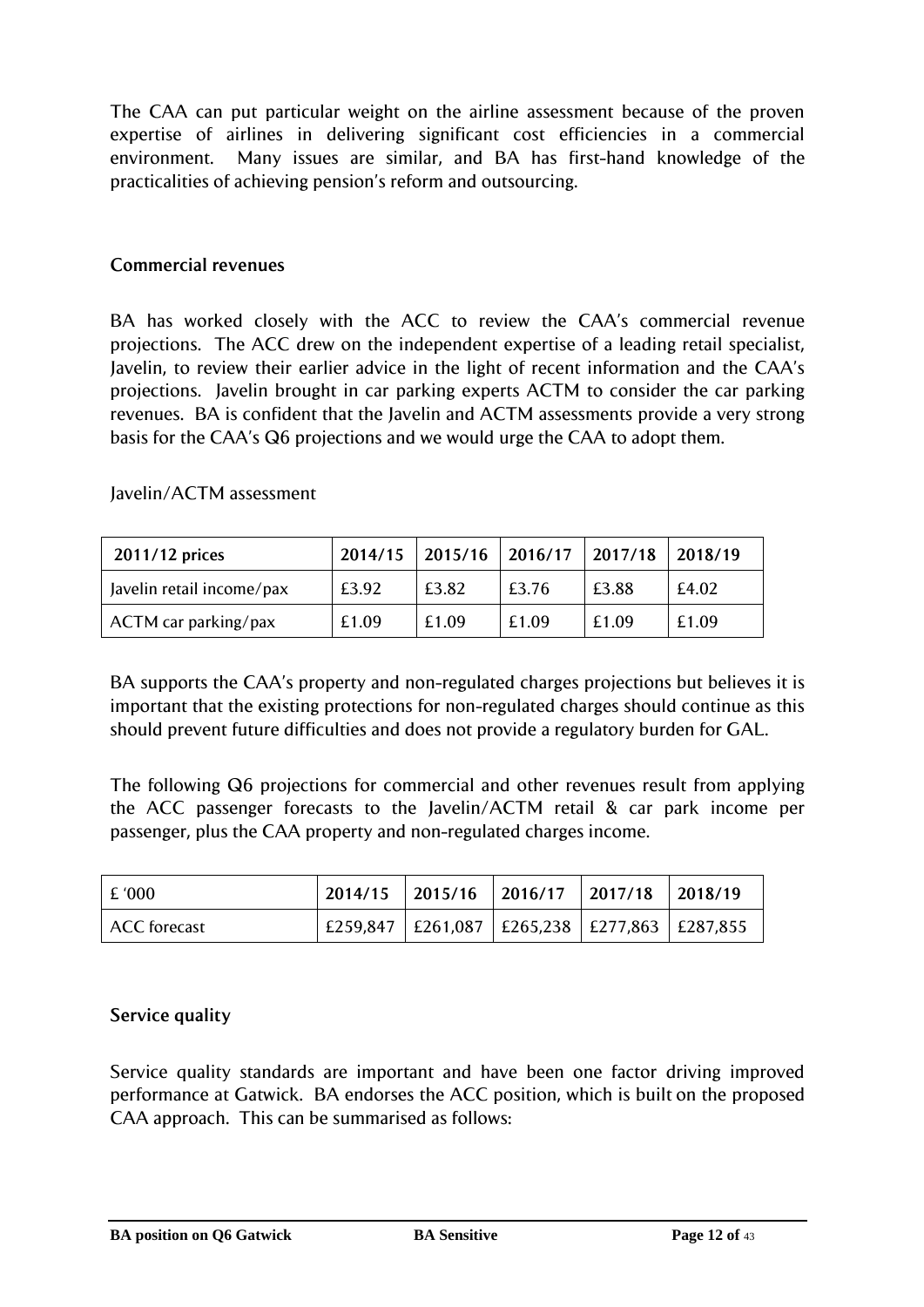The CAA can put particular weight on the airline assessment because of the proven expertise of airlines in delivering significant cost efficiencies in a commercial environment. Many issues are similar, and BA has first-hand knowledge of the practicalities of achieving pension"s reform and outsourcing.

#### **Commercial revenues**

BA has worked closely with the ACC to review the CAA's commercial revenue projections. The ACC drew on the independent expertise of a leading retail specialist, Javelin, to review their earlier advice in the light of recent information and the CAA"s projections. Javelin brought in car parking experts ACTM to consider the car parking revenues. BA is confident that the Javelin and ACTM assessments provide a very strong basis for the CAA"s Q6 projections and we would urge the CAA to adopt them.

#### Javelin/ACTM assessment

| 2011/12 prices            | 2014/15 | $\vert$ 2015/16 $\vert$ 2016/17 $\vert$ 2017/18 |       |       | 12018/19 |
|---------------------------|---------|-------------------------------------------------|-------|-------|----------|
| Javelin retail income/pax | £3.92   | £3.82                                           | £3.76 | £3.88 | £4.02    |
| ACTM car parking/pax      | £1.09   | £1.09                                           | £1.09 | £1.09 | £1.09    |

BA supports the CAA"s property and non-regulated charges projections but believes it is important that the existing protections for non-regulated charges should continue as this should prevent future difficulties and does not provide a regulatory burden for GAL.

The following Q6 projections for commercial and other revenues result from applying the ACC passenger forecasts to the Javelin/ACTM retail & car park income per passenger, plus the CAA property and non-regulated charges income.

| £ '000       | 2014/15 | $\vert$ 2015/16 $\vert$ 2016/17 $\vert$ 2017/18      | 2018/19 |
|--------------|---------|------------------------------------------------------|---------|
| ACC forecast |         | £259,847   £261,087   £265,238   £277,863   £287,855 |         |

# **Service quality**

Service quality standards are important and have been one factor driving improved performance at Gatwick. BA endorses the ACC position, which is built on the proposed CAA approach. This can be summarised as follows: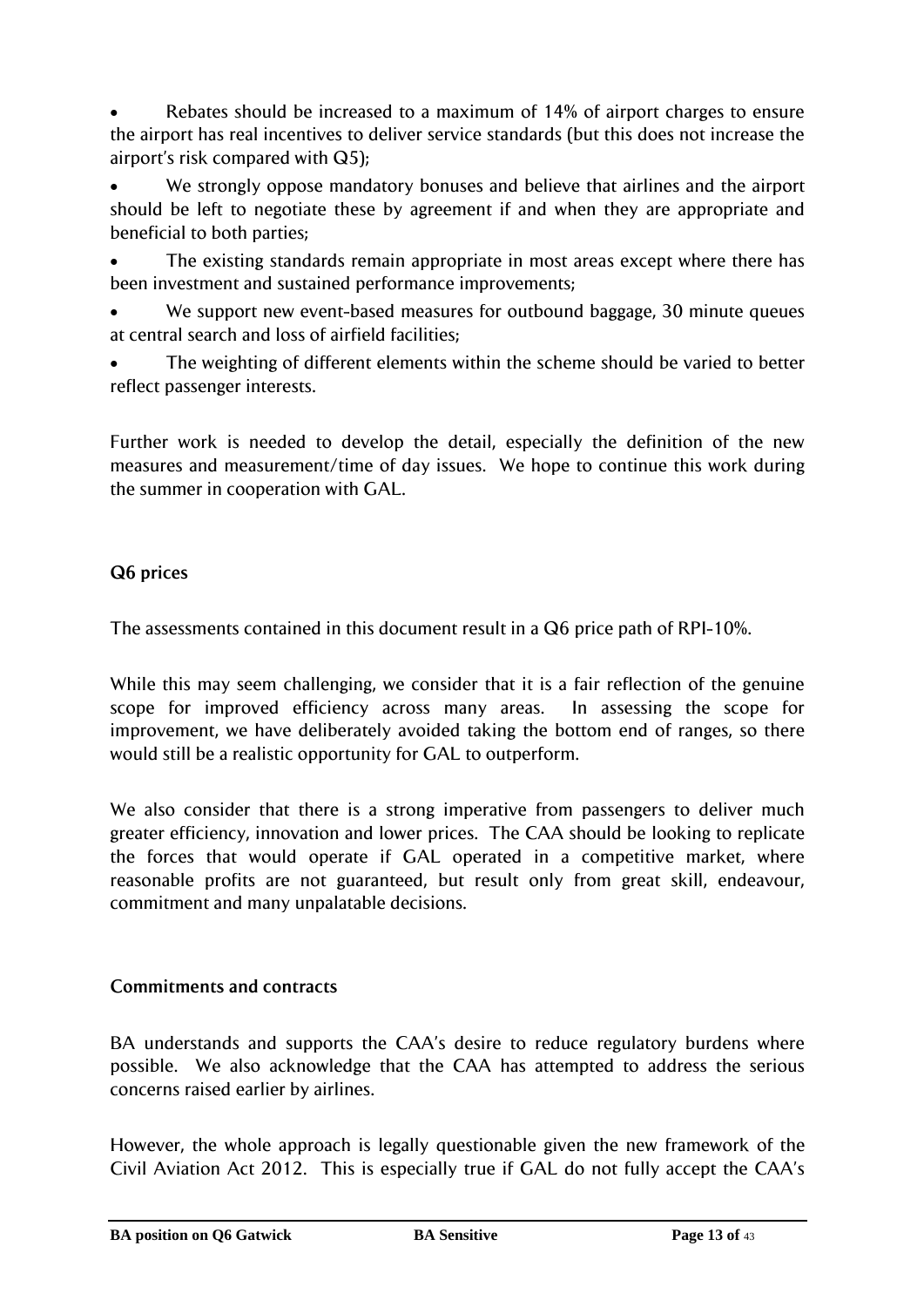Rebates should be increased to a maximum of 14% of airport charges to ensure the airport has real incentives to deliver service standards (but this does not increase the airport's risk compared with  $Q5$ );

 We strongly oppose mandatory bonuses and believe that airlines and the airport should be left to negotiate these by agreement if and when they are appropriate and beneficial to both parties;

 The existing standards remain appropriate in most areas except where there has been investment and sustained performance improvements;

 We support new event-based measures for outbound baggage, 30 minute queues at central search and loss of airfield facilities;

 The weighting of different elements within the scheme should be varied to better reflect passenger interests.

Further work is needed to develop the detail, especially the definition of the new measures and measurement/time of day issues. We hope to continue this work during the summer in cooperation with GAL.

# **Q6 prices**

The assessments contained in this document result in a Q6 price path of RPI-10%.

While this may seem challenging, we consider that it is a fair reflection of the genuine scope for improved efficiency across many areas. In assessing the scope for improvement, we have deliberately avoided taking the bottom end of ranges, so there would still be a realistic opportunity for GAL to outperform.

We also consider that there is a strong imperative from passengers to deliver much greater efficiency, innovation and lower prices. The CAA should be looking to replicate the forces that would operate if GAL operated in a competitive market, where reasonable profits are not guaranteed, but result only from great skill, endeavour, commitment and many unpalatable decisions.

# **Commitments and contracts**

BA understands and supports the CAA's desire to reduce regulatory burdens where possible. We also acknowledge that the CAA has attempted to address the serious concerns raised earlier by airlines.

However, the whole approach is legally questionable given the new framework of the Civil Aviation Act 2012. This is especially true if GAL do not fully accept the CAA"s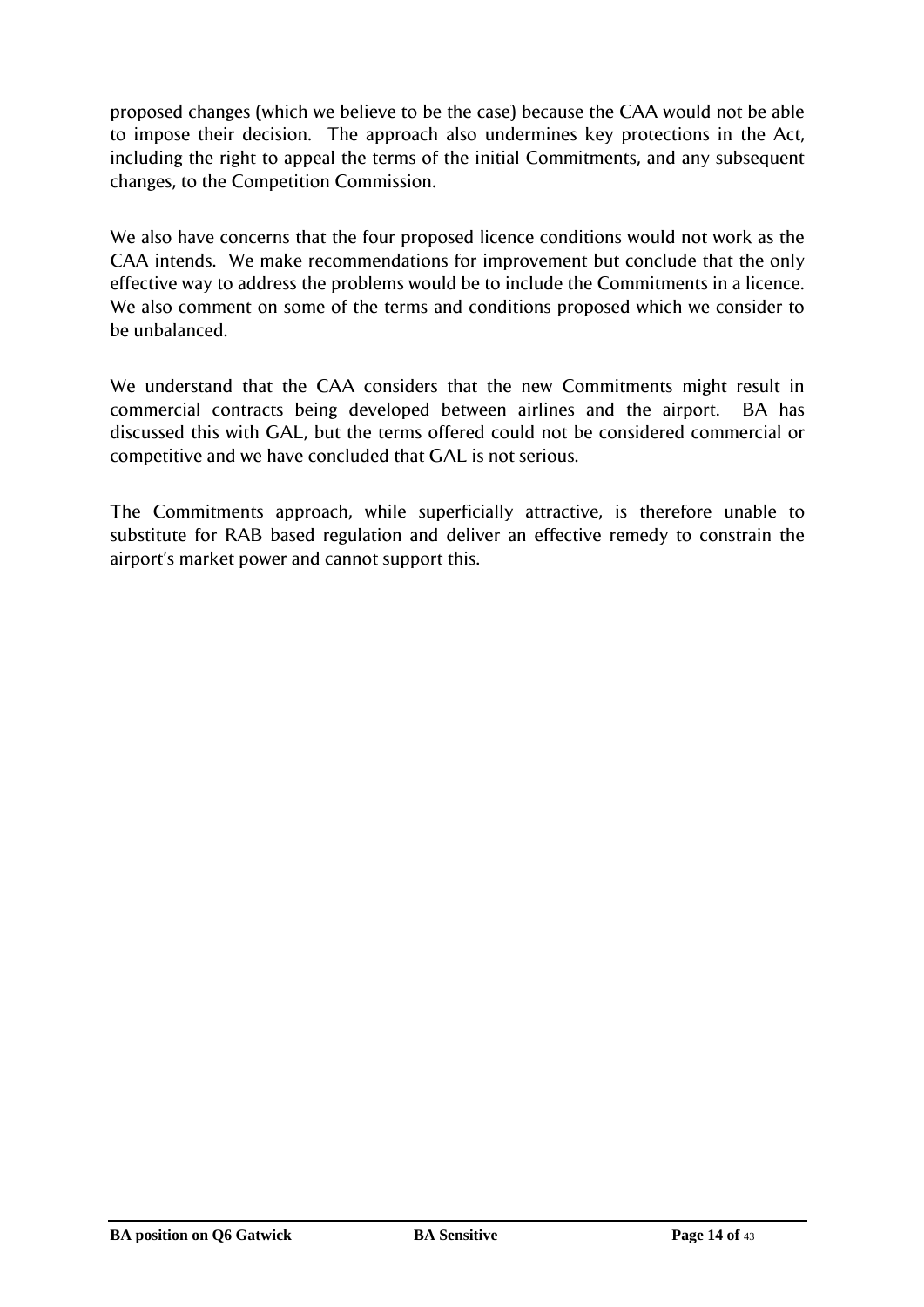proposed changes (which we believe to be the case) because the CAA would not be able to impose their decision. The approach also undermines key protections in the Act, including the right to appeal the terms of the initial Commitments, and any subsequent changes, to the Competition Commission.

We also have concerns that the four proposed licence conditions would not work as the CAA intends. We make recommendations for improvement but conclude that the only effective way to address the problems would be to include the Commitments in a licence. We also comment on some of the terms and conditions proposed which we consider to be unbalanced.

We understand that the CAA considers that the new Commitments might result in commercial contracts being developed between airlines and the airport. BA has discussed this with GAL, but the terms offered could not be considered commercial or competitive and we have concluded that GAL is not serious.

The Commitments approach, while superficially attractive, is therefore unable to substitute for RAB based regulation and deliver an effective remedy to constrain the airport's market power and cannot support this.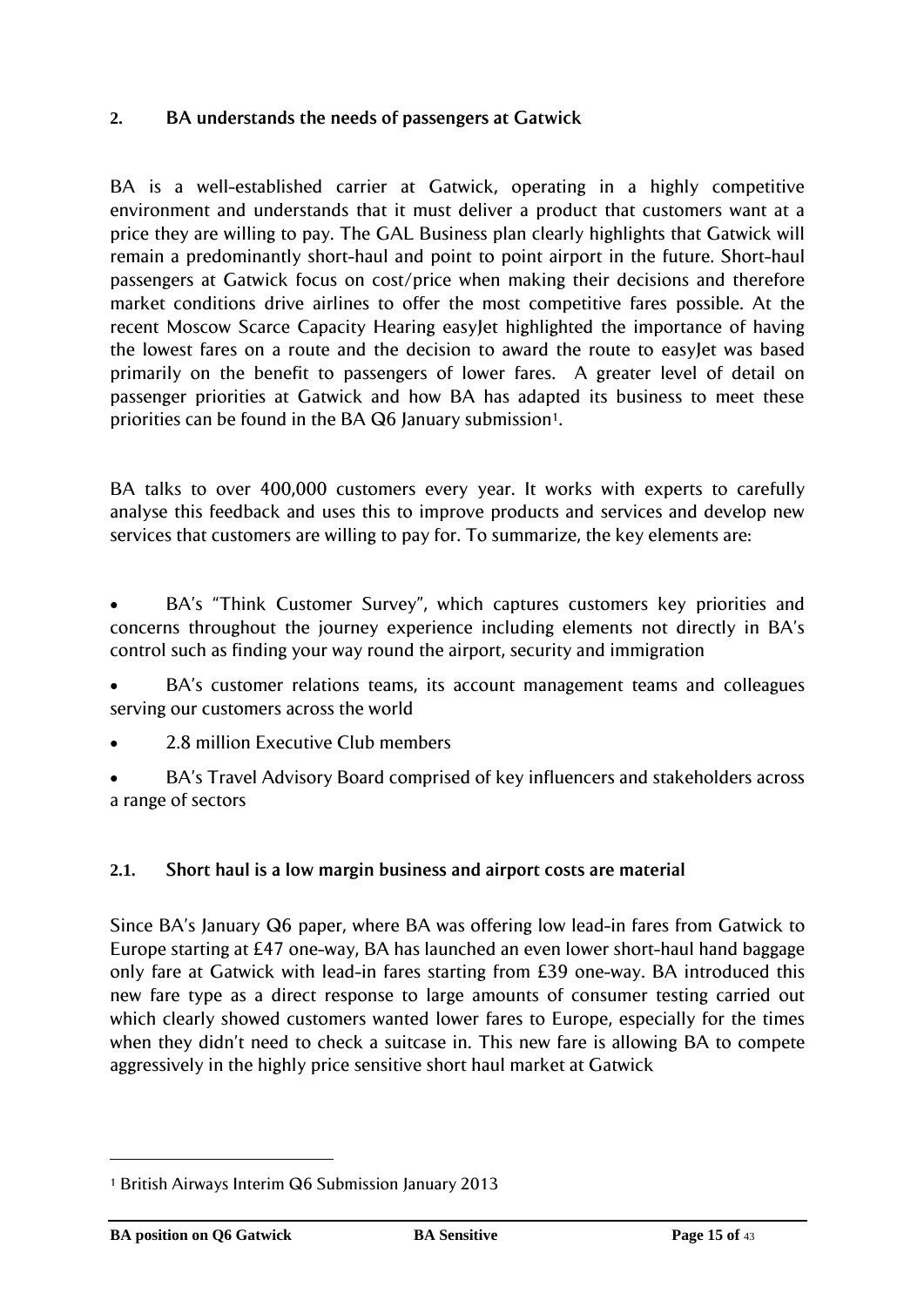# <span id="page-14-0"></span>**2. BA understands the needs of passengers at Gatwick**

BA is a well-established carrier at Gatwick, operating in a highly competitive environment and understands that it must deliver a product that customers want at a price they are willing to pay. The GAL Business plan clearly highlights that Gatwick will remain a predominantly short-haul and point to point airport in the future. Short-haul passengers at Gatwick focus on cost/price when making their decisions and therefore market conditions drive airlines to offer the most competitive fares possible. At the recent Moscow Scarce Capacity Hearing easyJet highlighted the importance of having the lowest fares on a route and the decision to award the route to easyJet was based primarily on the benefit to passengers of lower fares. A greater level of detail on passenger priorities at Gatwick and how BA has adapted its business to meet these priorities can be found in the BA Q6 January submission<sup>1</sup>.

BA talks to over 400,000 customers every year. It works with experts to carefully analyse this feedback and uses this to improve products and services and develop new services that customers are willing to pay for. To summarize, the key elements are:

 BA"s "Think Customer Survey", which captures customers key priorities and concerns throughout the journey experience including elements not directly in BA"s control such as finding your way round the airport, security and immigration

 BA"s customer relations teams, its account management teams and colleagues serving our customers across the world

- 2.8 million Executive Club members
- BA"s Travel Advisory Board comprised of key influencers and stakeholders across a range of sectors

# <span id="page-14-1"></span>**2.1. Short haul is a low margin business and airport costs are material**

Since BA"s January Q6 paper, where BA was offering low lead-in fares from Gatwick to Europe starting at £47 one-way, BA has launched an even lower short-haul hand baggage only fare at Gatwick with lead-in fares starting from £39 one-way. BA introduced this new fare type as a direct response to large amounts of consumer testing carried out which clearly showed customers wanted lower fares to Europe, especially for the times when they didn't need to check a suitcase in. This new fare is allowing BA to compete aggressively in the highly price sensitive short haul market at Gatwick

l

<sup>1</sup> British Airways Interim Q6 Submission January 2013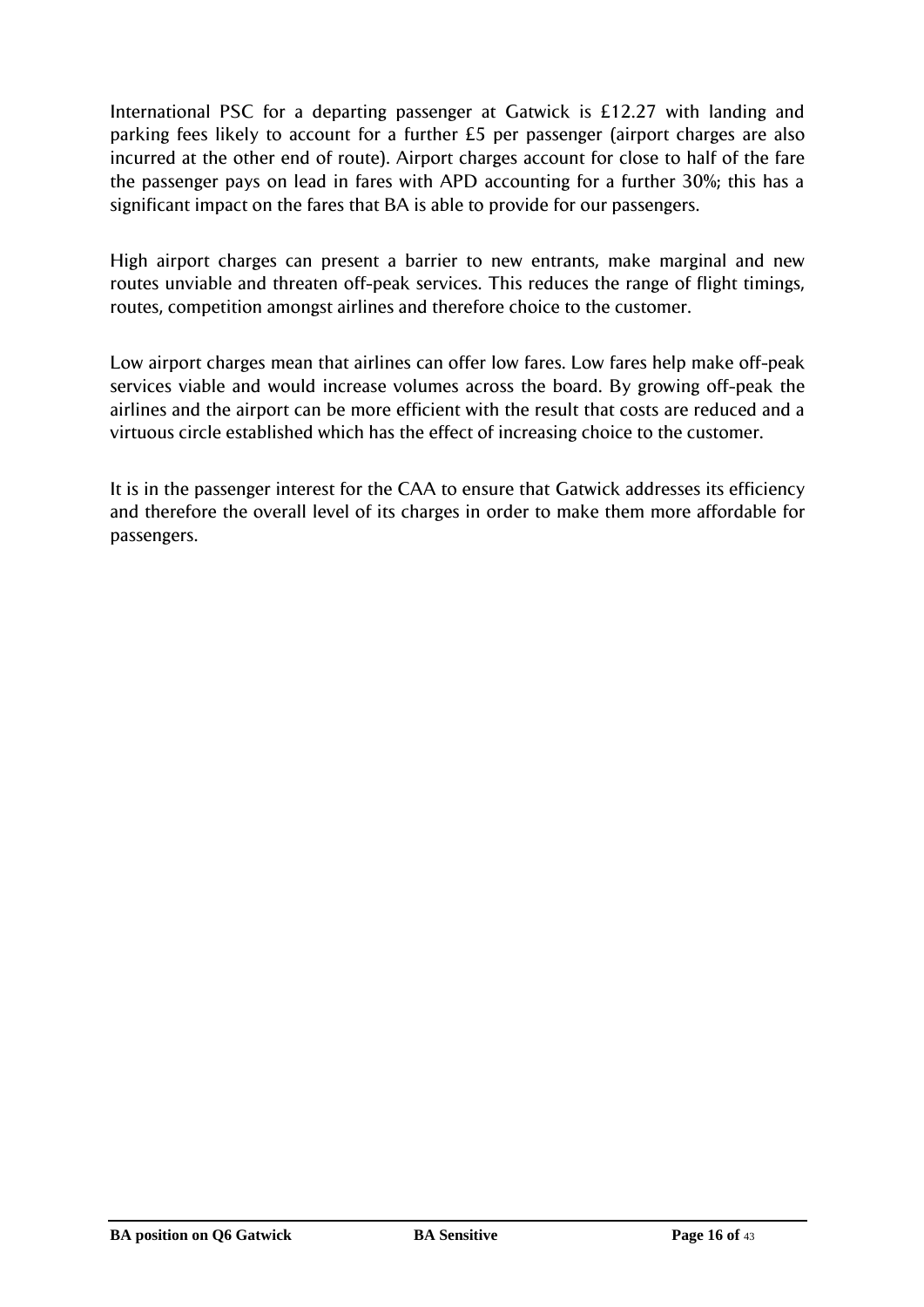International PSC for a departing passenger at Gatwick is £12.27 with landing and parking fees likely to account for a further £5 per passenger (airport charges are also incurred at the other end of route). Airport charges account for close to half of the fare the passenger pays on lead in fares with APD accounting for a further 30%; this has a significant impact on the fares that BA is able to provide for our passengers.

High airport charges can present a barrier to new entrants, make marginal and new routes unviable and threaten off-peak services. This reduces the range of flight timings, routes, competition amongst airlines and therefore choice to the customer.

Low airport charges mean that airlines can offer low fares. Low fares help make off-peak services viable and would increase volumes across the board. By growing off-peak the airlines and the airport can be more efficient with the result that costs are reduced and a virtuous circle established which has the effect of increasing choice to the customer.

It is in the passenger interest for the CAA to ensure that Gatwick addresses its efficiency and therefore the overall level of its charges in order to make them more affordable for passengers.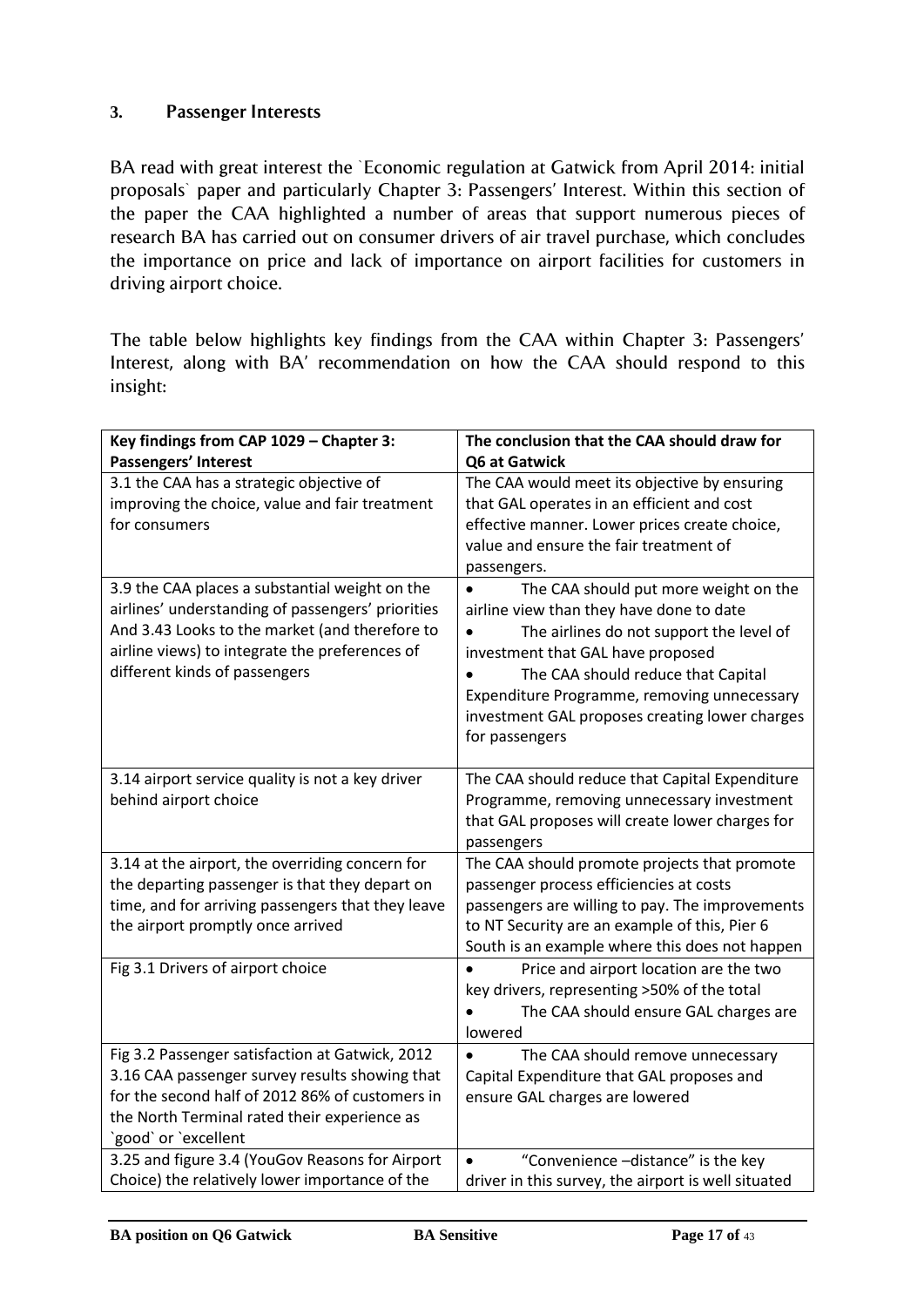# <span id="page-16-0"></span>**3. Passenger Interests**

BA read with great interest the `Economic regulation at Gatwick from April 2014: initial proposals` paper and particularly Chapter 3: Passengers" Interest. Within this section of the paper the CAA highlighted a number of areas that support numerous pieces of research BA has carried out on consumer drivers of air travel purchase, which concludes the importance on price and lack of importance on airport facilities for customers in driving airport choice.

The table below highlights key findings from the CAA within Chapter 3: Passengers" Interest, along with BA" recommendation on how the CAA should respond to this insight:

| Key findings from CAP 1029 - Chapter 3:           | The conclusion that the CAA should draw for         |
|---------------------------------------------------|-----------------------------------------------------|
| Passengers' Interest                              | Q6 at Gatwick                                       |
| 3.1 the CAA has a strategic objective of          | The CAA would meet its objective by ensuring        |
| improving the choice, value and fair treatment    | that GAL operates in an efficient and cost          |
| for consumers                                     | effective manner. Lower prices create choice,       |
|                                                   | value and ensure the fair treatment of              |
|                                                   | passengers.                                         |
| 3.9 the CAA places a substantial weight on the    | The CAA should put more weight on the<br>$\bullet$  |
| airlines' understanding of passengers' priorities | airline view than they have done to date            |
| And 3.43 Looks to the market (and therefore to    | The airlines do not support the level of            |
| airline views) to integrate the preferences of    | investment that GAL have proposed                   |
| different kinds of passengers                     | The CAA should reduce that Capital                  |
|                                                   | Expenditure Programme, removing unnecessary         |
|                                                   | investment GAL proposes creating lower charges      |
|                                                   | for passengers                                      |
|                                                   |                                                     |
| 3.14 airport service quality is not a key driver  | The CAA should reduce that Capital Expenditure      |
| behind airport choice                             | Programme, removing unnecessary investment          |
|                                                   | that GAL proposes will create lower charges for     |
|                                                   | passengers                                          |
| 3.14 at the airport, the overriding concern for   | The CAA should promote projects that promote        |
| the departing passenger is that they depart on    | passenger process efficiencies at costs             |
| time, and for arriving passengers that they leave | passengers are willing to pay. The improvements     |
| the airport promptly once arrived                 | to NT Security are an example of this, Pier 6       |
|                                                   | South is an example where this does not happen      |
| Fig 3.1 Drivers of airport choice                 | Price and airport location are the two              |
|                                                   | key drivers, representing >50% of the total         |
|                                                   | The CAA should ensure GAL charges are               |
|                                                   | lowered                                             |
| Fig 3.2 Passenger satisfaction at Gatwick, 2012   | The CAA should remove unnecessary                   |
| 3.16 CAA passenger survey results showing that    | Capital Expenditure that GAL proposes and           |
| for the second half of 2012 86% of customers in   | ensure GAL charges are lowered                      |
| the North Terminal rated their experience as      |                                                     |
| 'good' or 'excellent                              |                                                     |
| 3.25 and figure 3.4 (YouGov Reasons for Airport   | "Convenience -distance" is the key                  |
| Choice) the relatively lower importance of the    | driver in this survey, the airport is well situated |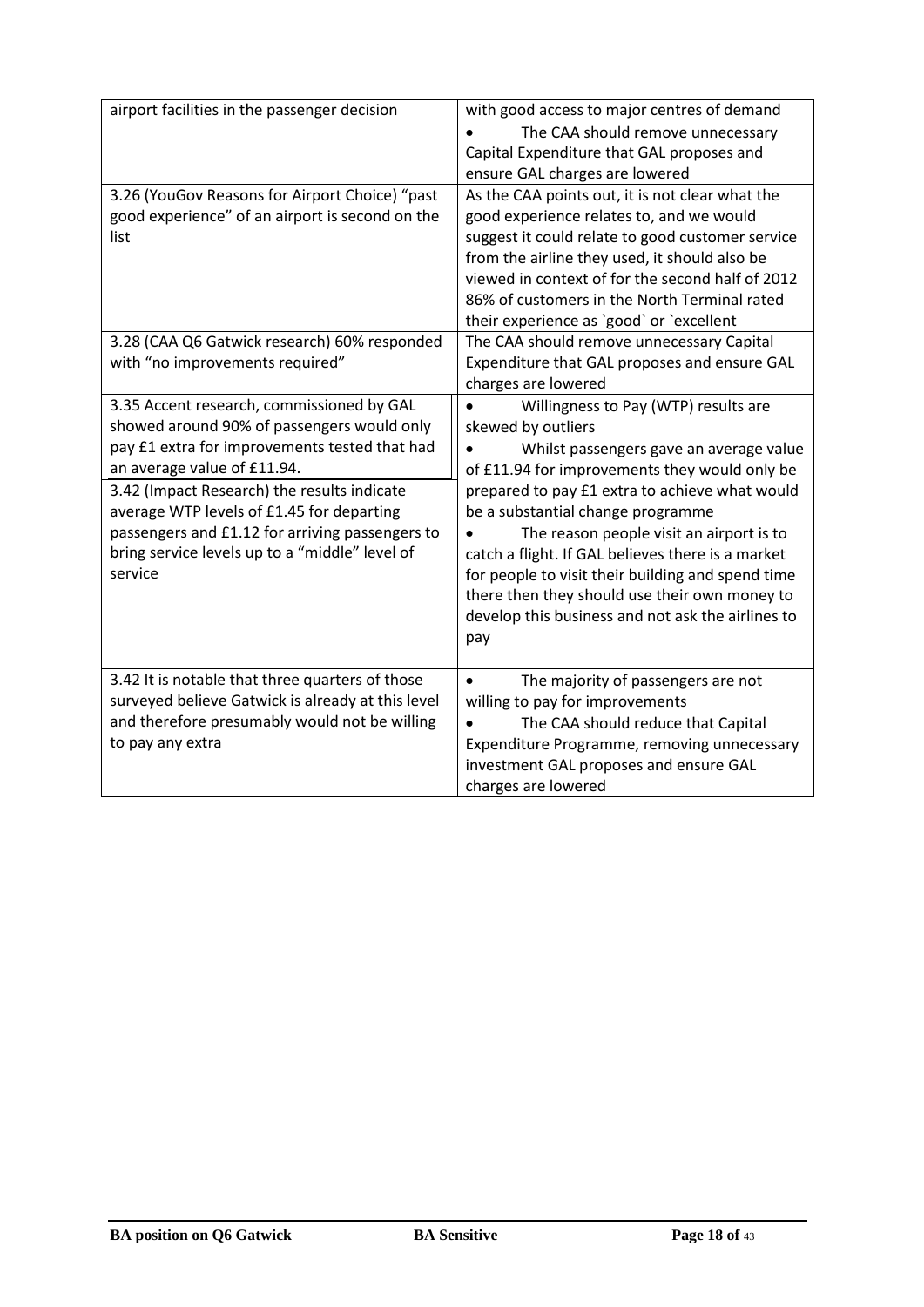| airport facilities in the passenger decision                                                                                                                                                                                                                                                                                                                                        | with good access to major centres of demand<br>The CAA should remove unnecessary<br>Capital Expenditure that GAL proposes and<br>ensure GAL charges are lowered                                                                                                                                                                                                                                                                                                                                                  |
|-------------------------------------------------------------------------------------------------------------------------------------------------------------------------------------------------------------------------------------------------------------------------------------------------------------------------------------------------------------------------------------|------------------------------------------------------------------------------------------------------------------------------------------------------------------------------------------------------------------------------------------------------------------------------------------------------------------------------------------------------------------------------------------------------------------------------------------------------------------------------------------------------------------|
| 3.26 (YouGov Reasons for Airport Choice) "past<br>good experience" of an airport is second on the<br>list                                                                                                                                                                                                                                                                           | As the CAA points out, it is not clear what the<br>good experience relates to, and we would<br>suggest it could relate to good customer service<br>from the airline they used, it should also be<br>viewed in context of for the second half of 2012<br>86% of customers in the North Terminal rated<br>their experience as `good` or `excellent                                                                                                                                                                 |
| 3.28 (CAA Q6 Gatwick research) 60% responded<br>with "no improvements required"                                                                                                                                                                                                                                                                                                     | The CAA should remove unnecessary Capital<br>Expenditure that GAL proposes and ensure GAL<br>charges are lowered                                                                                                                                                                                                                                                                                                                                                                                                 |
| 3.35 Accent research, commissioned by GAL<br>showed around 90% of passengers would only<br>pay £1 extra for improvements tested that had<br>an average value of £11.94.<br>3.42 (Impact Research) the results indicate<br>average WTP levels of £1.45 for departing<br>passengers and £1.12 for arriving passengers to<br>bring service levels up to a "middle" level of<br>service | Willingness to Pay (WTP) results are<br>skewed by outliers<br>Whilst passengers gave an average value<br>of £11.94 for improvements they would only be<br>prepared to pay £1 extra to achieve what would<br>be a substantial change programme<br>The reason people visit an airport is to<br>catch a flight. If GAL believes there is a market<br>for people to visit their building and spend time<br>there then they should use their own money to<br>develop this business and not ask the airlines to<br>pay |
| 3.42 It is notable that three quarters of those<br>surveyed believe Gatwick is already at this level<br>and therefore presumably would not be willing<br>to pay any extra                                                                                                                                                                                                           | The majority of passengers are not<br>willing to pay for improvements<br>The CAA should reduce that Capital<br>Expenditure Programme, removing unnecessary<br>investment GAL proposes and ensure GAL<br>charges are lowered                                                                                                                                                                                                                                                                                      |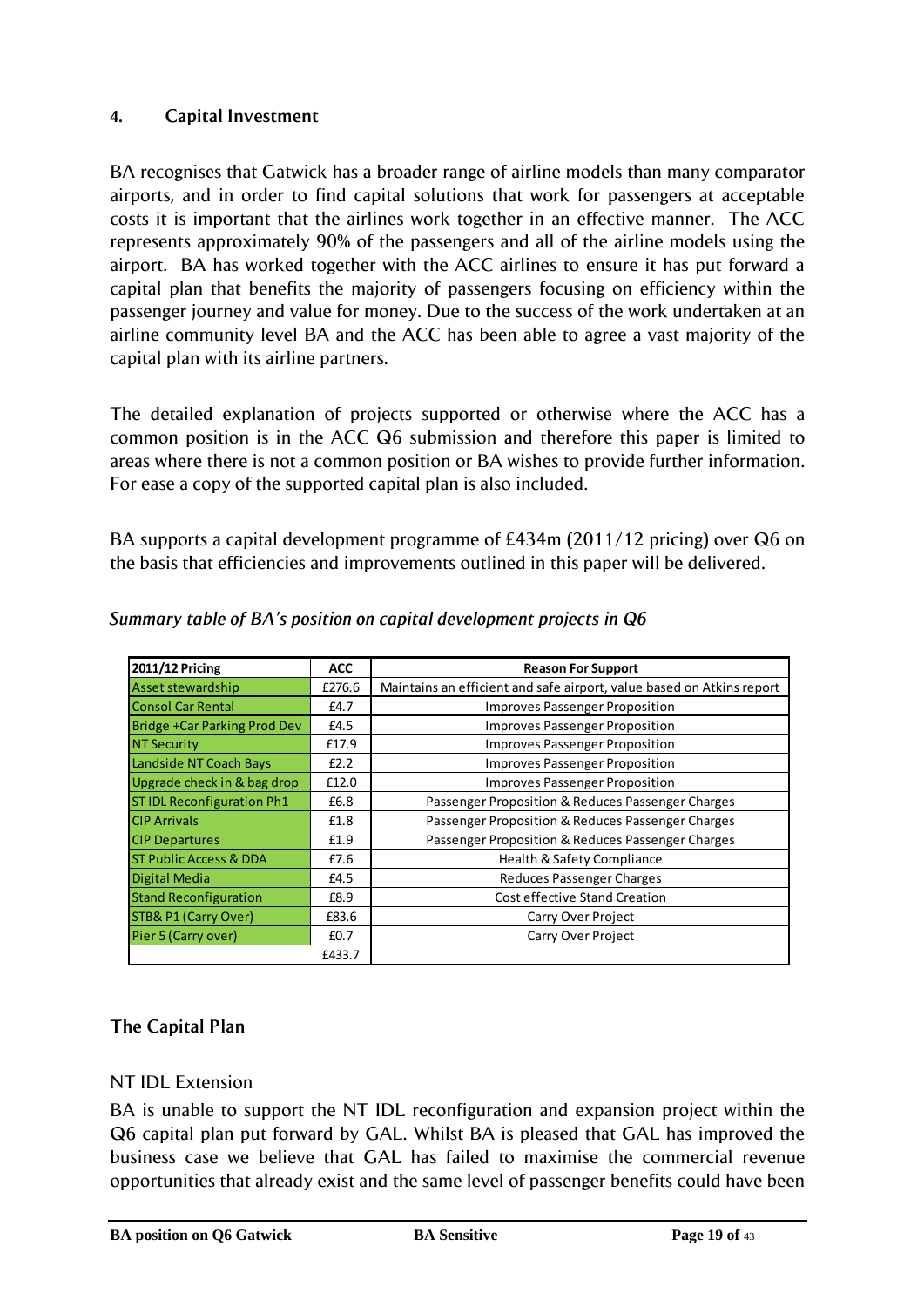# <span id="page-18-0"></span>**4. Capital Investment**

BA recognises that Gatwick has a broader range of airline models than many comparator airports, and in order to find capital solutions that work for passengers at acceptable costs it is important that the airlines work together in an effective manner. The ACC represents approximately 90% of the passengers and all of the airline models using the airport. BA has worked together with the ACC airlines to ensure it has put forward a capital plan that benefits the majority of passengers focusing on efficiency within the passenger journey and value for money. Due to the success of the work undertaken at an airline community level BA and the ACC has been able to agree a vast majority of the capital plan with its airline partners.

The detailed explanation of projects supported or otherwise where the ACC has a common position is in the ACC Q6 submission and therefore this paper is limited to areas where there is not a common position or BA wishes to provide further information. For ease a copy of the supported capital plan is also included.

BA supports a capital development programme of £434m (2011/12 pricing) over Q6 on the basis that efficiencies and improvements outlined in this paper will be delivered.

| 2011/12 Pricing                   | <b>ACC</b> | <b>Reason For Support</b>                                             |
|-----------------------------------|------------|-----------------------------------------------------------------------|
| Asset stewardship                 | £276.6     | Maintains an efficient and safe airport, value based on Atkins report |
| <b>Consol Car Rental</b>          | £4.7       | <b>Improves Passenger Proposition</b>                                 |
| Bridge +Car Parking Prod Dev      | £4.5       | <b>Improves Passenger Proposition</b>                                 |
| <b>NT Security</b>                | £17.9      | Improves Passenger Proposition                                        |
| Landside NT Coach Bays            | E2.2       | <b>Improves Passenger Proposition</b>                                 |
| Upgrade check in & bag drop       | £12.0      | <b>Improves Passenger Proposition</b>                                 |
| <b>STIDL Reconfiguration Ph1</b>  | £6.8       | Passenger Proposition & Reduces Passenger Charges                     |
| <b>CIP Arrivals</b>               | £1.8       | Passenger Proposition & Reduces Passenger Charges                     |
| <b>CIP Departures</b>             | £1.9       | Passenger Proposition & Reduces Passenger Charges                     |
| <b>ST Public Access &amp; DDA</b> | £7.6       | Health & Safety Compliance                                            |
| Digital Media                     | £4.5       | <b>Reduces Passenger Charges</b>                                      |
| <b>Stand Reconfiguration</b>      | £8.9       | Cost effective Stand Creation                                         |
| STB& P1 (Carry Over)              | £83.6      | Carry Over Project                                                    |
| Pier 5 (Carry over)               | £0.7       | Carry Over Project                                                    |
|                                   | £433.7     |                                                                       |

# *Summary table of BA's position on capital development projects in Q6*

# **The Capital Plan**

# NT IDL Extension

BA is unable to support the NT IDL reconfiguration and expansion project within the Q6 capital plan put forward by GAL. Whilst BA is pleased that GAL has improved the business case we believe that GAL has failed to maximise the commercial revenue opportunities that already exist and the same level of passenger benefits could have been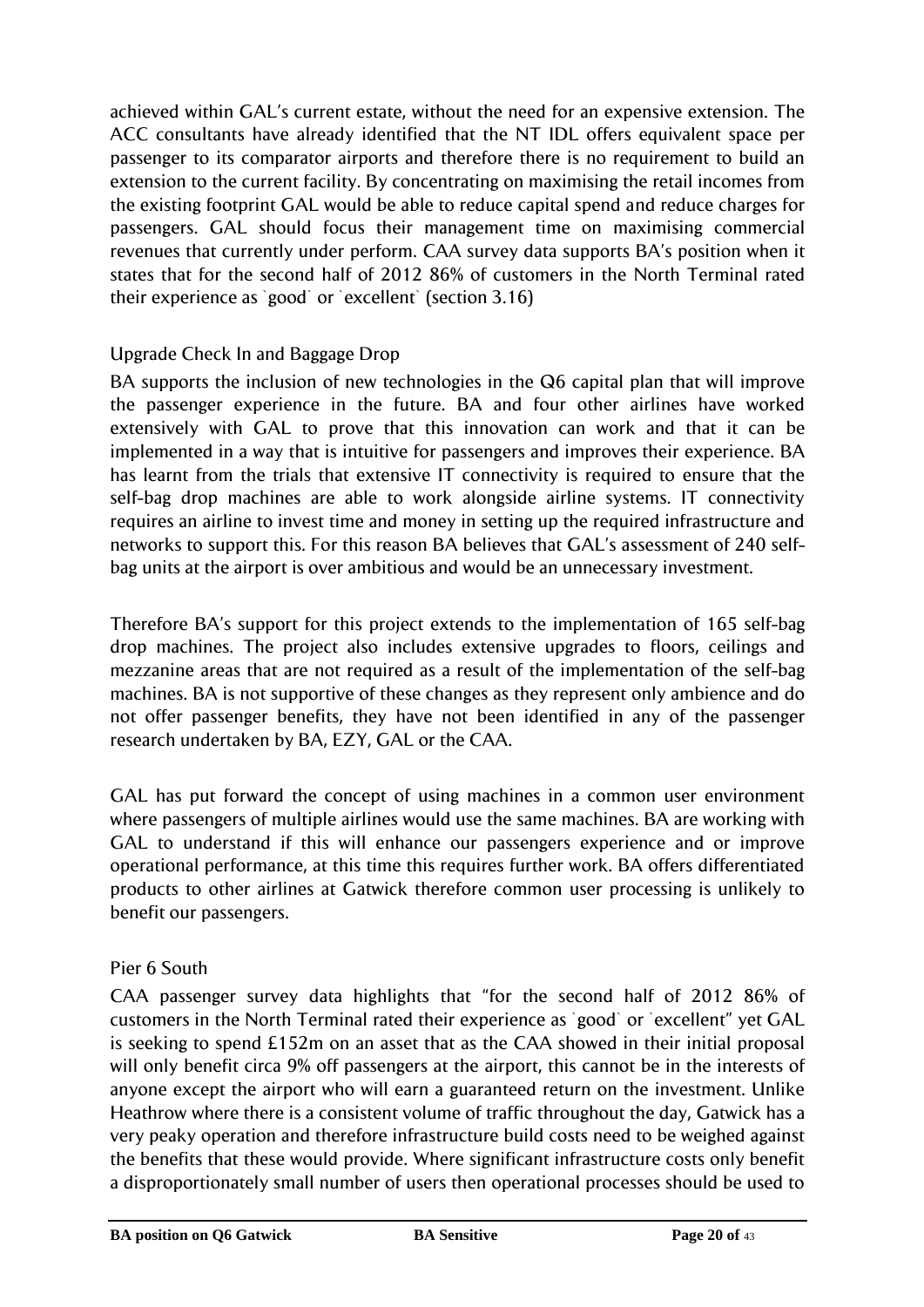achieved within GAL"s current estate, without the need for an expensive extension. The ACC consultants have already identified that the NT IDL offers equivalent space per passenger to its comparator airports and therefore there is no requirement to build an extension to the current facility. By concentrating on maximising the retail incomes from the existing footprint GAL would be able to reduce capital spend and reduce charges for passengers. GAL should focus their management time on maximising commercial revenues that currently under perform. CAA survey data supports BA"s position when it states that for the second half of 2012 86% of customers in the North Terminal rated their experience as `good` or `excellent` (section 3.16)

# Upgrade Check In and Baggage Drop

BA supports the inclusion of new technologies in the Q6 capital plan that will improve the passenger experience in the future. BA and four other airlines have worked extensively with GAL to prove that this innovation can work and that it can be implemented in a way that is intuitive for passengers and improves their experience. BA has learnt from the trials that extensive IT connectivity is required to ensure that the self-bag drop machines are able to work alongside airline systems. IT connectivity requires an airline to invest time and money in setting up the required infrastructure and networks to support this. For this reason BA believes that GAL"s assessment of 240 selfbag units at the airport is over ambitious and would be an unnecessary investment.

Therefore BA's support for this project extends to the implementation of 165 self-bag drop machines. The project also includes extensive upgrades to floors, ceilings and mezzanine areas that are not required as a result of the implementation of the self-bag machines. BA is not supportive of these changes as they represent only ambience and do not offer passenger benefits, they have not been identified in any of the passenger research undertaken by BA, EZY, GAL or the CAA.

GAL has put forward the concept of using machines in a common user environment where passengers of multiple airlines would use the same machines. BA are working with GAL to understand if this will enhance our passengers experience and or improve operational performance, at this time this requires further work. BA offers differentiated products to other airlines at Gatwick therefore common user processing is unlikely to benefit our passengers.

# Pier 6 South

CAA passenger survey data highlights that "for the second half of 2012 86% of customers in the North Terminal rated their experience as `good` or `excellent" yet GAL is seeking to spend £152m on an asset that as the CAA showed in their initial proposal will only benefit circa 9% off passengers at the airport, this cannot be in the interests of anyone except the airport who will earn a guaranteed return on the investment. Unlike Heathrow where there is a consistent volume of traffic throughout the day, Gatwick has a very peaky operation and therefore infrastructure build costs need to be weighed against the benefits that these would provide. Where significant infrastructure costs only benefit a disproportionately small number of users then operational processes should be used to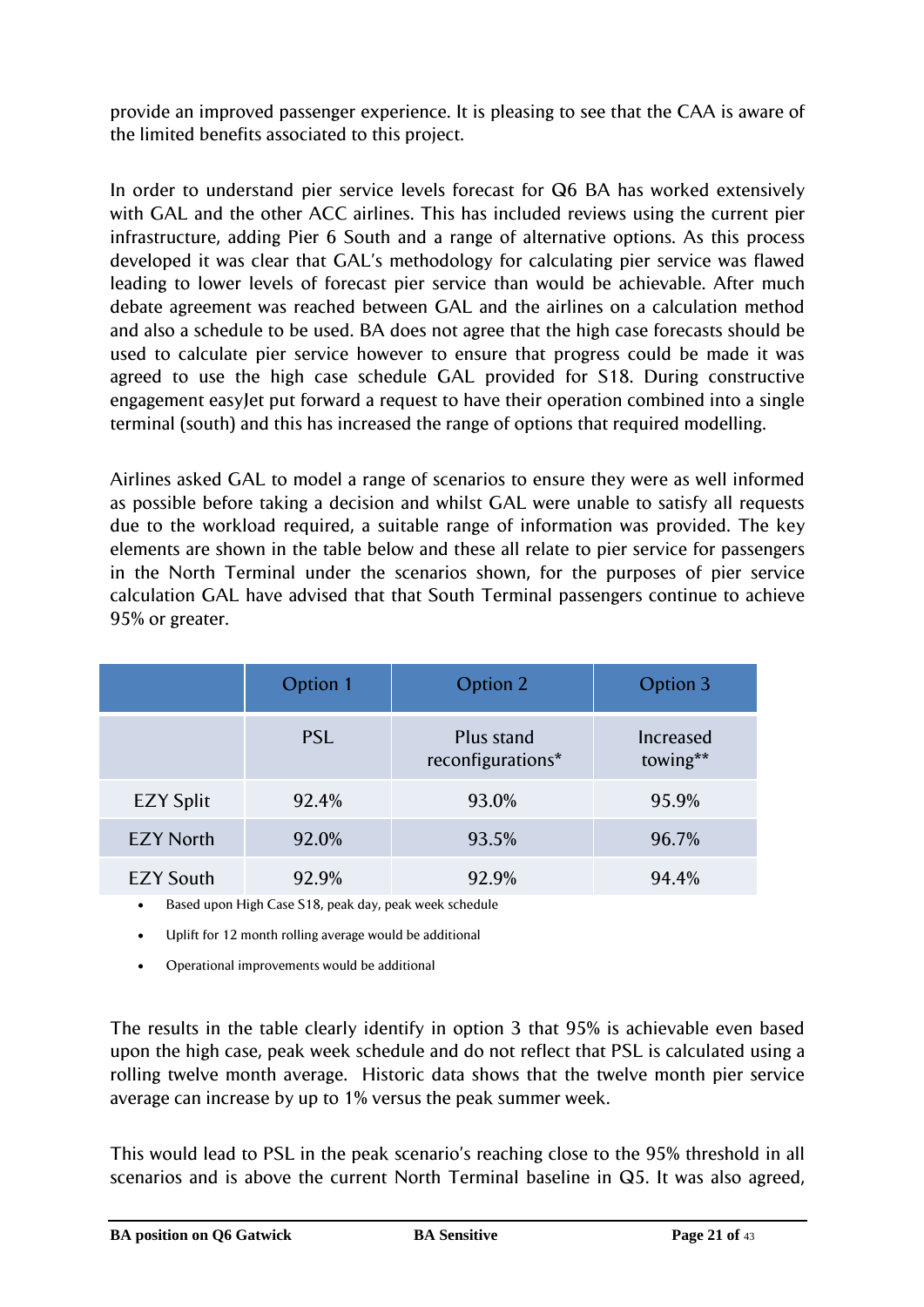provide an improved passenger experience. It is pleasing to see that the CAA is aware of the limited benefits associated to this project.

In order to understand pier service levels forecast for Q6 BA has worked extensively with GAL and the other ACC airlines. This has included reviews using the current pier infrastructure, adding Pier 6 South and a range of alternative options. As this process developed it was clear that GAL"s methodology for calculating pier service was flawed leading to lower levels of forecast pier service than would be achievable. After much debate agreement was reached between GAL and the airlines on a calculation method and also a schedule to be used. BA does not agree that the high case forecasts should be used to calculate pier service however to ensure that progress could be made it was agreed to use the high case schedule GAL provided for S18. During constructive engagement easyJet put forward a request to have their operation combined into a single terminal (south) and this has increased the range of options that required modelling.

Airlines asked GAL to model a range of scenarios to ensure they were as well informed as possible before taking a decision and whilst GAL were unable to satisfy all requests due to the workload required, a suitable range of information was provided. The key elements are shown in the table below and these all relate to pier service for passengers in the North Terminal under the scenarios shown, for the purposes of pier service calculation GAL have advised that that South Terminal passengers continue to achieve 95% or greater.

|                  | Option 1   | Option 2                        | Option 3              |
|------------------|------------|---------------------------------|-----------------------|
|                  | <b>PSL</b> | Plus stand<br>reconfigurations* | Increased<br>towing** |
| <b>EZY Split</b> | 92.4%      | 93.0%                           | 95.9%                 |
| <b>EZY North</b> | 92.0%      | 93.5%                           | 96.7%                 |
| <b>EZY South</b> | 92.9%      | 92.9%                           | 94.4%                 |

Based upon High Case S18, peak day, peak week schedule

- Uplift for 12 month rolling average would be additional
- Operational improvements would be additional

The results in the table clearly identify in option 3 that 95% is achievable even based upon the high case, peak week schedule and do not reflect that PSL is calculated using a rolling twelve month average. Historic data shows that the twelve month pier service average can increase by up to 1% versus the peak summer week.

This would lead to PSL in the peak scenario's reaching close to the 95% threshold in all scenarios and is above the current North Terminal baseline in Q5. It was also agreed,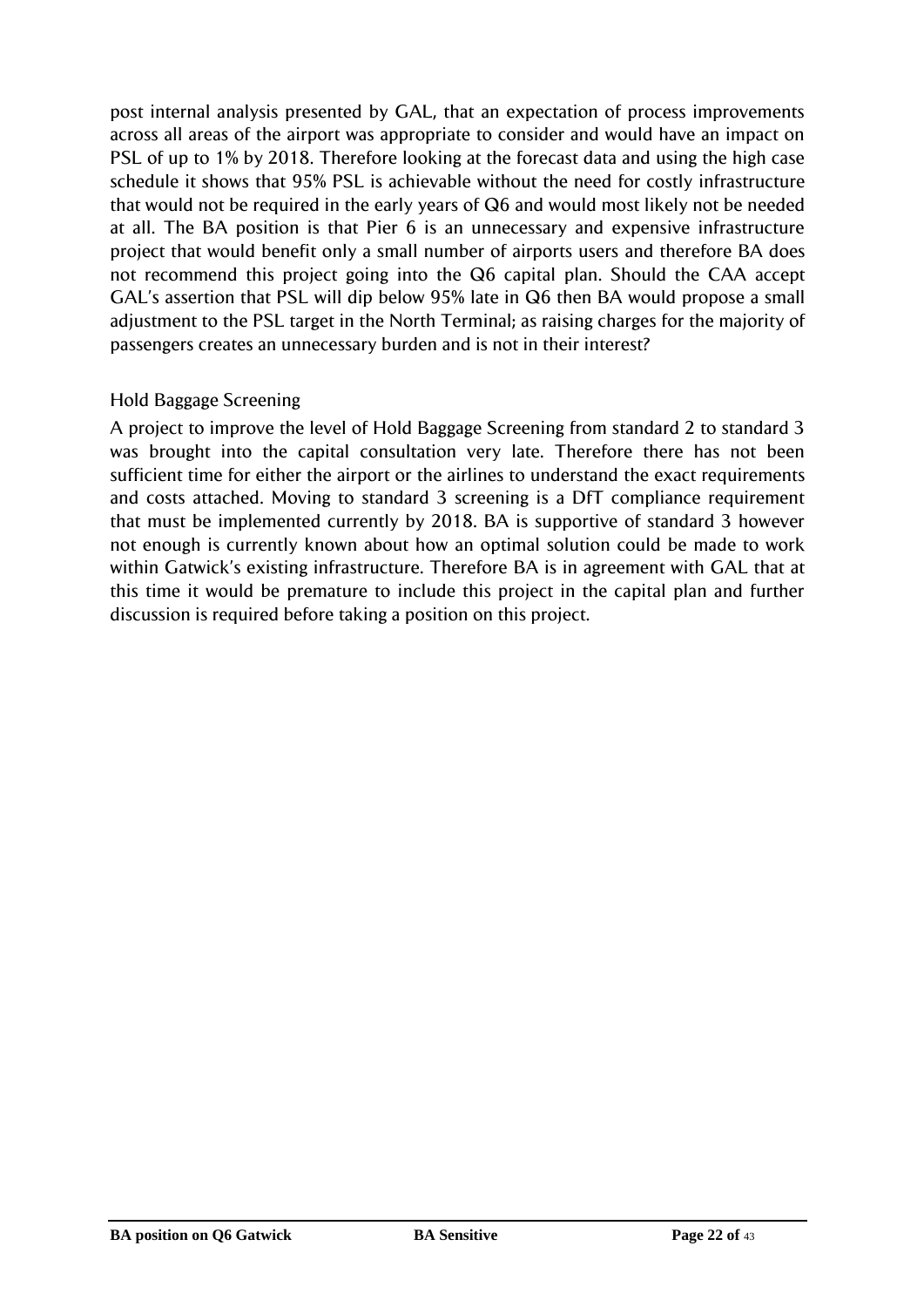post internal analysis presented by GAL, that an expectation of process improvements across all areas of the airport was appropriate to consider and would have an impact on PSL of up to 1% by 2018. Therefore looking at the forecast data and using the high case schedule it shows that 95% PSL is achievable without the need for costly infrastructure that would not be required in the early years of Q6 and would most likely not be needed at all. The BA position is that Pier 6 is an unnecessary and expensive infrastructure project that would benefit only a small number of airports users and therefore BA does not recommend this project going into the Q6 capital plan. Should the CAA accept GAL"s assertion that PSL will dip below 95% late in Q6 then BA would propose a small adjustment to the PSL target in the North Terminal; as raising charges for the majority of passengers creates an unnecessary burden and is not in their interest?

# Hold Baggage Screening

A project to improve the level of Hold Baggage Screening from standard 2 to standard 3 was brought into the capital consultation very late. Therefore there has not been sufficient time for either the airport or the airlines to understand the exact requirements and costs attached. Moving to standard 3 screening is a DfT compliance requirement that must be implemented currently by 2018. BA is supportive of standard 3 however not enough is currently known about how an optimal solution could be made to work within Gatwick's existing infrastructure. Therefore BA is in agreement with GAL that at this time it would be premature to include this project in the capital plan and further discussion is required before taking a position on this project.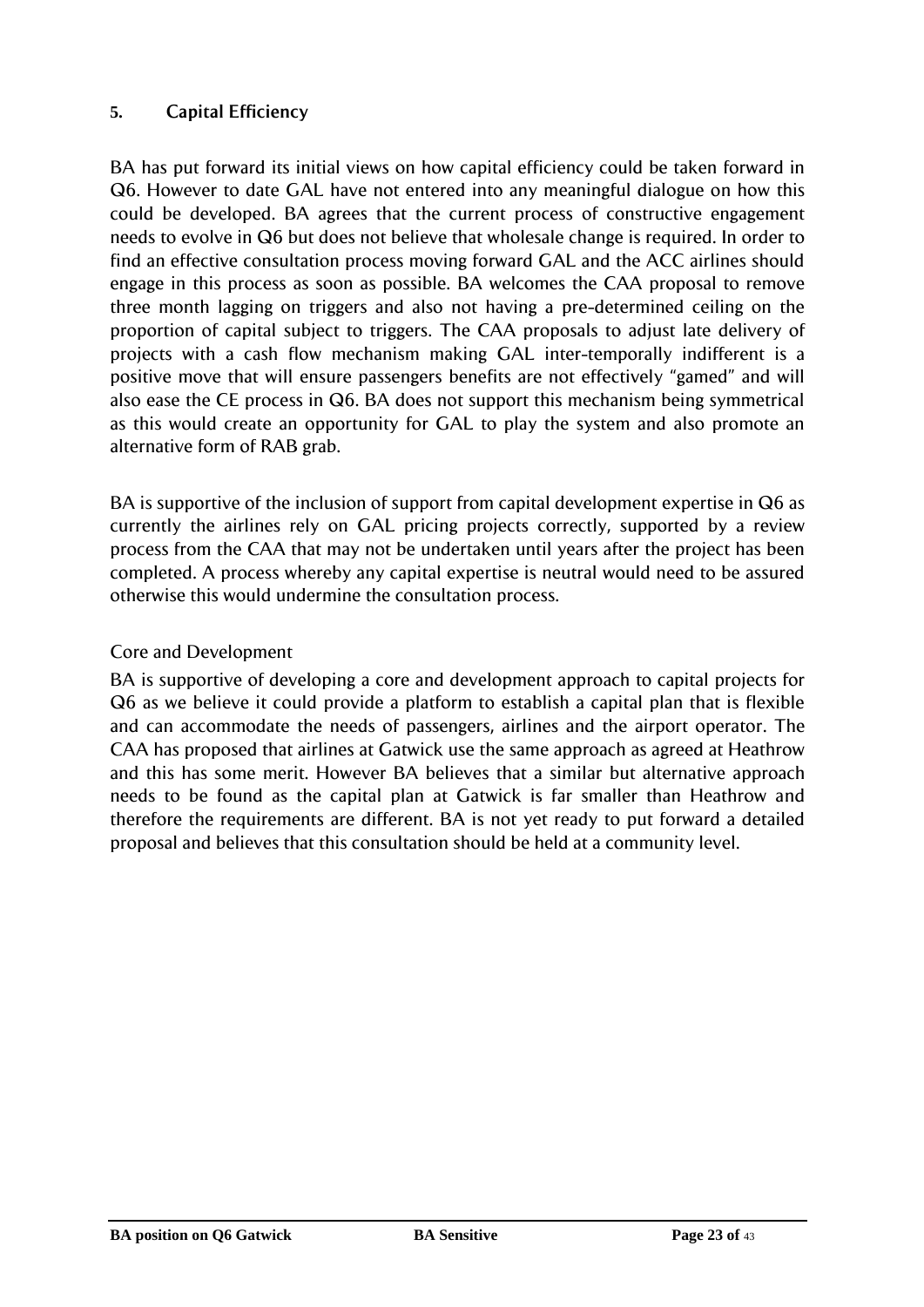# <span id="page-22-0"></span>**5. Capital Efficiency**

BA has put forward its initial views on how capital efficiency could be taken forward in Q6. However to date GAL have not entered into any meaningful dialogue on how this could be developed. BA agrees that the current process of constructive engagement needs to evolve in Q6 but does not believe that wholesale change is required. In order to find an effective consultation process moving forward GAL and the ACC airlines should engage in this process as soon as possible. BA welcomes the CAA proposal to remove three month lagging on triggers and also not having a pre-determined ceiling on the proportion of capital subject to triggers. The CAA proposals to adjust late delivery of projects with a cash flow mechanism making GAL inter-temporally indifferent is a positive move that will ensure passengers benefits are not effectively "gamed" and will also ease the CE process in Q6. BA does not support this mechanism being symmetrical as this would create an opportunity for GAL to play the system and also promote an alternative form of RAB grab.

BA is supportive of the inclusion of support from capital development expertise in Q6 as currently the airlines rely on GAL pricing projects correctly, supported by a review process from the CAA that may not be undertaken until years after the project has been completed. A process whereby any capital expertise is neutral would need to be assured otherwise this would undermine the consultation process.

# Core and Development

BA is supportive of developing a core and development approach to capital projects for Q6 as we believe it could provide a platform to establish a capital plan that is flexible and can accommodate the needs of passengers, airlines and the airport operator. The CAA has proposed that airlines at Gatwick use the same approach as agreed at Heathrow and this has some merit. However BA believes that a similar but alternative approach needs to be found as the capital plan at Gatwick is far smaller than Heathrow and therefore the requirements are different. BA is not yet ready to put forward a detailed proposal and believes that this consultation should be held at a community level.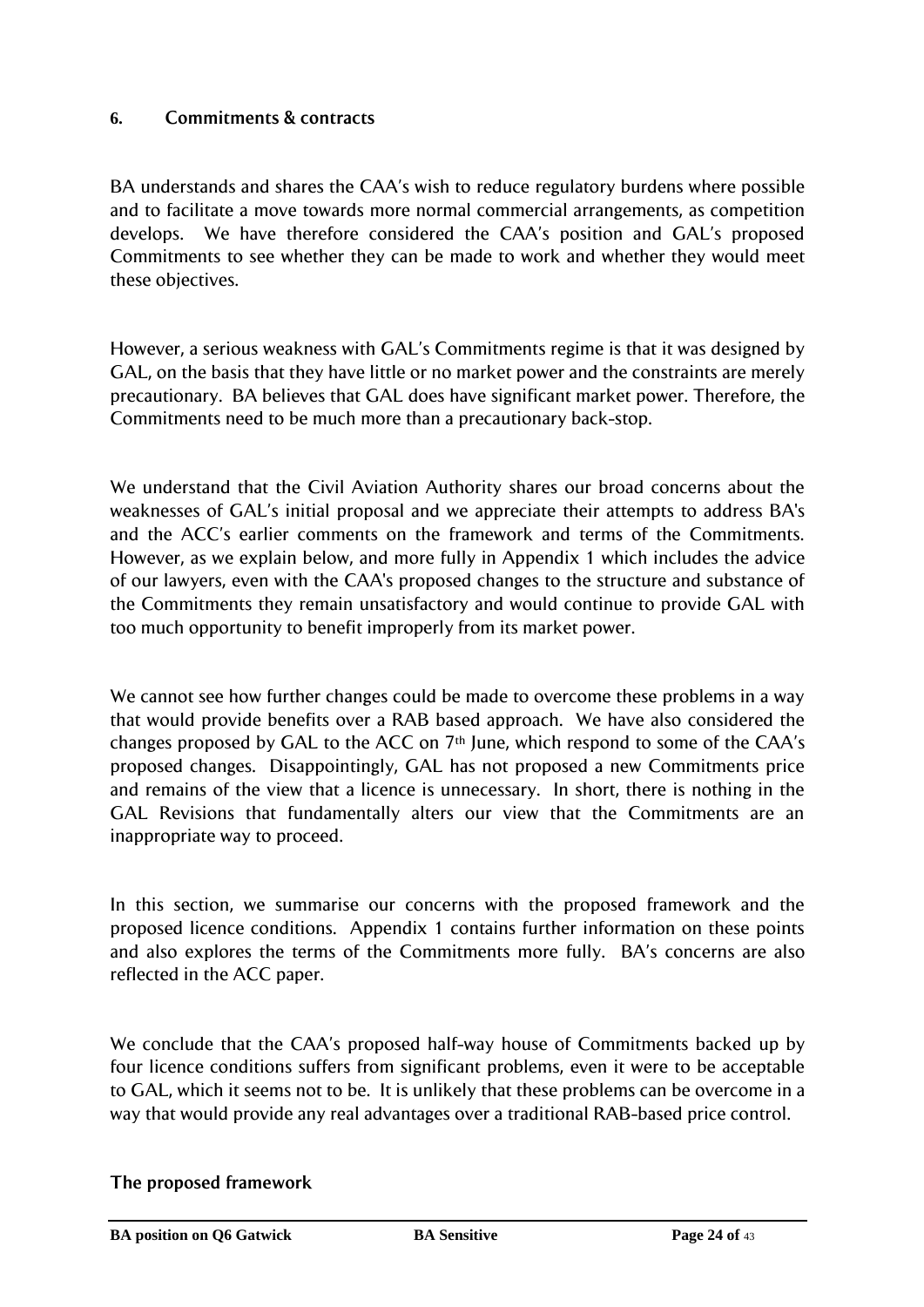# <span id="page-23-0"></span>**6. Commitments & contracts**

BA understands and shares the CAA"s wish to reduce regulatory burdens where possible and to facilitate a move towards more normal commercial arrangements, as competition develops. We have therefore considered the CAA"s position and GAL"s proposed Commitments to see whether they can be made to work and whether they would meet these objectives.

However, a serious weakness with GAL"s Commitments regime is that it was designed by GAL, on the basis that they have little or no market power and the constraints are merely precautionary. BA believes that GAL does have significant market power. Therefore, the Commitments need to be much more than a precautionary back-stop.

We understand that the Civil Aviation Authority shares our broad concerns about the weaknesses of GAL"s initial proposal and we appreciate their attempts to address BA's and the ACC"s earlier comments on the framework and terms of the Commitments. However, as we explain below, and more fully in Appendix 1 which includes the advice of our lawyers, even with the CAA's proposed changes to the structure and substance of the Commitments they remain unsatisfactory and would continue to provide GAL with too much opportunity to benefit improperly from its market power.

We cannot see how further changes could be made to overcome these problems in a way that would provide benefits over a RAB based approach. We have also considered the changes proposed by GAL to the ACC on  $7<sup>th</sup>$  June, which respond to some of the CAA's proposed changes. Disappointingly, GAL has not proposed a new Commitments price and remains of the view that a licence is unnecessary. In short, there is nothing in the GAL Revisions that fundamentally alters our view that the Commitments are an inappropriate way to proceed.

In this section, we summarise our concerns with the proposed framework and the proposed licence conditions. Appendix 1 contains further information on these points and also explores the terms of the Commitments more fully. BA's concerns are also reflected in the ACC paper.

We conclude that the CAA"s proposed half-way house of Commitments backed up by four licence conditions suffers from significant problems, even it were to be acceptable to GAL, which it seems not to be. It is unlikely that these problems can be overcome in a way that would provide any real advantages over a traditional RAB-based price control.

#### **The proposed framework**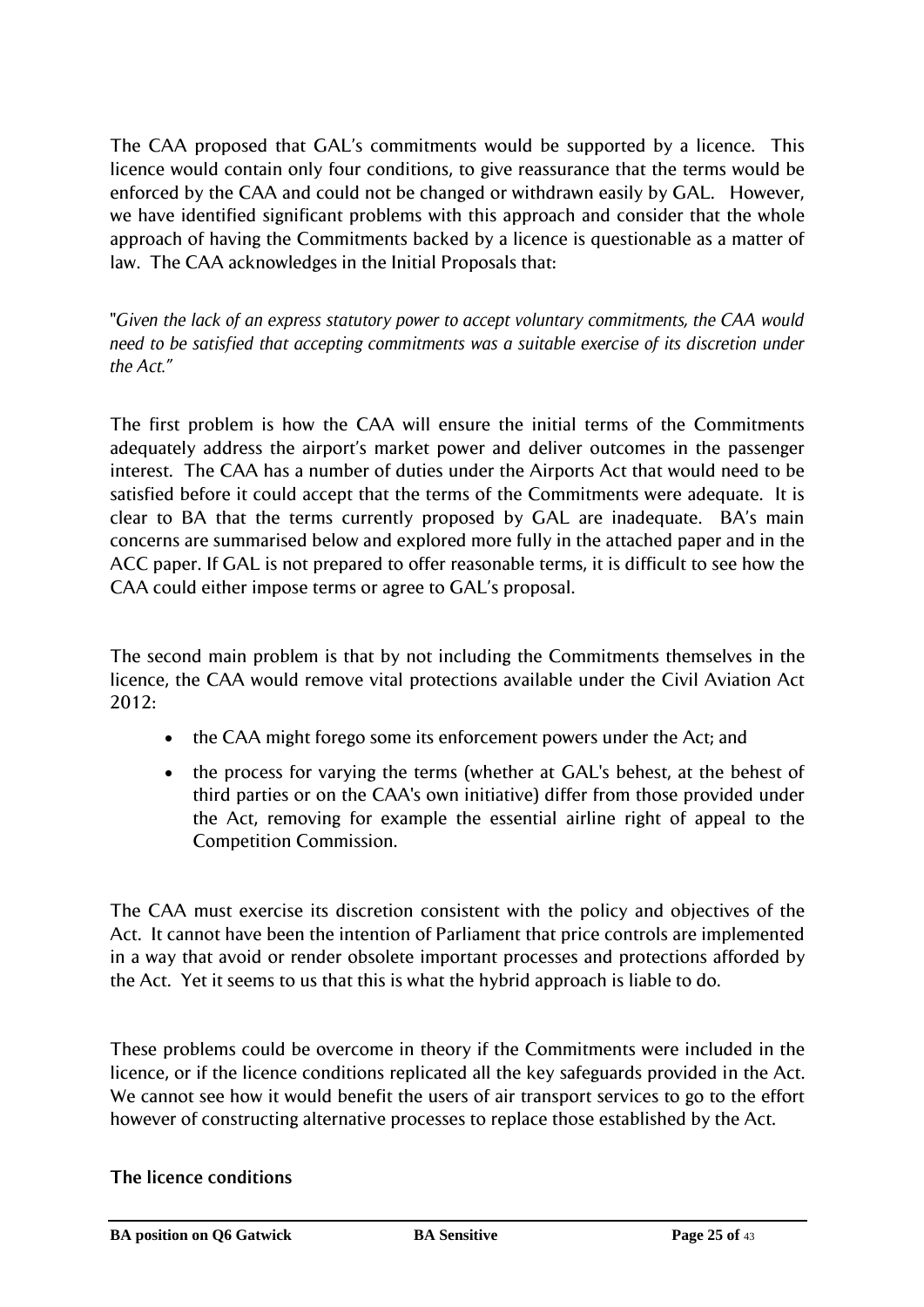The CAA proposed that GAL"s commitments would be supported by a licence. This licence would contain only four conditions, to give reassurance that the terms would be enforced by the CAA and could not be changed or withdrawn easily by GAL. However, we have identified significant problems with this approach and consider that the whole approach of having the Commitments backed by a licence is questionable as a matter of law. The CAA acknowledges in the Initial Proposals that:

"*Given the lack of an express statutory power to accept voluntary commitments, the CAA would need to be satisfied that accepting commitments was a suitable exercise of its discretion under the Act."*

The first problem is how the CAA will ensure the initial terms of the Commitments adequately address the airport"s market power and deliver outcomes in the passenger interest. The CAA has a number of duties under the Airports Act that would need to be satisfied before it could accept that the terms of the Commitments were adequate. It is clear to BA that the terms currently proposed by GAL are inadequate. BA"s main concerns are summarised below and explored more fully in the attached paper and in the ACC paper. If GAL is not prepared to offer reasonable terms, it is difficult to see how the CAA could either impose terms or agree to GAL"s proposal.

The second main problem is that by not including the Commitments themselves in the licence, the CAA would remove vital protections available under the Civil Aviation Act 2012:

- the CAA might forego some its enforcement powers under the Act; and
- the process for varying the terms (whether at GAL's behest, at the behest of third parties or on the CAA's own initiative) differ from those provided under the Act, removing for example the essential airline right of appeal to the Competition Commission.

The CAA must exercise its discretion consistent with the policy and objectives of the Act. It cannot have been the intention of Parliament that price controls are implemented in a way that avoid or render obsolete important processes and protections afforded by the Act. Yet it seems to us that this is what the hybrid approach is liable to do.

These problems could be overcome in theory if the Commitments were included in the licence, or if the licence conditions replicated all the key safeguards provided in the Act. We cannot see how it would benefit the users of air transport services to go to the effort however of constructing alternative processes to replace those established by the Act.

**The licence conditions**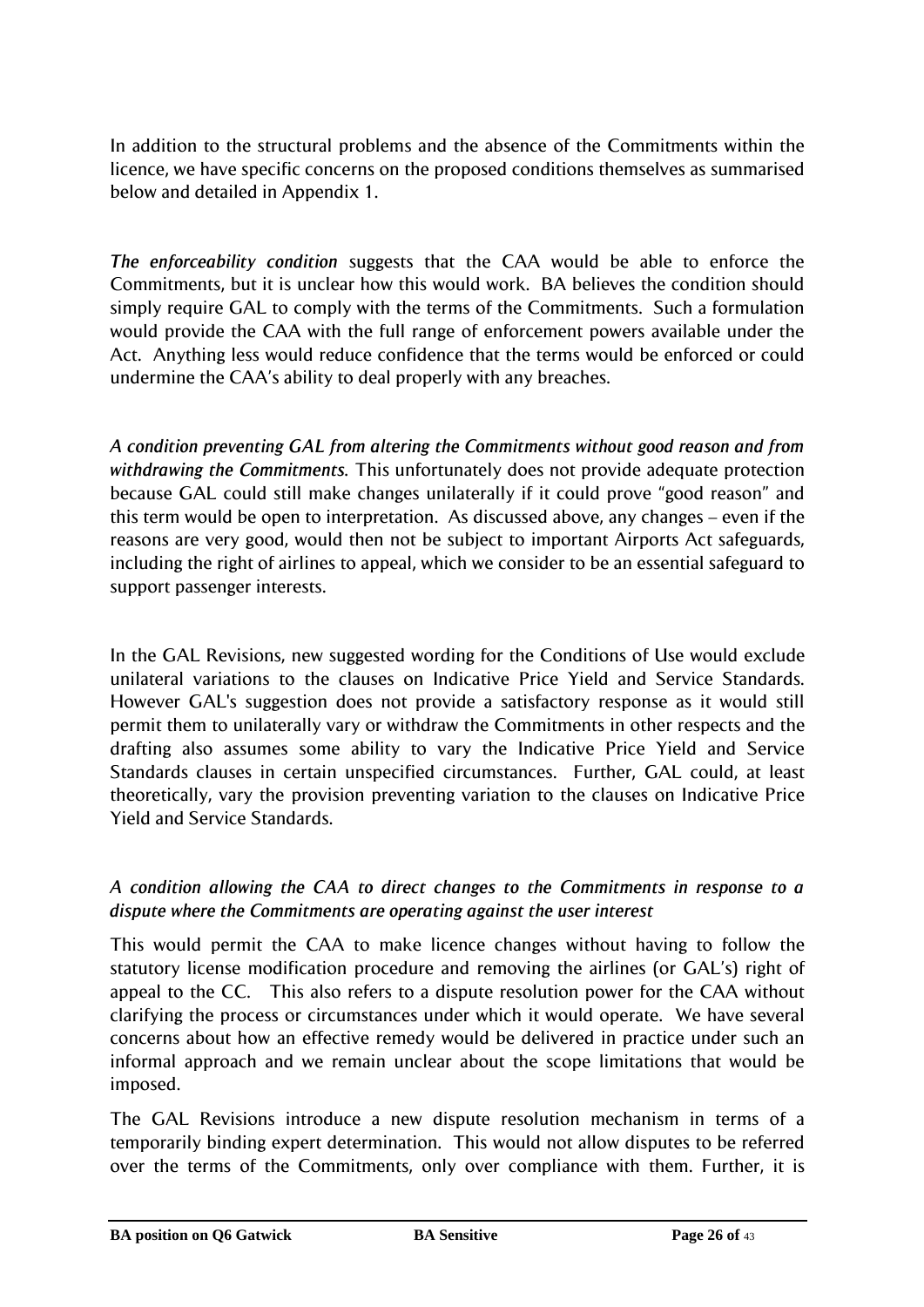In addition to the structural problems and the absence of the Commitments within the licence, we have specific concerns on the proposed conditions themselves as summarised below and detailed in Appendix 1.

*The enforceability condition* suggests that the CAA would be able to enforce the Commitments, but it is unclear how this would work. BA believes the condition should simply require GAL to comply with the terms of the Commitments. Such a formulation would provide the CAA with the full range of enforcement powers available under the Act. Anything less would reduce confidence that the terms would be enforced or could undermine the CAA"s ability to deal properly with any breaches.

*A condition preventing GAL from altering the Commitments without good reason and from withdrawing the Commitments.* This unfortunately does not provide adequate protection because GAL could still make changes unilaterally if it could prove "good reason" and this term would be open to interpretation. As discussed above, any changes – even if the reasons are very good, would then not be subject to important Airports Act safeguards, including the right of airlines to appeal, which we consider to be an essential safeguard to support passenger interests.

In the GAL Revisions, new suggested wording for the Conditions of Use would exclude unilateral variations to the clauses on Indicative Price Yield and Service Standards. However GAL's suggestion does not provide a satisfactory response as it would still permit them to unilaterally vary or withdraw the Commitments in other respects and the drafting also assumes some ability to vary the Indicative Price Yield and Service Standards clauses in certain unspecified circumstances. Further, GAL could, at least theoretically, vary the provision preventing variation to the clauses on Indicative Price Yield and Service Standards.

# *A condition allowing the CAA to direct changes to the Commitments in response to a dispute where the Commitments are operating against the user interest*

This would permit the CAA to make licence changes without having to follow the statutory license modification procedure and removing the airlines (or GAL"s) right of appeal to the CC. This also refers to a dispute resolution power for the CAA without clarifying the process or circumstances under which it would operate. We have several concerns about how an effective remedy would be delivered in practice under such an informal approach and we remain unclear about the scope limitations that would be imposed.

The GAL Revisions introduce a new dispute resolution mechanism in terms of a temporarily binding expert determination. This would not allow disputes to be referred over the terms of the Commitments, only over compliance with them. Further, it is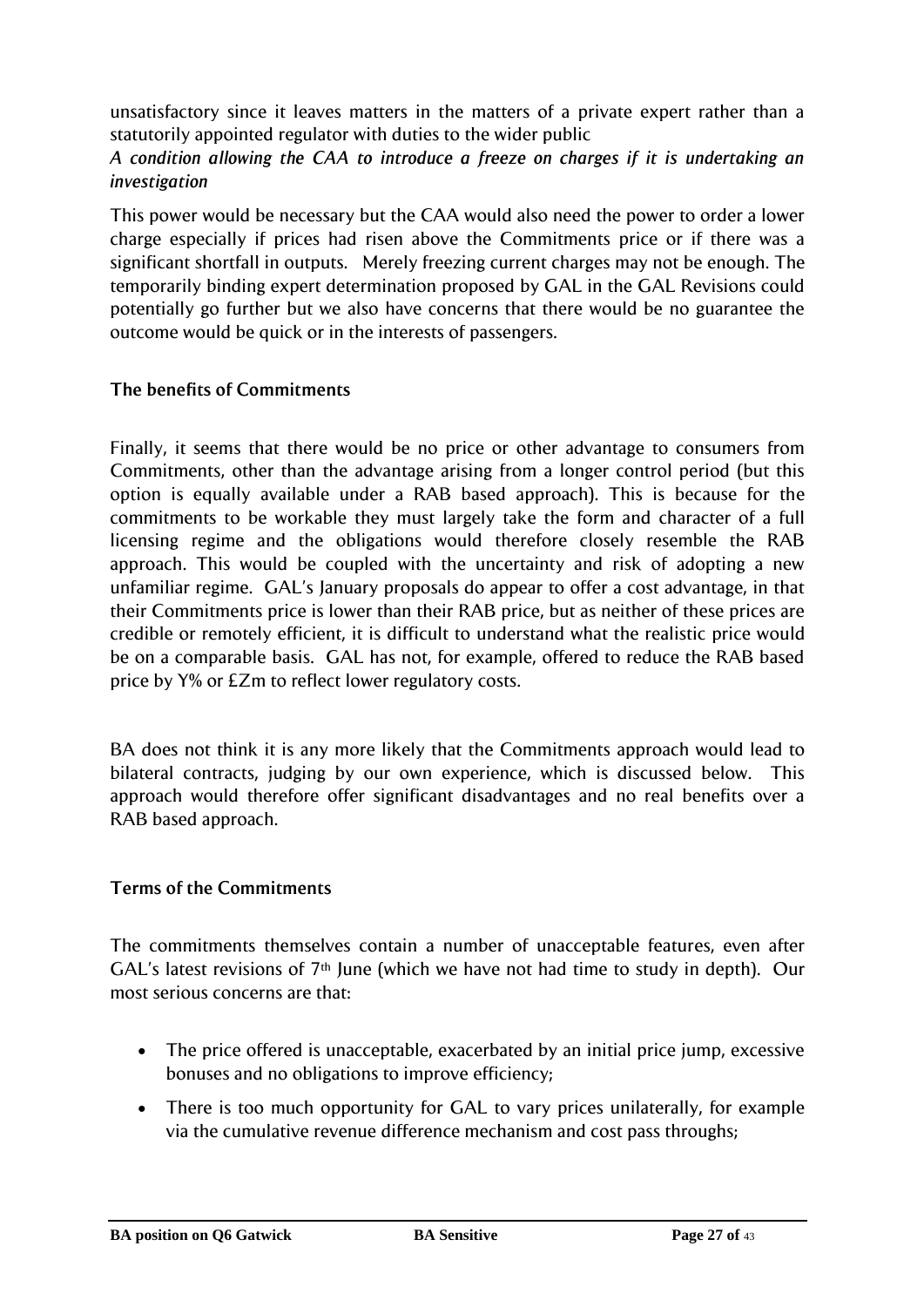unsatisfactory since it leaves matters in the matters of a private expert rather than a statutorily appointed regulator with duties to the wider public

*A condition allowing the CAA to introduce a freeze on charges if it is undertaking an investigation*

This power would be necessary but the CAA would also need the power to order a lower charge especially if prices had risen above the Commitments price or if there was a significant shortfall in outputs. Merely freezing current charges may not be enough. The temporarily binding expert determination proposed by GAL in the GAL Revisions could potentially go further but we also have concerns that there would be no guarantee the outcome would be quick or in the interests of passengers.

# **The benefits of Commitments**

Finally, it seems that there would be no price or other advantage to consumers from Commitments, other than the advantage arising from a longer control period (but this option is equally available under a RAB based approach). This is because for the commitments to be workable they must largely take the form and character of a full licensing regime and the obligations would therefore closely resemble the RAB approach. This would be coupled with the uncertainty and risk of adopting a new unfamiliar regime. GAL"s January proposals do appear to offer a cost advantage, in that their Commitments price is lower than their RAB price, but as neither of these prices are credible or remotely efficient, it is difficult to understand what the realistic price would be on a comparable basis. GAL has not, for example, offered to reduce the RAB based price by Y% or £Zm to reflect lower regulatory costs.

BA does not think it is any more likely that the Commitments approach would lead to bilateral contracts, judging by our own experience, which is discussed below. This approach would therefore offer significant disadvantages and no real benefits over a RAB based approach.

# **Terms of the Commitments**

The commitments themselves contain a number of unacceptable features, even after GAL's latest revisions of  $7<sup>th</sup>$  June (which we have not had time to study in depth). Our most serious concerns are that:

- The price offered is unacceptable, exacerbated by an initial price jump, excessive bonuses and no obligations to improve efficiency;
- There is too much opportunity for GAL to vary prices unilaterally, for example via the cumulative revenue difference mechanism and cost pass throughs;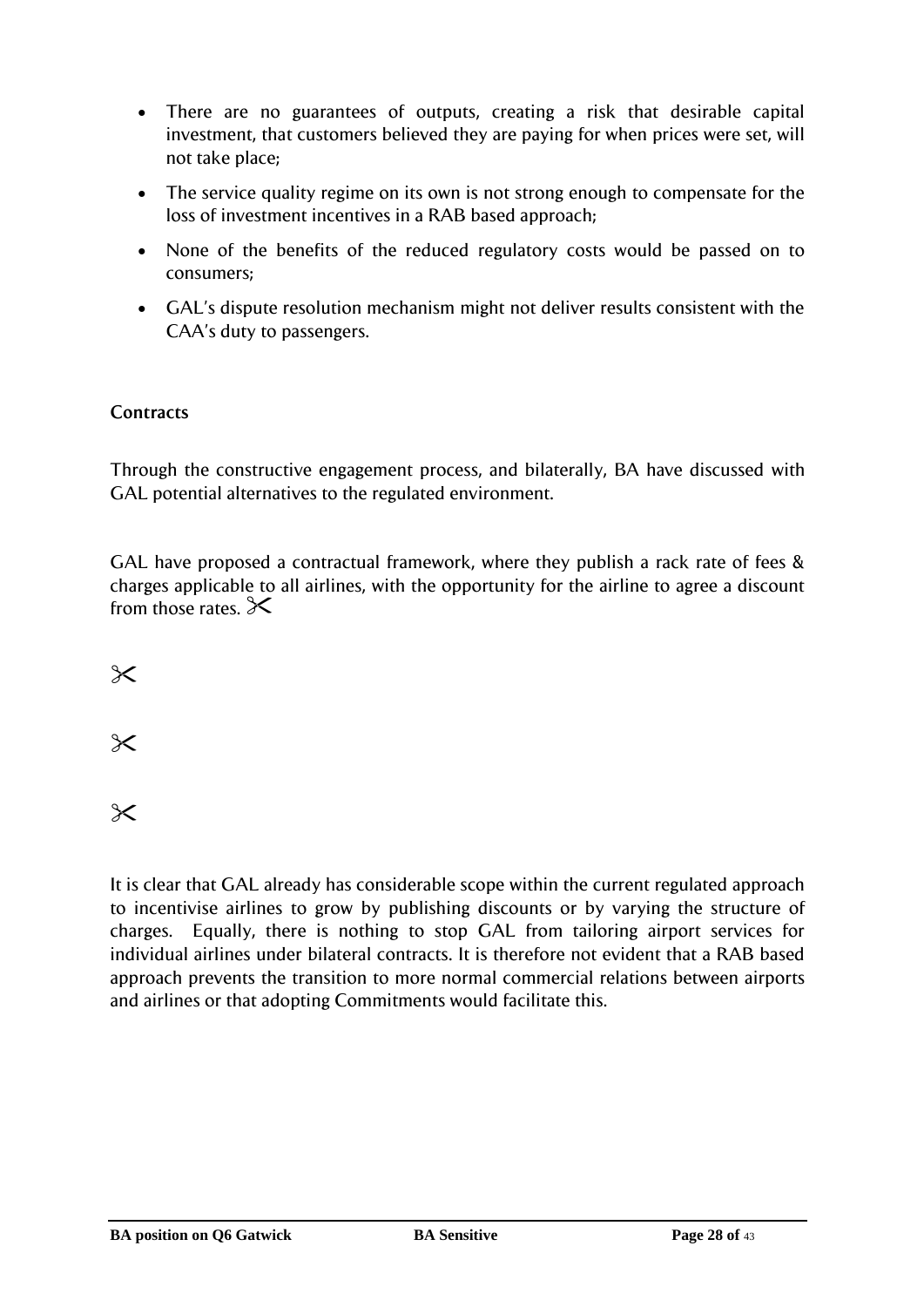- There are no guarantees of outputs, creating a risk that desirable capital investment, that customers believed they are paying for when prices were set, will not take place;
- The service quality regime on its own is not strong enough to compensate for the loss of investment incentives in a RAB based approach;
- None of the benefits of the reduced regulatory costs would be passed on to consumers;
- GAL"s dispute resolution mechanism might not deliver results consistent with the CAA"s duty to passengers.

# **Contracts**

Through the constructive engagement process, and bilaterally, BA have discussed with GAL potential alternatives to the regulated environment.

GAL have proposed a contractual framework, where they publish a rack rate of fees & charges applicable to all airlines, with the opportunity for the airline to agree a discount from those rates.  $\mathsf{\ge}$ 

 $\times$ 

 $\chi$ 

 $\chi$ 

It is clear that GAL already has considerable scope within the current regulated approach to incentivise airlines to grow by publishing discounts or by varying the structure of charges. Equally, there is nothing to stop GAL from tailoring airport services for individual airlines under bilateral contracts. It is therefore not evident that a RAB based approach prevents the transition to more normal commercial relations between airports and airlines or that adopting Commitments would facilitate this.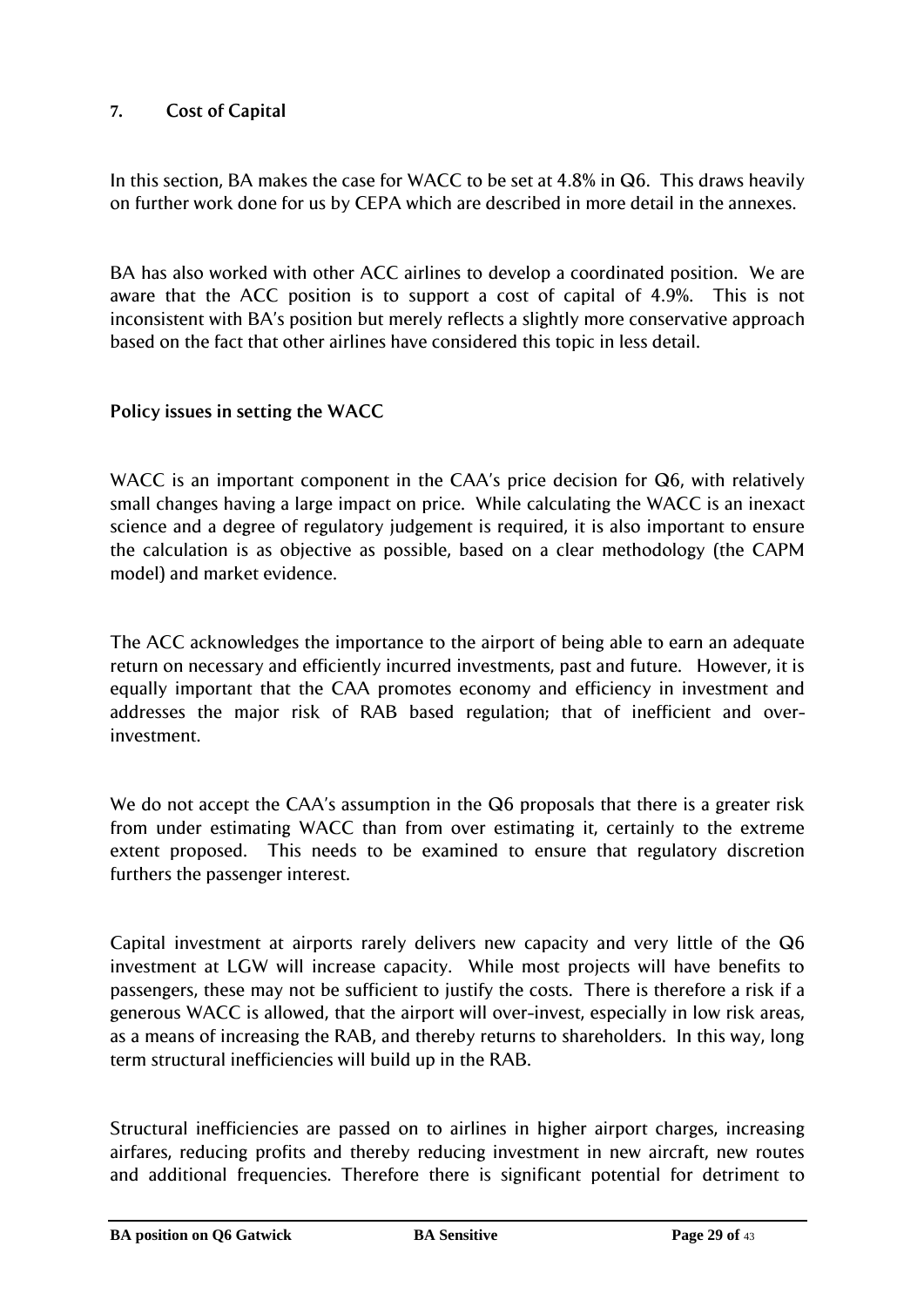# <span id="page-28-0"></span>**7. Cost of Capital**

In this section, BA makes the case for WACC to be set at 4.8% in Q6. This draws heavily on further work done for us by CEPA which are described in more detail in the annexes.

BA has also worked with other ACC airlines to develop a coordinated position. We are aware that the ACC position is to support a cost of capital of 4.9%. This is not inconsistent with BA"s position but merely reflects a slightly more conservative approach based on the fact that other airlines have considered this topic in less detail.

# **Policy issues in setting the WACC**

WACC is an important component in the CAA's price decision for Q6, with relatively small changes having a large impact on price. While calculating the WACC is an inexact science and a degree of regulatory judgement is required, it is also important to ensure the calculation is as objective as possible, based on a clear methodology (the CAPM model) and market evidence.

The ACC acknowledges the importance to the airport of being able to earn an adequate return on necessary and efficiently incurred investments, past and future. However, it is equally important that the CAA promotes economy and efficiency in investment and addresses the major risk of RAB based regulation; that of inefficient and overinvestment.

We do not accept the CAA's assumption in the Q6 proposals that there is a greater risk from under estimating WACC than from over estimating it, certainly to the extreme extent proposed. This needs to be examined to ensure that regulatory discretion furthers the passenger interest.

Capital investment at airports rarely delivers new capacity and very little of the Q6 investment at LGW will increase capacity. While most projects will have benefits to passengers, these may not be sufficient to justify the costs. There is therefore a risk if a generous WACC is allowed, that the airport will over-invest, especially in low risk areas, as a means of increasing the RAB, and thereby returns to shareholders. In this way, long term structural inefficiencies will build up in the RAB.

Structural inefficiencies are passed on to airlines in higher airport charges, increasing airfares, reducing profits and thereby reducing investment in new aircraft, new routes and additional frequencies. Therefore there is significant potential for detriment to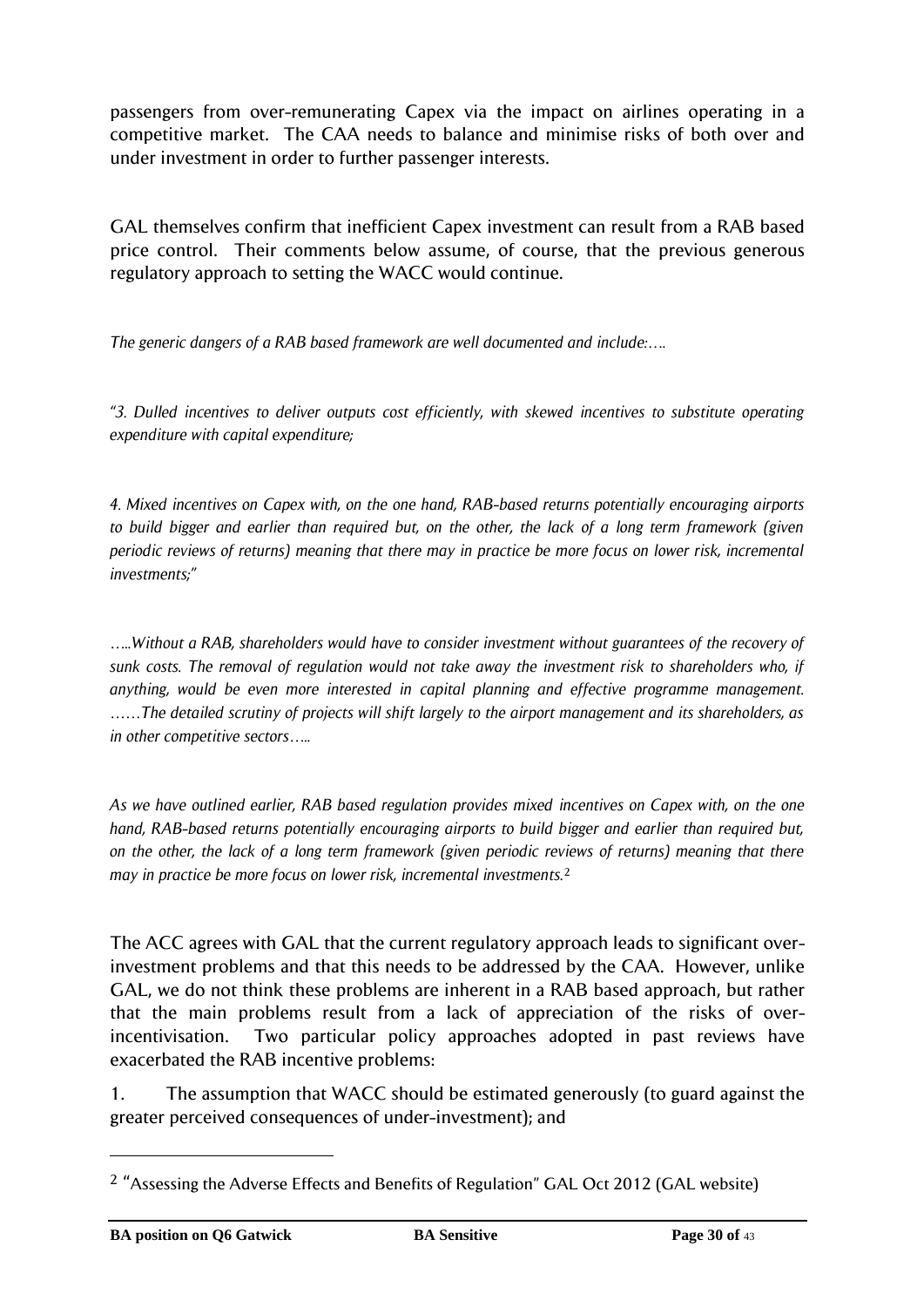passengers from over-remunerating Capex via the impact on airlines operating in a competitive market. The CAA needs to balance and minimise risks of both over and under investment in order to further passenger interests.

GAL themselves confirm that inefficient Capex investment can result from a RAB based price control. Their comments below assume, of course, that the previous generous regulatory approach to setting the WACC would continue.

*The generic dangers of a RAB based framework are well documented and include:….*

*"3. Dulled incentives to deliver outputs cost efficiently, with skewed incentives to substitute operating expenditure with capital expenditure;* 

*4. Mixed incentives on Capex with, on the one hand, RAB-based returns potentially encouraging airports to build bigger and earlier than required but, on the other, the lack of a long term framework (given periodic reviews of returns) meaning that there may in practice be more focus on lower risk, incremental investments;"*

*…..Without a RAB, shareholders would have to consider investment without guarantees of the recovery of sunk costs. The removal of regulation would not take away the investment risk to shareholders who, if anything, would be even more interested in capital planning and effective programme management. ……The detailed scrutiny of projects will shift largely to the airport management and its shareholders, as in other competitive sectors…..*

*As we have outlined earlier, RAB based regulation provides mixed incentives on Capex with, on the one hand, RAB-based returns potentially encouraging airports to build bigger and earlier than required but, on the other, the lack of a long term framework (given periodic reviews of returns) meaning that there may in practice be more focus on lower risk, incremental investments.*<sup>2</sup>

The ACC agrees with GAL that the current regulatory approach leads to significant overinvestment problems and that this needs to be addressed by the CAA. However, unlike GAL, we do not think these problems are inherent in a RAB based approach, but rather that the main problems result from a lack of appreciation of the risks of overincentivisation. Two particular policy approaches adopted in past reviews have exacerbated the RAB incentive problems:

1. The assumption that WACC should be estimated generously (to guard against the greater perceived consequences of under-investment); and

 $\overline{a}$ 

<sup>&</sup>lt;sup>2</sup> "Assessing the Adverse Effects and Benefits of Regulation" GAL Oct 2012 (GAL website)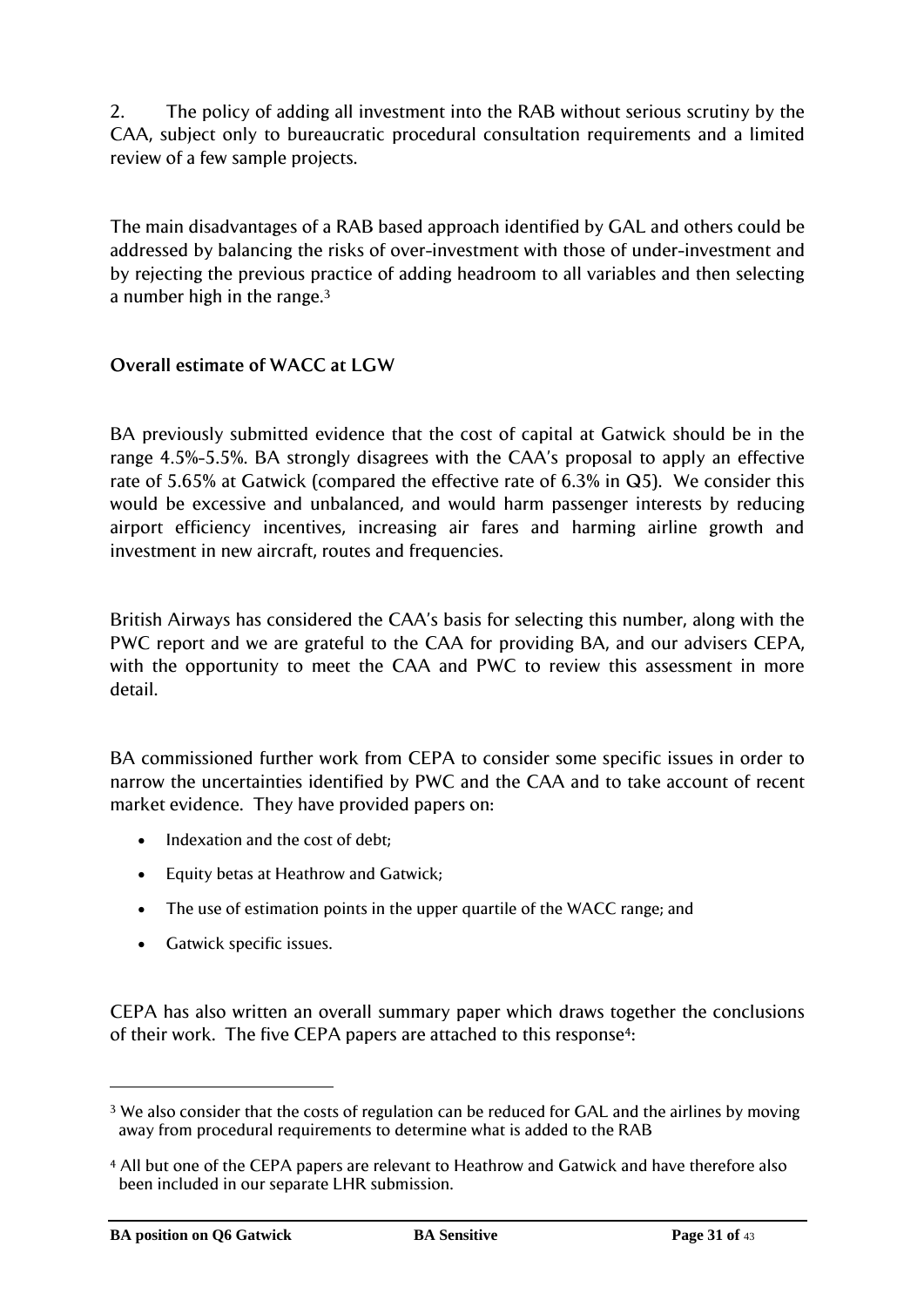2. The policy of adding all investment into the RAB without serious scrutiny by the CAA, subject only to bureaucratic procedural consultation requirements and a limited review of a few sample projects.

The main disadvantages of a RAB based approach identified by GAL and others could be addressed by balancing the risks of over-investment with those of under-investment and by rejecting the previous practice of adding headroom to all variables and then selecting a number high in the range.<sup>3</sup>

# **Overall estimate of WACC at LGW**

BA previously submitted evidence that the cost of capital at Gatwick should be in the range 4.5%-5.5%. BA strongly disagrees with the CAA"s proposal to apply an effective rate of 5.65% at Gatwick (compared the effective rate of 6.3% in Q5). We consider this would be excessive and unbalanced, and would harm passenger interests by reducing airport efficiency incentives, increasing air fares and harming airline growth and investment in new aircraft, routes and frequencies.

British Airways has considered the CAA"s basis for selecting this number, along with the PWC report and we are grateful to the CAA for providing BA, and our advisers CEPA, with the opportunity to meet the CAA and PWC to review this assessment in more detail.

BA commissioned further work from CEPA to consider some specific issues in order to narrow the uncertainties identified by PWC and the CAA and to take account of recent market evidence. They have provided papers on:

- Indexation and the cost of debt;
- Equity betas at Heathrow and Gatwick;
- The use of estimation points in the upper quartile of the WACC range; and
- Gatwick specific issues.

CEPA has also written an overall summary paper which draws together the conclusions of their work. The five CEPA papers are attached to this response<sup>4</sup>:

 $\overline{a}$ 

<sup>&</sup>lt;sup>3</sup> We also consider that the costs of regulation can be reduced for GAL and the airlines by moving away from procedural requirements to determine what is added to the RAB

<sup>4</sup> All but one of the CEPA papers are relevant to Heathrow and Gatwick and have therefore also been included in our separate LHR submission.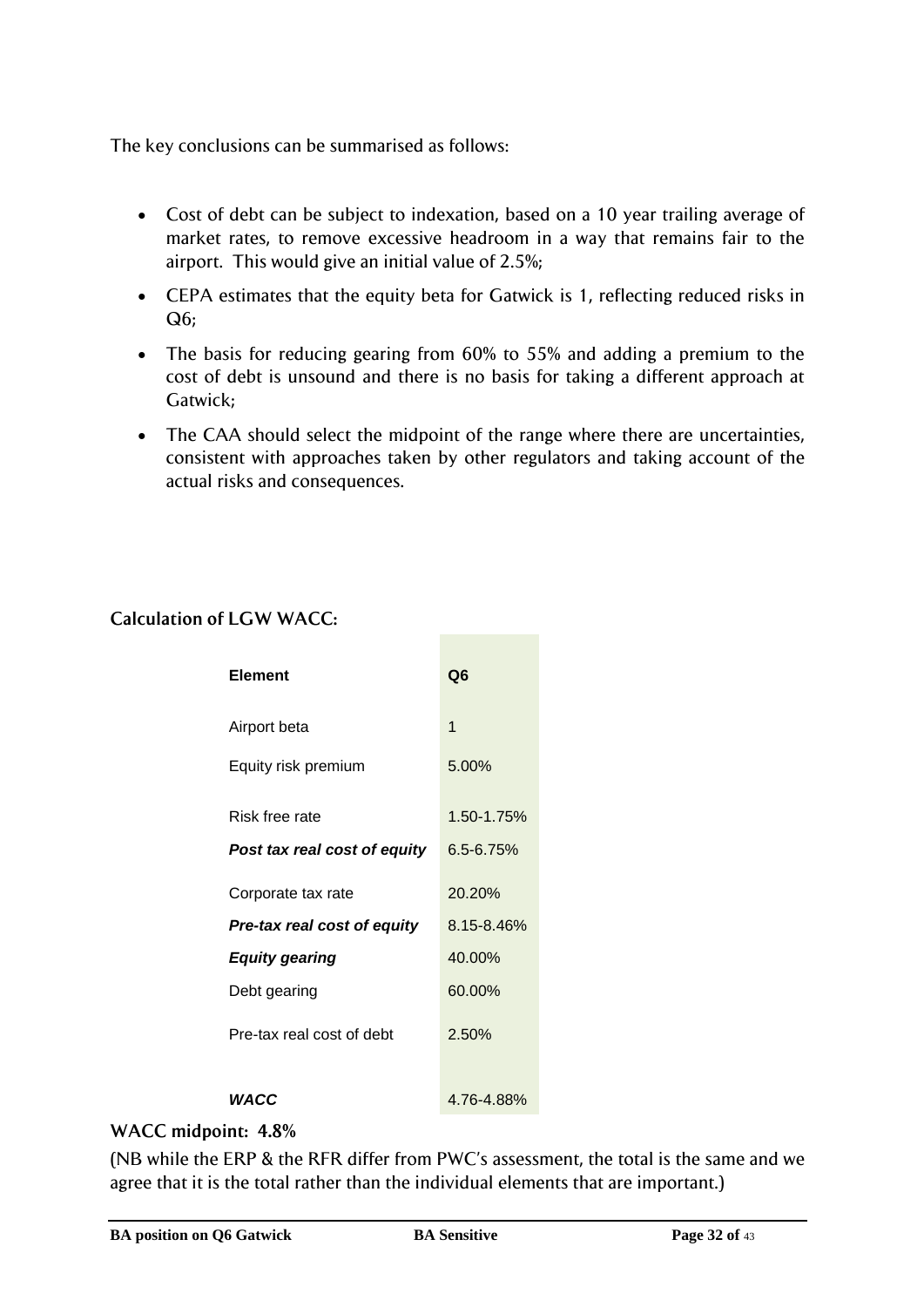The key conclusions can be summarised as follows:

- Cost of debt can be subject to indexation, based on a 10 year trailing average of market rates, to remove excessive headroom in a way that remains fair to the airport. This would give an initial value of 2.5%;
- CEPA estimates that the equity beta for Gatwick is 1, reflecting reduced risks in Q6;
- The basis for reducing gearing from 60% to 55% and adding a premium to the cost of debt is unsound and there is no basis for taking a different approach at Gatwick;
- The CAA should select the midpoint of the range where there are uncertainties, consistent with approaches taken by other regulators and taking account of the actual risks and consequences.

# **Calculation of LGW WACC:**

| Element                      | Q6            |
|------------------------------|---------------|
| Airport beta                 | 1             |
| Equity risk premium          | 5.00%         |
| Risk free rate               | 1.50-1.75%    |
| Post tax real cost of equity | $6.5 - 6.75%$ |
| Corporate tax rate           | 20.20%        |
| Pre-tax real cost of equity  | 8.15-8.46%    |
| <b>Equity gearing</b>        | 40.00%        |
| Debt gearing                 | 60.00%        |
| Pre-tax real cost of debt    | 2.50%         |
| WACC                         | 4.76-4.88%    |

# **WACC midpoint: 4.8%**

(NB while the ERP & the RFR differ from PWC"s assessment, the total is the same and we agree that it is the total rather than the individual elements that are important.)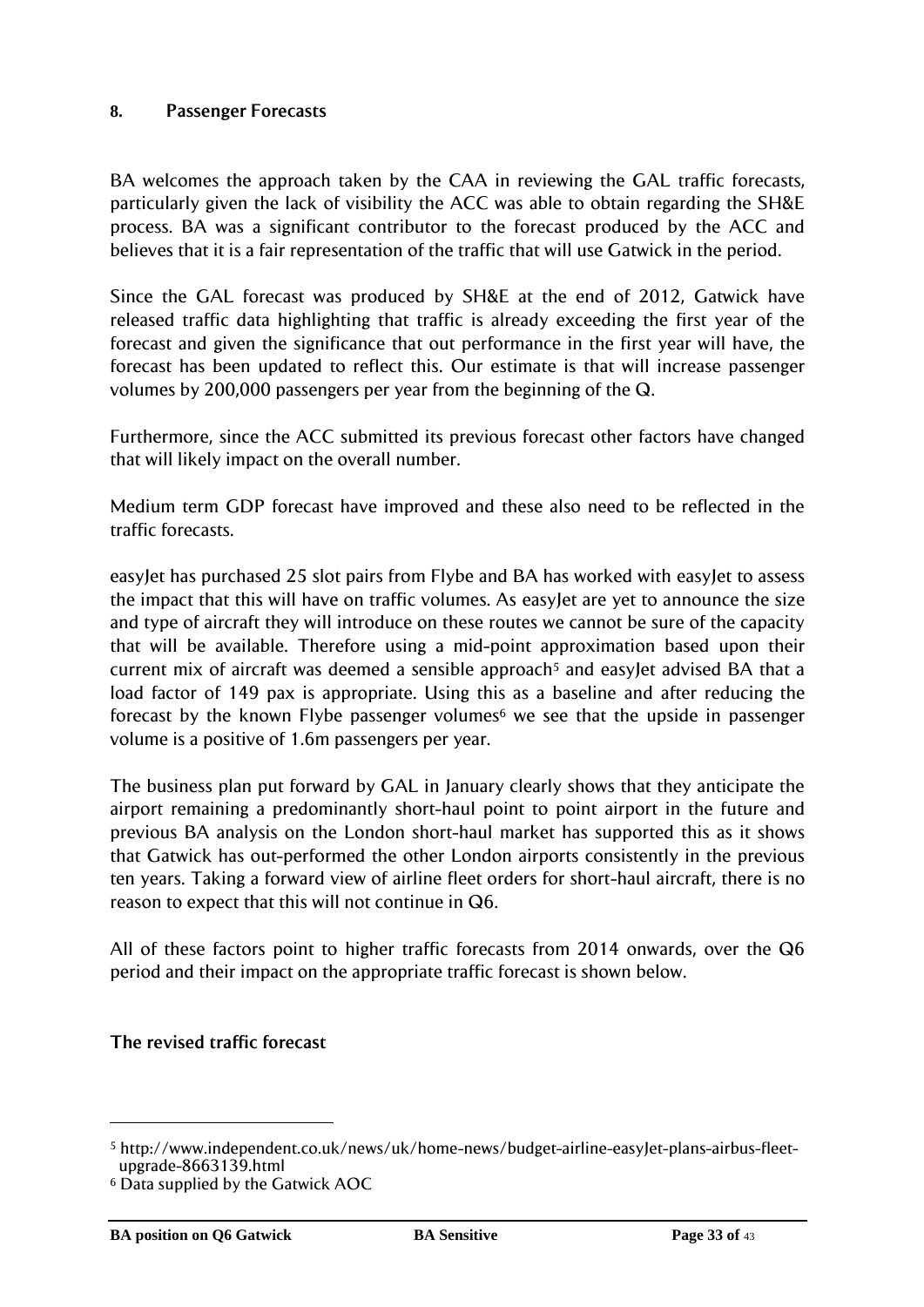# <span id="page-32-0"></span>**8. Passenger Forecasts**

BA welcomes the approach taken by the CAA in reviewing the GAL traffic forecasts, particularly given the lack of visibility the ACC was able to obtain regarding the SH&E process. BA was a significant contributor to the forecast produced by the ACC and believes that it is a fair representation of the traffic that will use Gatwick in the period.

Since the GAL forecast was produced by SH&E at the end of 2012, Gatwick have released traffic data highlighting that traffic is already exceeding the first year of the forecast and given the significance that out performance in the first year will have, the forecast has been updated to reflect this. Our estimate is that will increase passenger volumes by 200,000 passengers per year from the beginning of the Q.

Furthermore, since the ACC submitted its previous forecast other factors have changed that will likely impact on the overall number.

Medium term GDP forecast have improved and these also need to be reflected in the traffic forecasts.

easyJet has purchased 25 slot pairs from Flybe and BA has worked with easyJet to assess the impact that this will have on traffic volumes. As easyJet are yet to announce the size and type of aircraft they will introduce on these routes we cannot be sure of the capacity that will be available. Therefore using a mid-point approximation based upon their current mix of aircraft was deemed a sensible approach<sup>5</sup> and easyJet advised BA that a load factor of 149 pax is appropriate. Using this as a baseline and after reducing the forecast by the known Flybe passenger volumes $6$  we see that the upside in passenger volume is a positive of 1.6m passengers per year.

The business plan put forward by GAL in January clearly shows that they anticipate the airport remaining a predominantly short-haul point to point airport in the future and previous BA analysis on the London short-haul market has supported this as it shows that Gatwick has out-performed the other London airports consistently in the previous ten years. Taking a forward view of airline fleet orders for short-haul aircraft, there is no reason to expect that this will not continue in Q6.

All of these factors point to higher traffic forecasts from 2014 onwards, over the Q6 period and their impact on the appropriate traffic forecast is shown below.

#### **The revised traffic forecast**

l

<sup>5</sup> http://www.independent.co.uk/news/uk/home-news/budget-airline-easyJet-plans-airbus-fleetupgrade-8663139.html

<sup>6</sup> Data supplied by the Gatwick AOC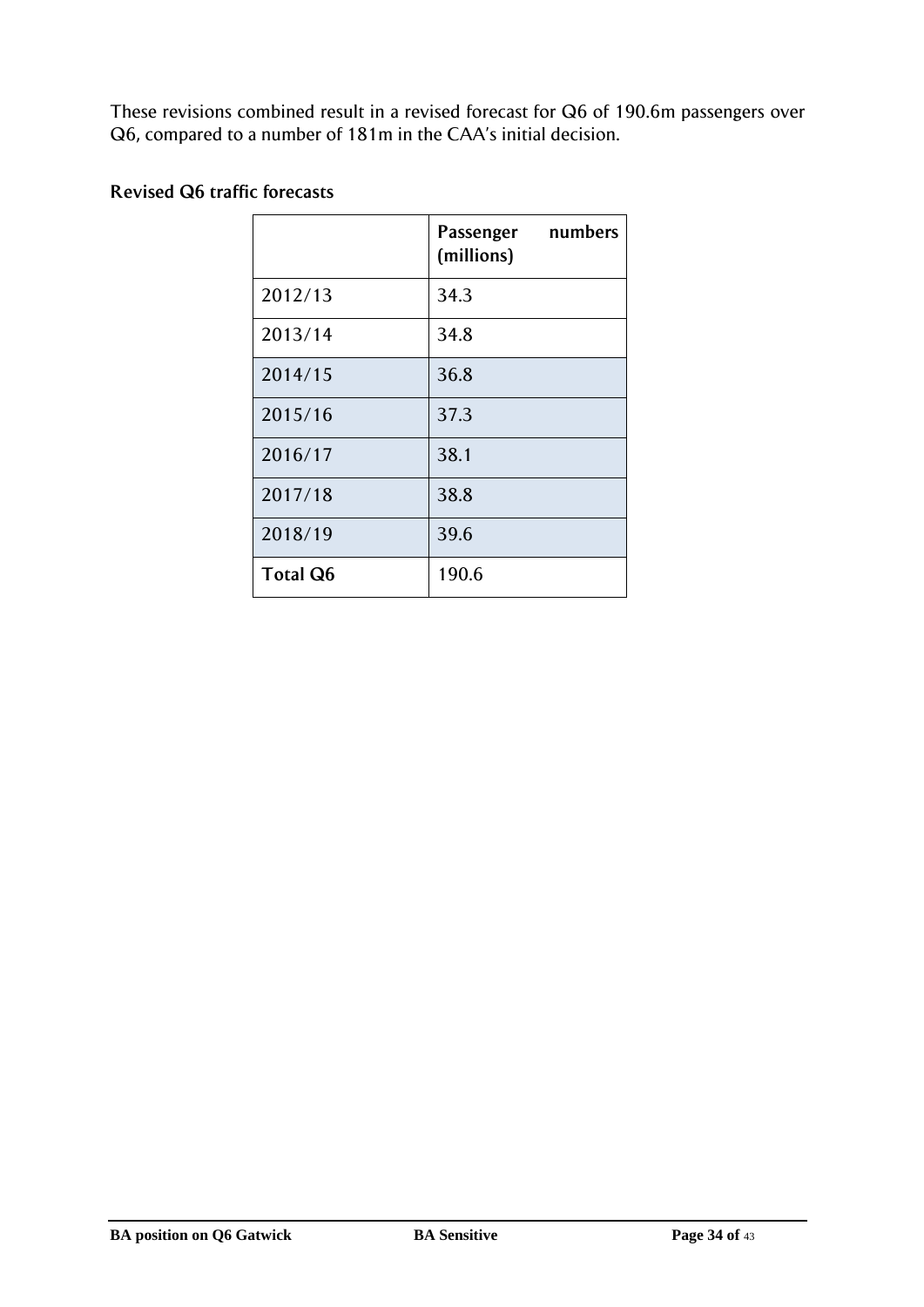These revisions combined result in a revised forecast for Q6 of 190.6m passengers over Q6, compared to a number of 181m in the CAA"s initial decision.

|                 | Passenger numbers<br>(millions) |
|-----------------|---------------------------------|
| 2012/13         | 34.3                            |
| 2013/14         | 34.8                            |
| 2014/15         | 36.8                            |
| 2015/16         | 37.3                            |
| 2016/17         | 38.1                            |
| 2017/18         | 38.8                            |
| 2018/19         | 39.6                            |
| <b>Total Q6</b> | 190.6                           |

# **Revised Q6 traffic forecasts**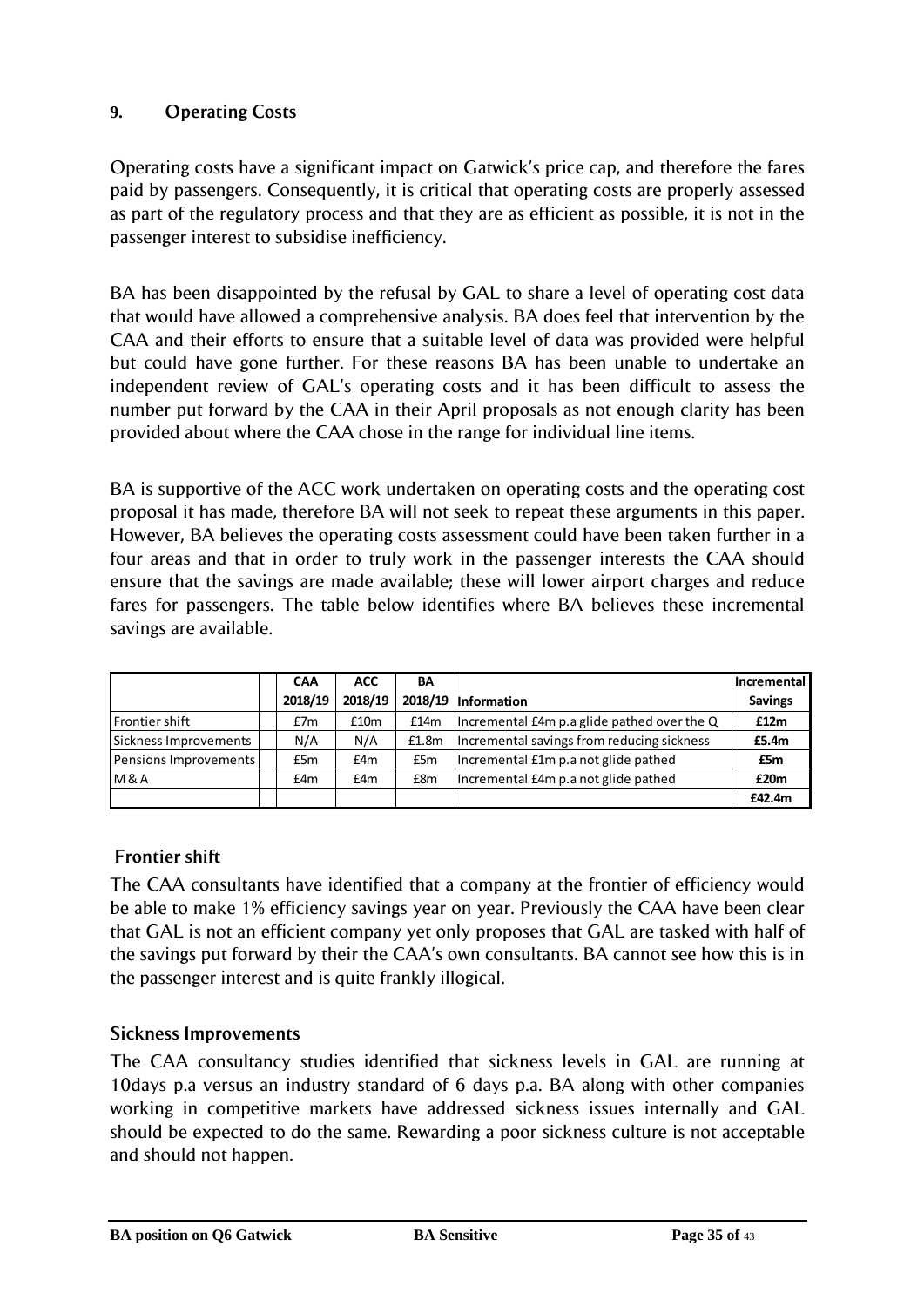# <span id="page-34-0"></span>**9. Operating Costs**

Operating costs have a significant impact on Gatwick"s price cap, and therefore the fares paid by passengers. Consequently, it is critical that operating costs are properly assessed as part of the regulatory process and that they are as efficient as possible, it is not in the passenger interest to subsidise inefficiency.

BA has been disappointed by the refusal by GAL to share a level of operating cost data that would have allowed a comprehensive analysis. BA does feel that intervention by the CAA and their efforts to ensure that a suitable level of data was provided were helpful but could have gone further. For these reasons BA has been unable to undertake an independent review of GAL"s operating costs and it has been difficult to assess the number put forward by the CAA in their April proposals as not enough clarity has been provided about where the CAA chose in the range for individual line items.

BA is supportive of the ACC work undertaken on operating costs and the operating cost proposal it has made, therefore BA will not seek to repeat these arguments in this paper. However, BA believes the operating costs assessment could have been taken further in a four areas and that in order to truly work in the passenger interests the CAA should ensure that the savings are made available; these will lower airport charges and reduce fares for passengers. The table below identifies where BA believes these incremental savings are available.

|                       | <b>CAA</b> | <b>ACC</b> | BA    |                                             | Incremental    |
|-----------------------|------------|------------|-------|---------------------------------------------|----------------|
|                       | 2018/19    | 2018/19    |       | 2018/19 Information                         | <b>Savings</b> |
| Frontier shift        | E7m        | £10m       | £14m  | Incremental £4m p.a glide pathed over the Q | £12m           |
| Sickness Improvements | N/A        | N/A        | £1.8m | Incremental savings from reducing sickness  | £5.4m          |
| Pensions Improvements | £5m        | £4m        | £5m   | Incremental £1m p.a not glide pathed        | £5m            |
| <b>M&amp;A</b>        | £4m        | £4m        | £8m   | Incremental £4m p.a not glide pathed        | £20m           |
|                       |            |            |       |                                             | £42.4m         |

# **Frontier shift**

The CAA consultants have identified that a company at the frontier of efficiency would be able to make 1% efficiency savings year on year. Previously the CAA have been clear that GAL is not an efficient company yet only proposes that GAL are tasked with half of the savings put forward by their the CAA"s own consultants. BA cannot see how this is in the passenger interest and is quite frankly illogical.

# **Sickness Improvements**

The CAA consultancy studies identified that sickness levels in GAL are running at 10days p.a versus an industry standard of 6 days p.a. BA along with other companies working in competitive markets have addressed sickness issues internally and GAL should be expected to do the same. Rewarding a poor sickness culture is not acceptable and should not happen.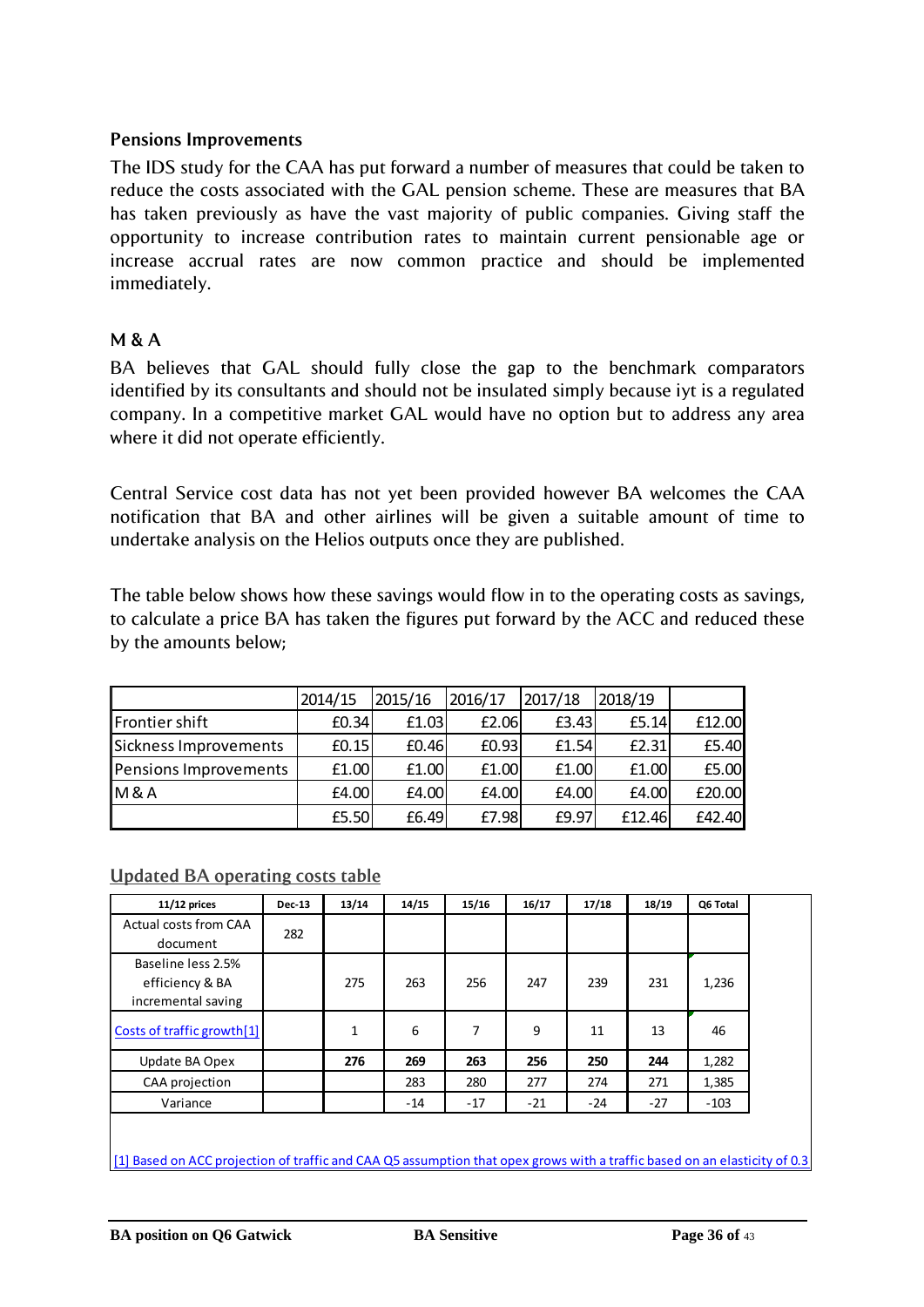# **Pensions Improvements**

The IDS study for the CAA has put forward a number of measures that could be taken to reduce the costs associated with the GAL pension scheme. These are measures that BA has taken previously as have the vast majority of public companies. Giving staff the opportunity to increase contribution rates to maintain current pensionable age or increase accrual rates are now common practice and should be implemented immediately.

# **M & A**

BA believes that GAL should fully close the gap to the benchmark comparators identified by its consultants and should not be insulated simply because iyt is a regulated company. In a competitive market GAL would have no option but to address any area where it did not operate efficiently.

Central Service cost data has not yet been provided however BA welcomes the CAA notification that BA and other airlines will be given a suitable amount of time to undertake analysis on the Helios outputs once they are published.

The table below shows how these savings would flow in to the operating costs as savings, to calculate a price BA has taken the figures put forward by the ACC and reduced these by the amounts below;

|                       | 2014/15 | 2015/16 | 2016/17 | 2017/18 | 2018/19 |        |
|-----------------------|---------|---------|---------|---------|---------|--------|
| Frontier shift        | E0.34   | £1.03   | £2.06   | E3.43   | E5.14   | £12.00 |
| Sickness Improvements | E0.15   | £0.46   | E0.93   | f1.54   | E2.31   | £5.40  |
| Pensions Improvements | £1.00   | £1.00   | £1.00   | £1.00   | £1.00   | £5.00  |
| M & A                 | £4.00   | £4.00   | £4.00   | £4.00   | £4.00   | £20.00 |
|                       | £5.50   | £6.49   | £7.98   | £9.97   | £12.46  | £42.40 |

#### **Updated BA operating costs table**

| $11/12$ prices                                              | <b>Dec-13</b> | 13/14        | 14/15 | 15/16 | 16/17 | 17/18 | 18/19 | Q6 Total |
|-------------------------------------------------------------|---------------|--------------|-------|-------|-------|-------|-------|----------|
| Actual costs from CAA<br>document                           | 282           |              |       |       |       |       |       |          |
| Baseline less 2.5%<br>efficiency & BA<br>incremental saving |               | 275          | 263   | 256   | 247   | 239   | 231   | 1,236    |
| Costs of traffic growth[1]                                  |               | $\mathbf{1}$ | 6     | 7     | 9     | 11    | 13    | 46       |
| Update BA Opex                                              |               | 276          | 269   | 263   | 256   | 250   | 244   | 1,282    |
| CAA projection                                              |               |              | 283   | 280   | 277   | 274   | 271   | 1,385    |
| Variance                                                    |               |              | -14   | $-17$ | $-21$ | $-24$ | $-27$ | $-103$   |

[1] Based on ACC projection of traffic and CAA Q5 assumption that opex grows with a traffic based on an elasticity of 0.3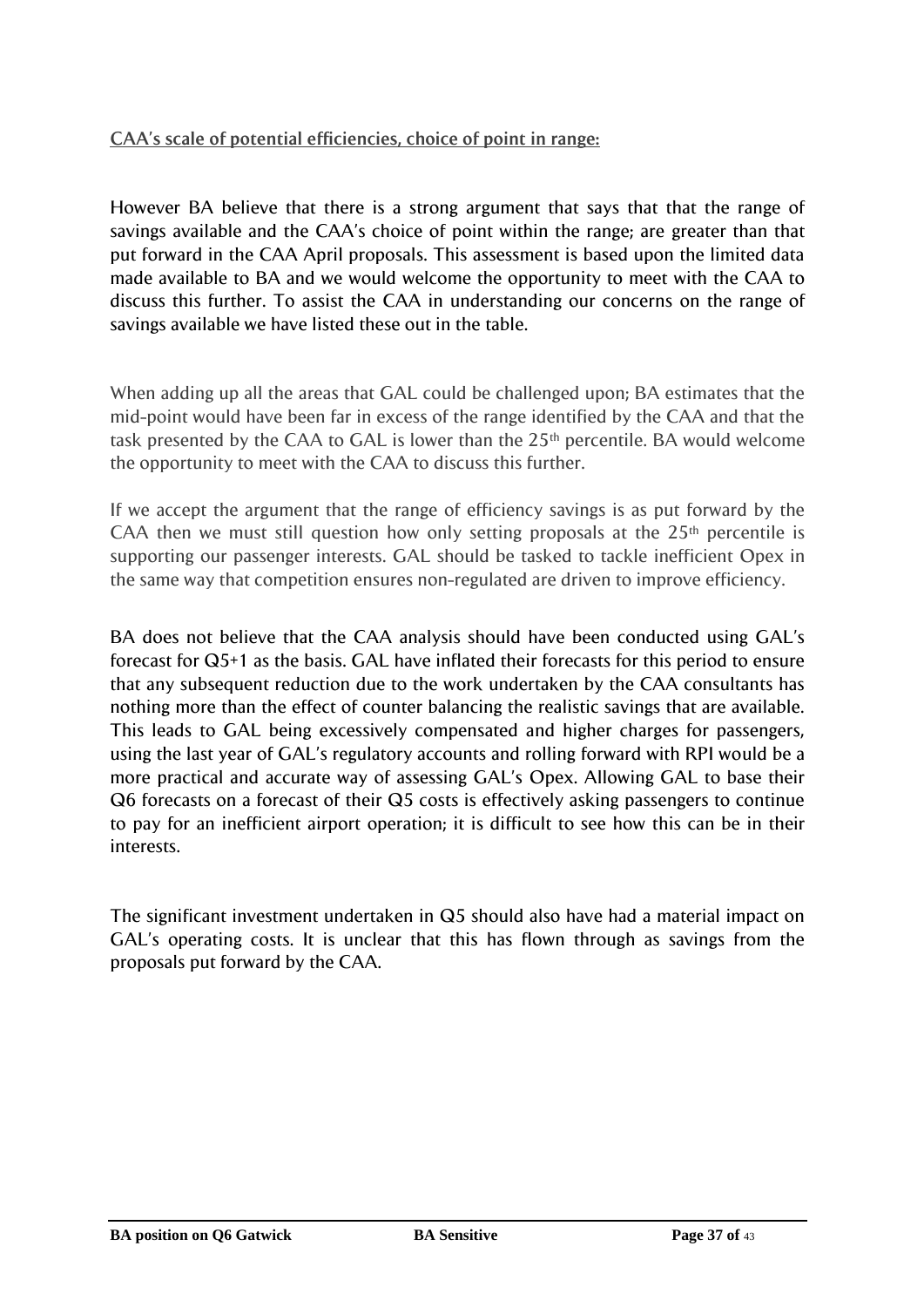# **CAA's scale of potential efficiencies, choice of point in range:**

However BA believe that there is a strong argument that says that that the range of savings available and the CAA"s choice of point within the range; are greater than that put forward in the CAA April proposals. This assessment is based upon the limited data made available to BA and we would welcome the opportunity to meet with the CAA to discuss this further. To assist the CAA in understanding our concerns on the range of savings available we have listed these out in the table.

When adding up all the areas that GAL could be challenged upon; BA estimates that the mid-point would have been far in excess of the range identified by the CAA and that the task presented by the CAA to GAL is lower than the  $25<sup>th</sup>$  percentile. BA would welcome the opportunity to meet with the CAA to discuss this further.

If we accept the argument that the range of efficiency savings is as put forward by the CAA then we must still question how only setting proposals at the  $25<sup>th</sup>$  percentile is supporting our passenger interests. GAL should be tasked to tackle inefficient Opex in the same way that competition ensures non-regulated are driven to improve efficiency.

BA does not believe that the CAA analysis should have been conducted using GAL's forecast for Q5+1 as the basis. GAL have inflated their forecasts for this period to ensure that any subsequent reduction due to the work undertaken by the CAA consultants has nothing more than the effect of counter balancing the realistic savings that are available. This leads to GAL being excessively compensated and higher charges for passengers, using the last year of GAL"s regulatory accounts and rolling forward with RPI would be a more practical and accurate way of assessing GAL"s Opex. Allowing GAL to base their Q6 forecasts on a forecast of their Q5 costs is effectively asking passengers to continue to pay for an inefficient airport operation; it is difficult to see how this can be in their interests.

The significant investment undertaken in Q5 should also have had a material impact on GAL"s operating costs. It is unclear that this has flown through as savings from the proposals put forward by the CAA.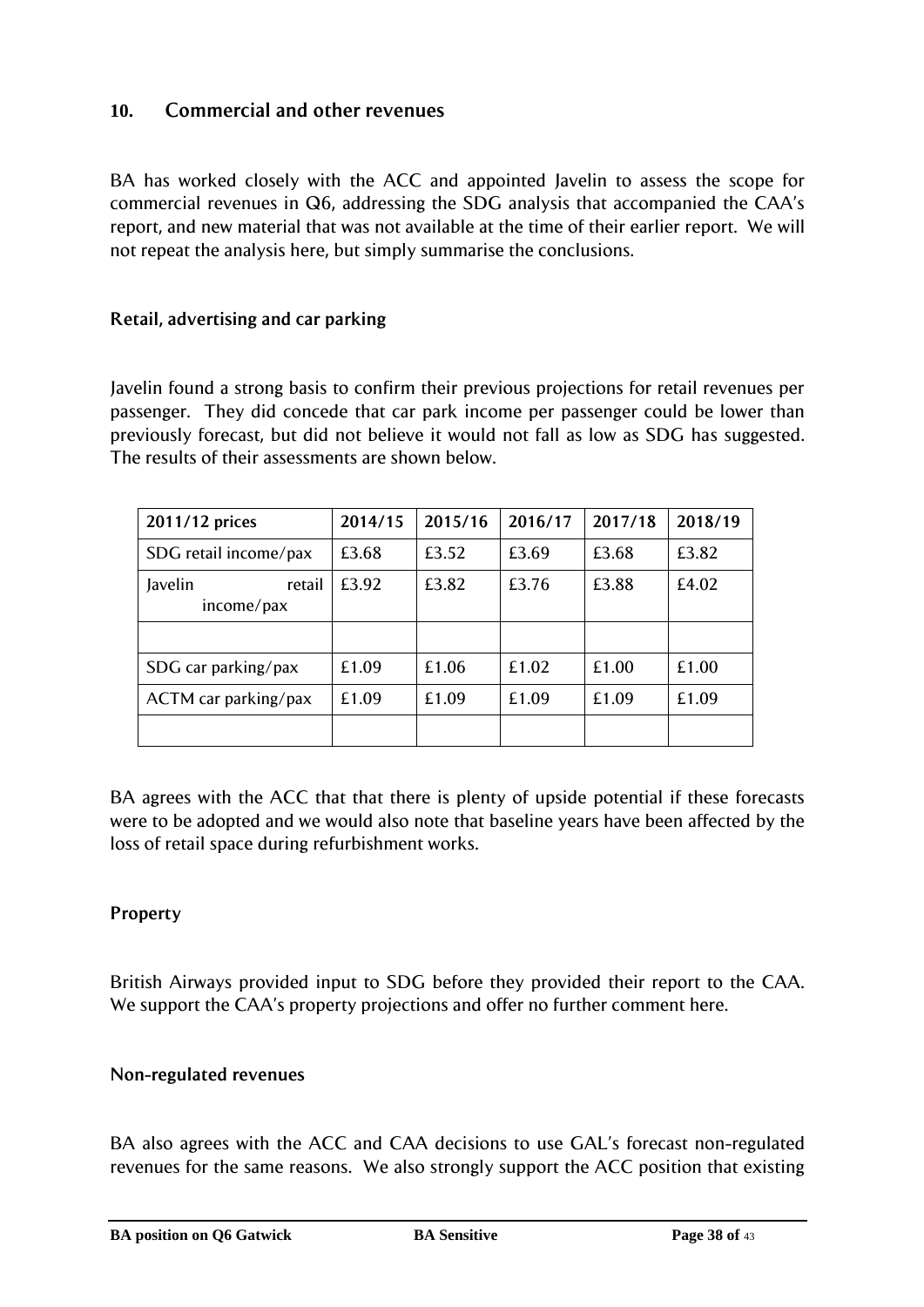# <span id="page-37-0"></span>**10. Commercial and other revenues**

BA has worked closely with the ACC and appointed Javelin to assess the scope for commercial revenues in Q6, addressing the SDG analysis that accompanied the CAA"s report, and new material that was not available at the time of their earlier report. We will not repeat the analysis here, but simply summarise the conclusions.

# **Retail, advertising and car parking**

Javelin found a strong basis to confirm their previous projections for retail revenues per passenger. They did concede that car park income per passenger could be lower than previously forecast, but did not believe it would not fall as low as SDG has suggested. The results of their assessments are shown below.

| 2011/12 prices                  | 2014/15 | 2015/16 | 2016/17 | 2017/18 | 2018/19 |
|---------------------------------|---------|---------|---------|---------|---------|
| SDG retail income/pax           | £3.68   | £3.52   | £3.69   | £3.68   | £3.82   |
| Javelin<br>retail<br>income/pax | £3.92   | £3.82   | £3.76   | £3.88   | £4.02   |
|                                 |         |         |         |         |         |
| SDG car parking/pax             | £1.09   | £1.06   | £1.02   | £1.00   | £1.00   |
| ACTM car parking/pax            | £1.09   | £1.09   | £1.09   | £1.09   | £1.09   |
|                                 |         |         |         |         |         |

BA agrees with the ACC that that there is plenty of upside potential if these forecasts were to be adopted and we would also note that baseline years have been affected by the loss of retail space during refurbishment works.

# **Property**

British Airways provided input to SDG before they provided their report to the CAA. We support the CAA's property projections and offer no further comment here.

#### **Non-regulated revenues**

BA also agrees with the ACC and CAA decisions to use GAL's forecast non-regulated revenues for the same reasons. We also strongly support the ACC position that existing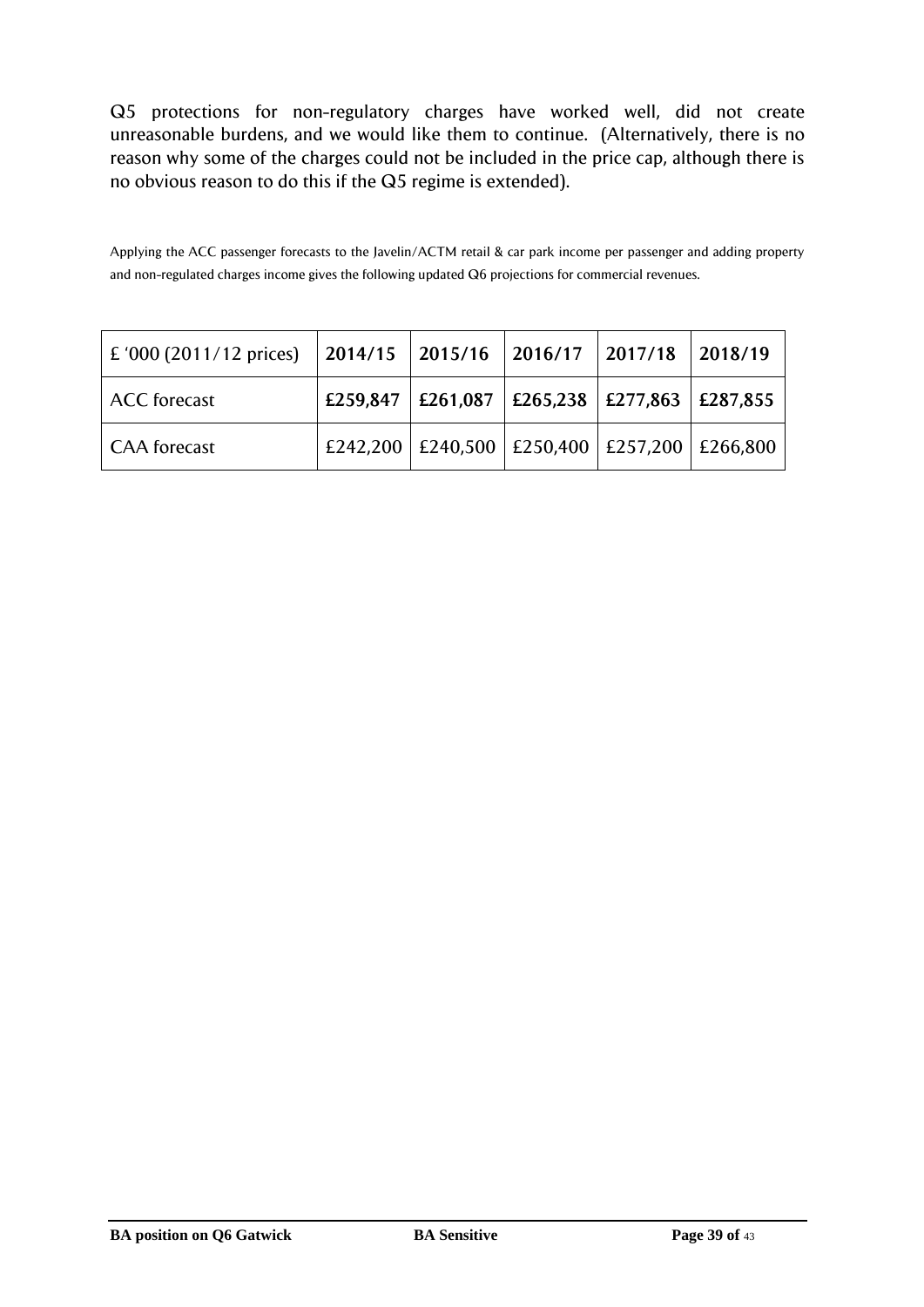Q5 protections for non-regulatory charges have worked well, did not create unreasonable burdens, and we would like them to continue. (Alternatively, there is no reason why some of the charges could not be included in the price cap, although there is no obvious reason to do this if the Q5 regime is extended).

Applying the ACC passenger forecasts to the Javelin/ACTM retail & car park income per passenger and adding property and non-regulated charges income gives the following updated Q6 projections for commercial revenues.

| $\vert$ £ '000 (2011/12 prices) |          | $\vert$ 2014/15 $\vert$ 2015/16 $\vert$ 2016/17                     | 2017/18 | 2018/19 |
|---------------------------------|----------|---------------------------------------------------------------------|---------|---------|
| <b>ACC</b> forecast             | £259,847 | $\vert$ £261,087 $\vert$ £265,238 $\vert$ £277,863 $\vert$ £287,855 |         |         |
| <b>CAA</b> forecast             |          | £242,200 £240,500 £250,400 £257,200 £266,800                        |         |         |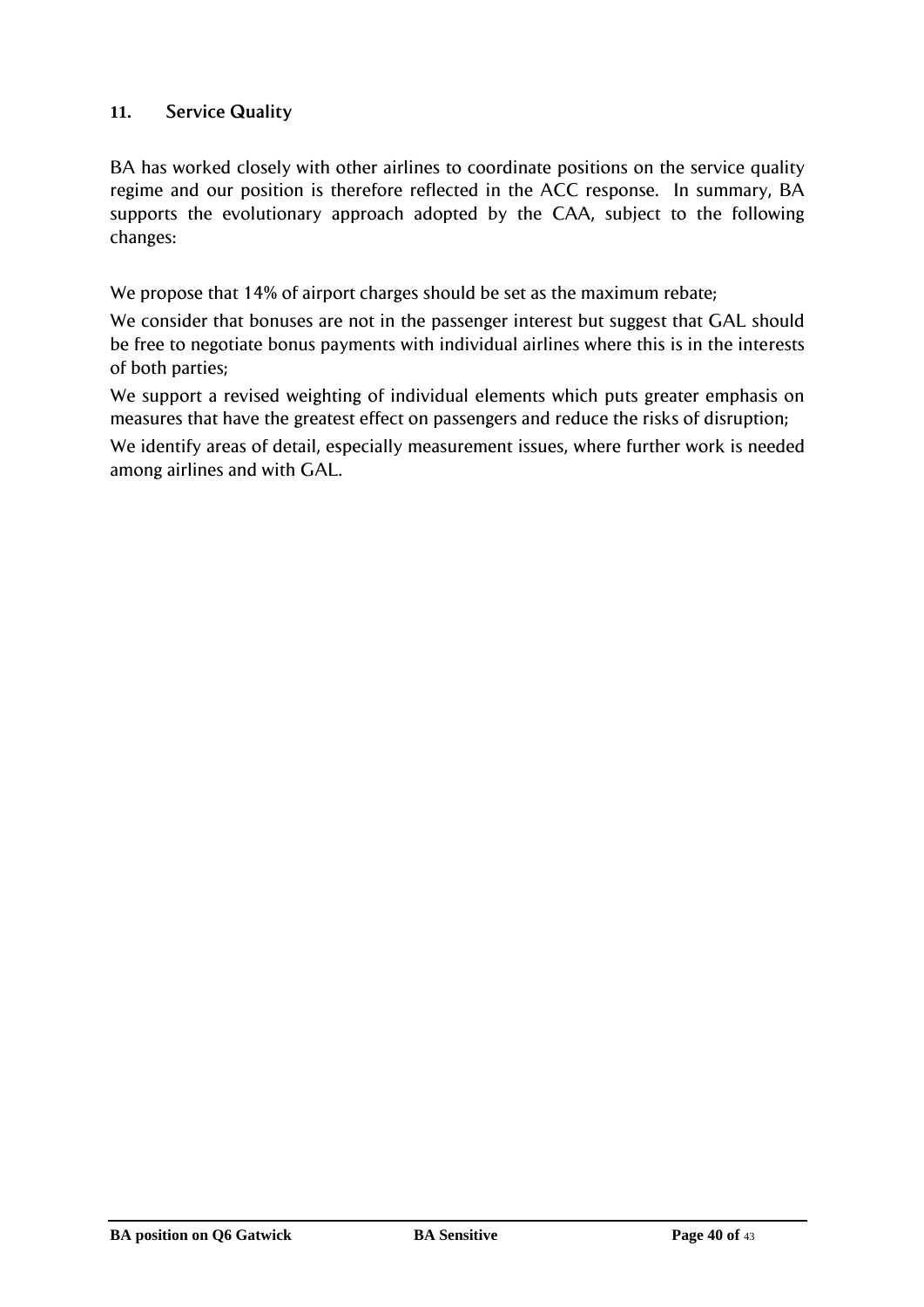# <span id="page-39-0"></span>**11. Service Quality**

BA has worked closely with other airlines to coordinate positions on the service quality regime and our position is therefore reflected in the ACC response. In summary, BA supports the evolutionary approach adopted by the CAA, subject to the following changes:

We propose that 14% of airport charges should be set as the maximum rebate;

We consider that bonuses are not in the passenger interest but suggest that GAL should be free to negotiate bonus payments with individual airlines where this is in the interests of both parties;

We support a revised weighting of individual elements which puts greater emphasis on measures that have the greatest effect on passengers and reduce the risks of disruption;

We identify areas of detail, especially measurement issues, where further work is needed among airlines and with GAL.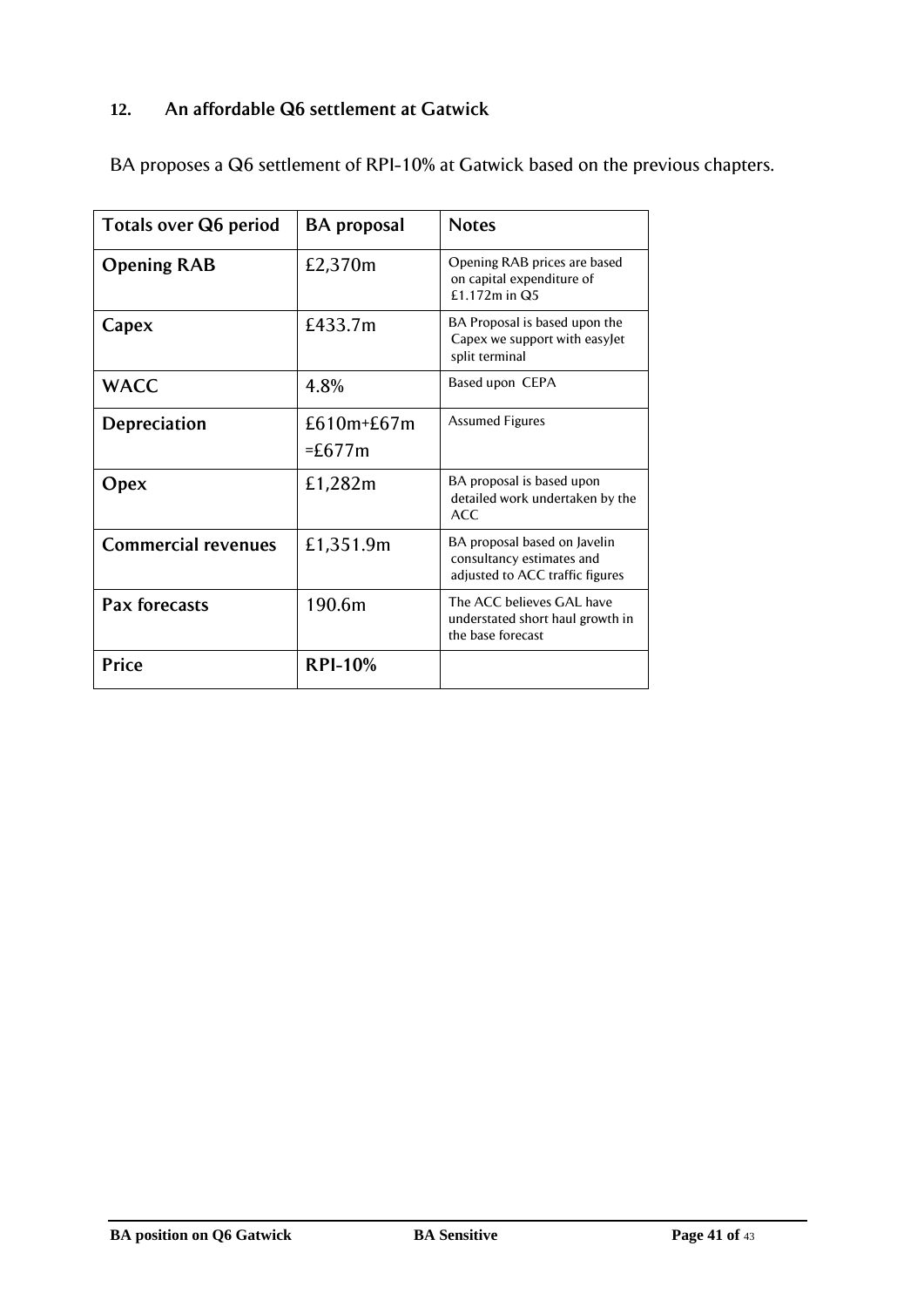# <span id="page-40-0"></span>**12. An affordable Q6 settlement at Gatwick**

| <b>Totals over Q6 period</b> | <b>BA</b> proposal     | <b>Notes</b>                                                                                 |  |  |
|------------------------------|------------------------|----------------------------------------------------------------------------------------------|--|--|
| <b>Opening RAB</b>           | £2,370m                | Opening RAB prices are based<br>on capital expenditure of<br>£1.172m in Q5                   |  |  |
| Capex                        | £433.7m                | BA Proposal is based upon the<br>Capex we support with easyJet<br>split terminal             |  |  |
| <b>WACC</b>                  | 4.8%                   | Based upon CEPA                                                                              |  |  |
| Depreciation                 | £610m+£67m<br>$=£677m$ | <b>Assumed Figures</b>                                                                       |  |  |
| Opex                         | £1,282m                | BA proposal is based upon<br>detailed work undertaken by the<br>ACC                          |  |  |
| <b>Commercial revenues</b>   | £1,351.9m              | BA proposal based on Javelin<br>consultancy estimates and<br>adjusted to ACC traffic figures |  |  |
| Pax forecasts                | 190.6m                 | The ACC believes GAL have<br>understated short haul growth in<br>the base forecast           |  |  |
| Price                        | <b>RPI-10%</b>         |                                                                                              |  |  |

BA proposes a Q6 settlement of RPI-10% at Gatwick based on the previous chapters.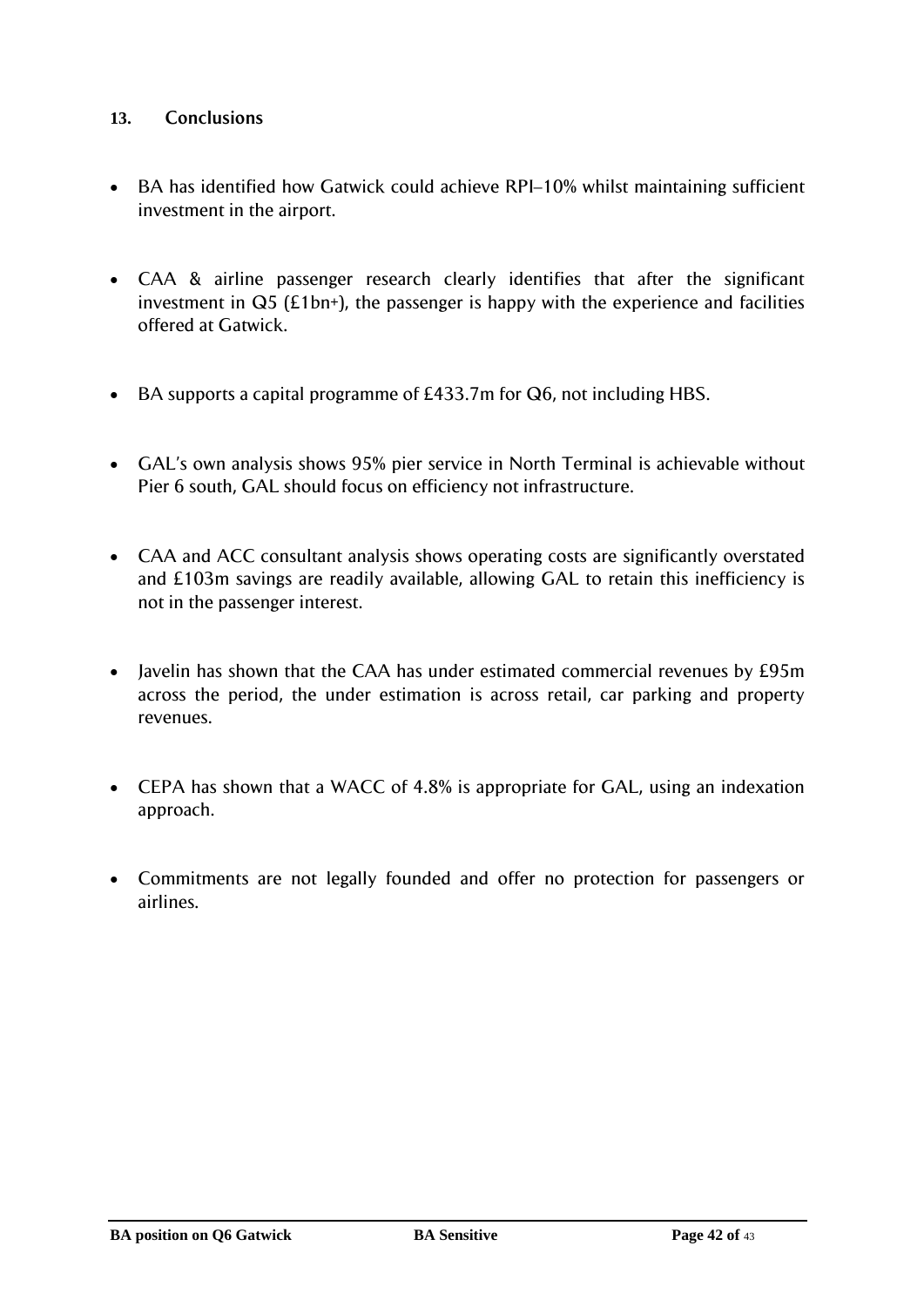#### <span id="page-41-0"></span>**13. Conclusions**

- BA has identified how Gatwick could achieve RPI–10% whilst maintaining sufficient investment in the airport.
- CAA & airline passenger research clearly identifies that after the significant investment in  $Q5$  (£1bn+), the passenger is happy with the experience and facilities offered at Gatwick.
- BA supports a capital programme of £433.7m for Q6, not including HBS.
- GAL's own analysis shows 95% pier service in North Terminal is achievable without Pier 6 south, GAL should focus on efficiency not infrastructure.
- CAA and ACC consultant analysis shows operating costs are significantly overstated and £103m savings are readily available, allowing GAL to retain this inefficiency is not in the passenger interest.
- Javelin has shown that the CAA has under estimated commercial revenues by £95m across the period, the under estimation is across retail, car parking and property revenues.
- CEPA has shown that a WACC of 4.8% is appropriate for GAL, using an indexation approach.
- Commitments are not legally founded and offer no protection for passengers or airlines.